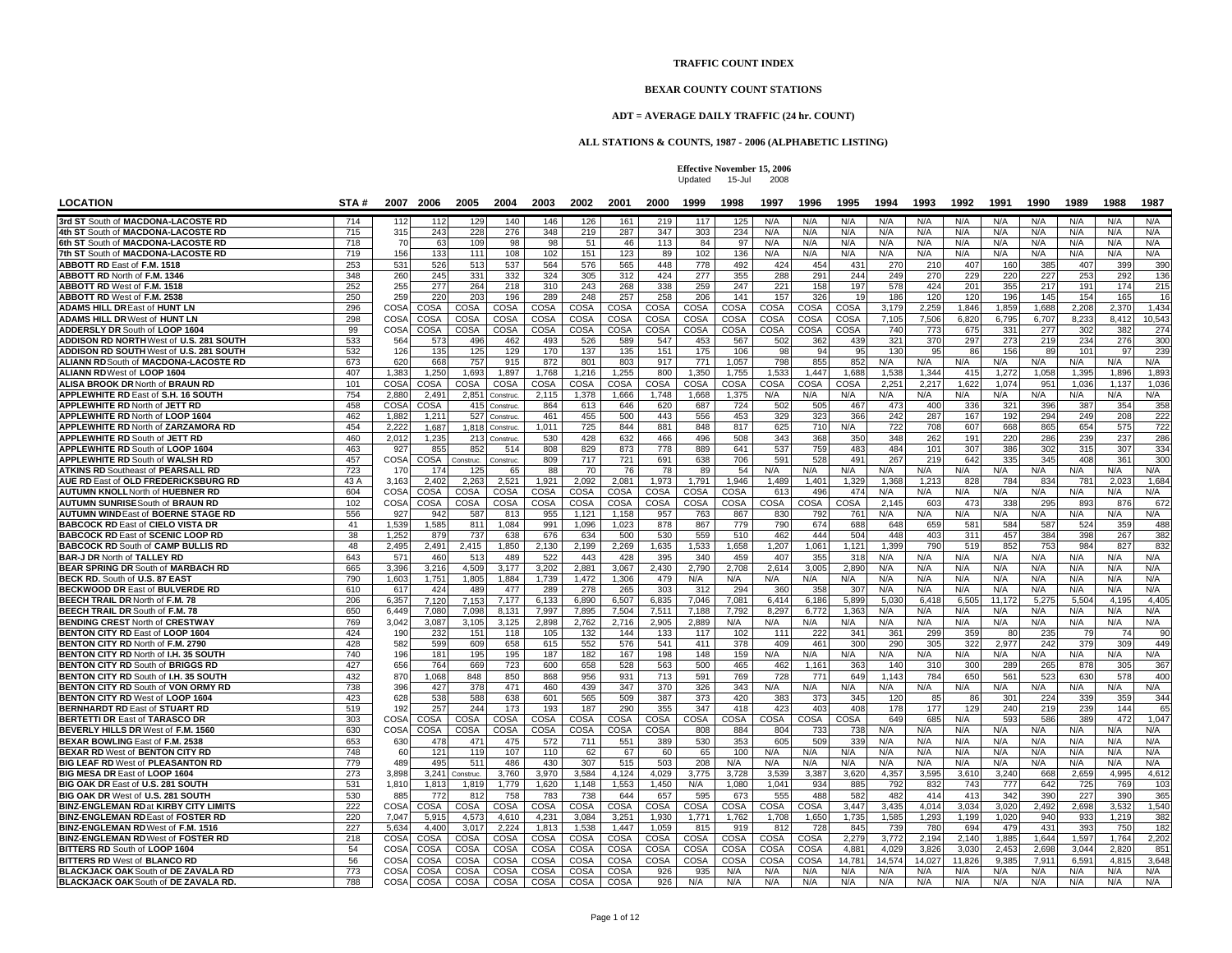## **TRAFFIC COUNT INDEX**

## **BEXAR COUNTY COUNT STATIONS**

## **ADT = AVERAGE DAILY TRAFFIC (24 hr. COUNT)**

## **ALL STATIONS & COUNTS, 1987 - 2006 (ALPHABETIC LISTING)**

**Effective November 15, 2006** Updated 15-Jul 2008

| <b>LOCATION</b>                                                                          | STA#        |              | 2007 2006    | 2005         | 2004         | 2003         | 2002         | 2001         | 2000         | 1999         | 1998         | 1997         | 1996         | 1995                    | 1994           | 1993           | 1992          | 1991           | 1990           | 1989           | 1988           | 1987            |
|------------------------------------------------------------------------------------------|-------------|--------------|--------------|--------------|--------------|--------------|--------------|--------------|--------------|--------------|--------------|--------------|--------------|-------------------------|----------------|----------------|---------------|----------------|----------------|----------------|----------------|-----------------|
| 3rd ST South of MACDONA-LACOSTE RD                                                       | 714         | 112          | 112          | 129          | 140          | 146          | 126          | 161          | 219          | 117          | 125          | N/A          | N/A          | N/A                     | N/A            | N/A            | N/A           | N/A            | N/A            | N/A            | N/A            | N/A             |
| 4th ST South of MACDONA-LACOSTE RD                                                       | 715         | 315          | 243          | 228          | 276          | 348          | 219          | 287          | 347          | 303          | 234          | N/A          | N/A          | N/A                     | N/A            | N/A            | N/A           | N/A            | N/A            | N/A            | N/A            | N/A             |
| 6th ST South of MACDONA-LACOSTE RD                                                       | 718         | 70           | 63           | 109          | 98           | 98           | 51           | 46           | 113          | 84           | 97           | N/A          | N/A          | N/A                     | N/A            | N/A            | N/A           | N/A            | N/A            | N/A            | N/A            | N/A             |
| 7th ST South of MACDONA-LACOSTE RD                                                       | 719         | 156          | 133          | 111          | 108          | 102          | 151          | 123          | 89           | 102          | 136          | N/A          | N/A          | N/A                     | N/A            | N/A            | N/A           | N/A            | N/A            | N/A            | N/A            | N/A             |
| ABBOTT RD East of F.M. 1518                                                              | 253         | 531          | 526          | 513          | 537          | 564          | 576          | 565          | 448          | 778          | 492          | 424          | 454          | 431                     | 270            | 210            | 407           | 160            | 385            | 407            | 399            | 390             |
| <b>ABBOTT RD North of F.M. 1346</b>                                                      | 348         | 260          | 245          | 331          | 332          | 324          | 305          | 312          | 424          | 277          | 355          | 288          | 291          | 244                     | 249            | 270            | 229           | 220            | 227            | 253            | 292            | 136             |
| ABBOTT RD West of F.M. 1518                                                              | 252<br>250  | 255<br>259   | 277<br>220   | 264<br>203   | 218<br>196   | 310<br>289   | 243<br>248   | 268<br>257   | 338<br>258   | 259<br>206   | 247<br>141   | 221          | 158<br>326   | 197<br>19               | 578            | 424<br>120     | 201<br>120    | 355<br>196     | 217            | 191<br>154     | 174<br>165     | 215             |
| ABBOTT RD West of F.M. 2538<br><b>ADAMS HILL DR East of HUNT LN</b>                      | 296         | COSA         | COSA         | COSA         | COSA         | COSA         | COSA         | COSA         | COSA         | COSA         | COSA         | 157<br>COSA  | COSA         | COSA                    | 186<br>3,179   | 2,259          | 1,846         | 1,859          | 145<br>1,688   | 2,208          | 2,370          | 16<br>1.434     |
| <b>ADAMS HILL DR West of HUNT LN</b>                                                     | 298         | COSA         | COSA         | COSA         | COSA         | COSA         | COSA         | COSA         | COSA         | COSA         | COSA         | COSA         | <b>COSA</b>  | COSA                    | 7.105          | 7.506          | 6.820         | 6.795          | 6.707          | 8.233          | 8.412          | 10.543          |
| ADDERSLY DR South of LOOP 1604                                                           | 99          | COSA         | COSA         | COSA         | COSA         | COSA         | COSA         | COSA         | COSA         | COSA         | COSA         | COSA         | COSA         | COSA                    | 740            | 773            | 675           | 331            | 277            | 302            | 382            | 274             |
| ADDISON RD NORTH West of U.S. 281 SOUTH                                                  | 533         | 564          | 573          | 496          | 462          | 493          | 526          | 589          | 547          | 453          | 567          | 502          | 362          | 439                     | 321            | 370            | 297           | 273            | 219            | 234            | 276            | 300             |
| <b>ADDISON RD SOUTH West of U.S. 281 SOUTH</b>                                           | 532         | 126          | 135          | 125          | 129          | 170          | 137          | 135          | 151          | 175          | 106          | 98           | 94           | 95                      | 130            | 95             | 86            | 156            | 89             | 101            | 97             | 239             |
| ALIANN RD South of MACDONA-LACOSTE RD                                                    | 673         | 620          | 668          | 757          | 915          | 872          | 801          | 803          | 917          | 771          | 1,057        | 798          | 855          | 852                     | N/A            | N/A            | N/A           | N/A            | N/A            | N/A            | N/A            | N/A             |
| ALIANN RDWest of LOOP 1604                                                               | 407         | 1,383        | 1,250        | 1,693        | 1,897        | 1,768        | 1,216        | 1,255        | 800          | 1,350        | 1,755        | 1,53         | 1.447        | 1,688                   | 1,538          | 1,344          | 41!           | 1,272          | 1,058          | 1,395          | 1,896          | 1,893           |
| <b>ALISA BROOK DR North of BRAUN RD</b>                                                  | 101         | COSA         | COSA         | COSA         | COSA         | COSA         | COSA         | COSA         | COSA         | COSA         | COSA         | COSA         | <b>COSA</b>  | COSA                    | 2.251          | 2.217          | 1.622         | 1.074          | 951            | 1.036          | 1.137          | 1.036           |
| <b>APPLEWHITE RD East of S.H. 16 SOUTH</b>                                               | 754         | 2.880        | 2.49'        | 2.851        | Construc.    | 2.115        | 1.378        | 1.666        | 1.748        | 1.668        | 1.375        | N/A          | N/A          | N/A                     | N/A            | N/A            | N/A           | N/A            | N/A            | N/A            | N/A            | N/A             |
| <b>APPLEWHITE RD North of JETT RD</b>                                                    | 458         | COSA         | COSA         | 415          | Construc.    | 864          | 613          | 646          | 620          | 687          | 724          | 502          | 505          | 467                     | 473            | 400            | 336           | 321            | 396            | 387            | 354            | 358             |
| <b>APPLEWHITE RD North of LOOP 1604</b>                                                  | 462         | 1.882        | 1.211        | 527          | Construc.    | 461          | 455          | 500          | 443          | 556          | 453          | 329          | 323          | 366                     | 242            | 287            | 167           | 192            | 294            | 249            | 208            | 222             |
| APPLEWHITE RD North of ZARZAMORA RD                                                      | 454         | 2,222        | 1,687        | 1.818        | Construc.    | 1,011        | 725          | 844          | 881          | 848          | 817          | 625          | 710          | N/A                     | 722            | 708            | 607           | 668            | 865            | 654            | 575            | 722             |
| APPLEWHITE RD South of JETT RD                                                           | 460         | 2,012        | 1,235        | 213          | Construc.    | 530          | 428          | 632          | 466          | 496          | 508          | 343          | 368          | 350                     | 348            | 262            | 191           | 220            | 286            | 239            | 237            | 286             |
| <b>APPLEWHITE RD South of LOOP 1604</b>                                                  | 463         | 927          | 855          | 852          | 514          | 808          | 829          | 873          | 778          | 889          | 641          | 537          | 759<br>528   | 483<br>491              | 484            | 101            | 307           | 386<br>335     | 302            | 315<br>408     | 307            | 334             |
| <b>APPLEWHITE RD South of WALSH RD</b>                                                   | 457         | COSA         | COSA         | Construc.    | Construc.    | 809<br>88    | 717<br>70    | 721<br>76    | 691          | 638<br>89    | 706          | 591          |              | N/A                     | 267<br>N/A     | 219<br>N/A     | 642           |                | 345            | N/A            | 361<br>N/A     | 30 <sub>C</sub> |
| <b>ATKINS RD Southeast of PEARSALL RD</b><br><b>AUE RD East of OLD FREDERICKSBURG RD</b> | 723<br>43 A | 170<br>3.163 | 174<br>2.402 | 125<br>2.263 | 65<br>2,521  | 1.921        | 2.092        | 2.081        | 78<br>1,973  | 1.791        | 54<br>1.946  | N/A<br>1,489 | N/A<br>1.401 | 1,329                   | 1.368          | 1,213          | N/A<br>828    | N/A<br>784     | N/A<br>834     | 781            | 2.02           | N/A<br>1.684    |
| <b>AUTUMN KNOLL North of HUEBNER RD</b>                                                  | 604         | COSA         | COSA         | COSA         | COSA         | COSA         | COSA         | COSA         | COSA         | COSA         | COSA         | 61           | 496          | 474                     | N/A            | N/A            | N/A           | N/A            | N/A            | N/A            | N/A            | N/A             |
| <b>AUTUMN SUNRISE South of BRAUN RD</b>                                                  | 102         | COSA         | COSA         | COSA         | COSA         | COSA         | COSA         | COSA         | COSA         | COSA         | COSA         | COSA         | COSA         | COSA                    | 2,145          | 603            | 473           | 338            | 295            | 893            | 876            | 672             |
| <b>AUTUMN WIND East of BOERNE STAGE RD</b>                                               | 556         | 927          | 942          | 587          | 813          | 955          | 1.121        | 1.158        | 957          | 763          | 867          | 830          | 792          | 761                     | N/A            | N/A            | N/A           | N/A            | N/A            | N/A            | N/A            | N/A             |
| <b>BABCOCK RD East of CIELO VISTA DR</b>                                                 | 41          | 1.539        | 1.585        | 811          | 1.084        | 991          | 1.096        | 1.023        | 878          | 867          | 779          | 790          | 674          | 688                     | 648            | 659            | 58'           | 584            | 587            | 524            | 359            | 488             |
| <b>BABCOCK RD East of SCENIC LOOP RD</b>                                                 | 38          | 1,252        | 879          | 737          | 638          | 676          | 634          | 500          | 530          | 559          | 510          | 462          | 444          | 504                     | 448            | 403            | 311           | 457            | 384            | 398            | 267            | 382             |
| <b>BABCOCK RD South of CAMP BULLIS RD</b>                                                | 48          | 2.495        | 2,491        | 2,415        | 1,850        | 2,130        | 2,199        | 2,269        | 1,635        | 1,533        | 1,658        | 1,207        | 1.061        | 1,121                   | 1.399          | 790            | 519           | 852            | 753            | 984            | 827            | 832             |
| <b>BAR-J DR North of TALLEY RD</b>                                                       | 643         | 571          | 460          | 513          | 489          | 522          | 443          | 428          | 395          | 340          | 459          | 407          | 355          | 318                     | N/A            | N/A            | N/A           | N/A            | N/A            | N/A            | N/A            | N/A             |
| BEAR SPRING DR South of MARBACH RD                                                       | 665         | 3,396        | 3,216        | 4,509        | 3,177        | 3,202        | 2,881        | 3,067        | 2,430        | 2,790        | 2,708        | 2,614        | 3,005        | 2,890                   | N/A            | N/A            | N/A           | N/A            | N/A            | N/A            | N/A            | N/A             |
| BECK RD. South of U.S. 87 EAST                                                           | 790         | 1.603        | 1.751        | 1.805        | 1.884        | 1.739        | 1.472        | 1.306        | 479          | N/A          | N/A          | N/A          | N/A          | N/A                     | N/A            | N/A            | N/A           | N/A            | N/A            | N/A            | N/A            | N/A             |
| <b>BECKWOOD DR East of BULVERDE RD</b>                                                   | 610         | 617          | 424          | 489          | 477          | 289          | 278          | 265          | 303          | 312          | 294          | 360          | 358          | 307                     | N/A            | N/A            | N/A           | N/A            | N/A            | N/A            | N/A            | N/A             |
| BEECH TRAIL DR North of F.M. 78                                                          | 206         | 6.357        | 7,120        | 7.153        | 7,177        | 6.133        | 6,890        | 6.507        | 6,835        | 7.046        | 7.081        | 6.414        | 6.186        | 5.899                   | 5.030          | 6.41           | 6.50          | 11.172         | 5.27           | 5.504          | 4.19           | 4,405           |
| BEECH TRAIL DR South of F.M. 78                                                          | 650         | 6,449        | 7,080        | 7.098        | 8,131        | 7.997        | 7,895        | 7.504        | 7,511        | 7.188        | 7.792        | 8,297        | 6.772        | 1,363                   | N/A            | N/A            | N/A           | N/A            | N/A            | N/A            | N/A            | N/A             |
| <b>BENDING CREST North of CRESTWAY</b>                                                   | 769         | 3.042        | 3,087        | 3.105        | 3,125        | 2.898        | 2.762        | 2.716        | 2,905        | 2,889        | N/A          | N/A          | N/A          | N/A                     | N/A            | N/A            | N/A           | N/A            | N/A            | N/A            | N/A            | N/A             |
| <b>BENTON CITY RD East of LOOP 1604</b>                                                  | 424<br>428  | 190          | 232          | 151<br>609   | 118          | 105          | 132          | 144          | 133          | 117          | 102          | 111          | 222          | 341                     | 361<br>290     | 299            | 359           | -80<br>2.977   | 235            | 79<br>379      | -74            | 90              |
| BENTON CITY RD North of F.M. 2790<br><b>BENTON CITY RD North of I.H. 35 SOUTH</b>        | 740         | 582<br>196   | 599<br>181   | 195          | 658<br>195   | 615<br>187   | 552<br>182   | 576<br>167   | 541<br>198   | 411<br>148   | 378<br>159   | 409<br>N/A   | 461<br>N/A   | 300<br>N/A              | N/A            | 305<br>N/A     | 322<br>N/A    | N/A            | 242<br>N/A     | N/A            | 309<br>N/A     | 449<br>N/A      |
| <b>BENTON CITY RD South of BRIGGS RD</b>                                                 | 427         | 656          | 764          | 669          | 723          | 600          | 658          | 528          | 563          | 500          | 465          | 462          | 1.161        | 36 <sup>°</sup>         | 140            | 310            | 300           | 289            | 265            | 878            | 305            | 367             |
| BENTON CITY RD South of I.H. 35 SOUTH                                                    | 432         | 870          | 1,068        | 848          | 850          | 868          | 956          | 931          | 713          | 591          | 769          | 728          | 771          | 649                     | 1.143          | 784            | 650           | 561            | 523            | 630            | 578            | 400             |
| BENTON CITY RD South of VON ORMY RD                                                      | 738         | 396          | 427          | 378          | 471          | 460          | 439          | 347          | 370          | 326          | 343          | N/A          | N/A          | N/A                     | N/A            | N/A            | N/A           | N/A            | N/A            | N/A            | N/A            | N/A             |
| BENTON CITY RD West of LOOP 1604                                                         | 423         | 628          | 538          | 588          | 638          | 601          | 565          | 509          | 387          | 373          | 420          | 383          | 373          | 345                     | 120            | 85             | 86            | 301            | 224            | 339            | 359            | 344             |
| <b>BERNHARDT RD East of STUART RD</b>                                                    | 519         | 192          | 257          | 244          | 173          | 193          | 187          | 290          | 355          | 347          | 418          | 423          | 403          | 408                     | 178            | 177            | 129           | 240            | 219            | 239            | 144            | 65              |
| <b>BERTETTI DR East of TARASCO DR</b>                                                    | 303         | COSA         | COSA         | COSA         | COSA         | COSA         | COSA         | COSA         | COSA         | COSA         | COSA         | COSA         | COSA         | COSA                    | 649            | 685            | N/A           | 593            | 586            | 389            | 472            | 1.047           |
| BEVERLY HILLS DR West of F.M. 1560                                                       | 630         | COSA         | COSA         | COSA         | COSA         | COSA         | COSA         | COSA         | <b>COSA</b>  | 808          | 884          | 804          | 733          | 738                     | N/A            | N/A            | N/A           | N/A            | N/A            | N/A            | N/A            | N/A             |
| BEXAR BOWLING East of F.M. 2538                                                          | 653         | 630          | 478          | 471          | 475          | 572          | 711          | 551          | 389          | 530          | 353          | 605          | 509          | 339                     | N/A            | N/A            | N/A           | N/A            | N/A            | N/A            | N/A            | N/A             |
| <b>BEXAR RD West of BENTON CITY RD</b>                                                   | 748         | 60           | 121          | 119          | 107          | 110          | 62           | 67           | 60           | 65           | 100          | N/A          | N/A          | N/A                     | N/A            | N/A            | N/A           | N/A            | N/A            | N/A            | N/A            | N/A             |
| <b>BIG LEAF RD West of PLEASANTON RD</b>                                                 | 779         | 489          | 495          | 511          | 486          | 430          | 307          | 515          | 503          | 208          | N/A          | N/A          | N/A          | N/A                     | N/A            | N/A            | N/A           | N/A            | N/A            | N/A            | N/A            | N/A             |
| BIG MESA DR East of LOOP 1604                                                            | 273         | 3.898        | 3.241        | Construc.    | 3.760        | 3.970        | 3.584        | 4.124        | 4,029        | 3.775        | 3.728        | 3.539        | 3.387        | 3.620                   | 4.357          | 3.595          | 3.610         | 3.240          | 668            | 2.659          | 4.995          | 4.612           |
| BIG OAK DR East of U.S. 281 SOUTH                                                        | 531         | 1,810        | 1,813        | 1,819        | 1,779        | 1.620        | 1.148        | 1.553        | 1,450        | N/A          | 1,080        | 1.041        | 934          | 885                     | 792            | 832            | 743           | 777            | 642            | 725            | 769            | 103             |
| BIG OAK DR West of U.S. 281 SOUTH                                                        | 530         | 885          | 772          | 812          | 758          | 783          | 738          | 644          | 657          | 595          | 673          | 555          | 488          | 582                     | 482            | 414            | 413           | 342            | 390            | 227            | 390            | 365             |
| <b>BINZ-ENGLEMAN RDat KIRBY CITY LIMITS</b>                                              | 222         | COSA         | COSA         | COSA         | COSA         | COSA         | COSA         | COSA         | COSA         | COSA         | COSA         | COSA         | COSA         | 3,447                   | 3,435          | 4,014          | 3,034         | 3,020          | 2,492          | 2,698          | 3,532          | 1,540           |
| <b>BINZ-ENGLEMAN RD East of FOSTER RD</b>                                                | 220         | 7,047        | 5,915        | 4,573        | 4,610        | 4,231        | 3,084        | 3,251        | 1,930        | 1,771        | 1,762        | 1,708        | 1,650        | 1,735                   | 1,585          | 1,293          | 1.199         | 1,020          | 940            | 933            | 1,219          | 382             |
| <b>BINZ-ENGLEMAN RD</b> West of F.M. 1516                                                | 227         | 5.634        | 4.400        | 3.017        | 2.224        | 1.813        | 1.538        | 1.447        | 1.059        | 815          | 919          | 812          | 728          | 845                     | 739            | 780            | 694           | 479            | 431            | 393            | 750            | 182             |
| <b>BINZ-ENGLEMAN RD West of FOSTER RD</b>                                                | 218         | COSA<br>COSA | COSA<br>COSA | COSA<br>COSA | COSA<br>COSA | COSA<br>COSA | COSA<br>COSA | COSA         | COSA<br>COSA | COSA<br>COSA | COSA<br>COSA | COSA<br>COSA | COSA<br>COSA | 2.279<br>$4.88^{\circ}$ | 3.772<br>4.029 | 2.194<br>3.826 | 2.140<br>3.03 | 1.885<br>2.453 | 1.644<br>2.698 | 1.597<br>3.044 | 1.764<br>2.820 | 2.202           |
| BITTERS RD South of LOOP 1604<br><b>BITTERS RD West of BLANCO RD</b>                     | 54<br>56    | COSA         | COSA         | COSA         | COSA         | COSA         | COSA         | COSA<br>COSA | COSA         | COSA         | COSA         | COSA         | COSA         | 14.781                  | 14.574         | 14.027         | 11.826        | 9.38           | 7.911          | 6.591          | 4.81           | 851<br>3,648    |
| BLACKJACK OAK South of DE ZAVALA RD                                                      | 773         | COSA         | COSA         | COSA         | COSA         | COSA         | COSA         | COSA         | 926          | 935          | N/A          | N/A          | N/A          | N/A                     | N/A            | N/A            | N/A           | N/A            | N/A            | N/A            | N/A            | N/A             |
| BLACKJACK OAK South of DE ZAVALA RD.                                                     | 788         | COSA         | COSA         | COSA         | COSA         | COSA         | COSA         | COSA         | 926          | N/A          | N/A          | N/A          | N/A          | N/A                     | N/A            | N/A            | N/A           | N/A            | N/A            | N/A            | N/A            | N/A             |
|                                                                                          |             |              |              |              |              |              |              |              |              |              |              |              |              |                         |                |                |               |                |                |                |                |                 |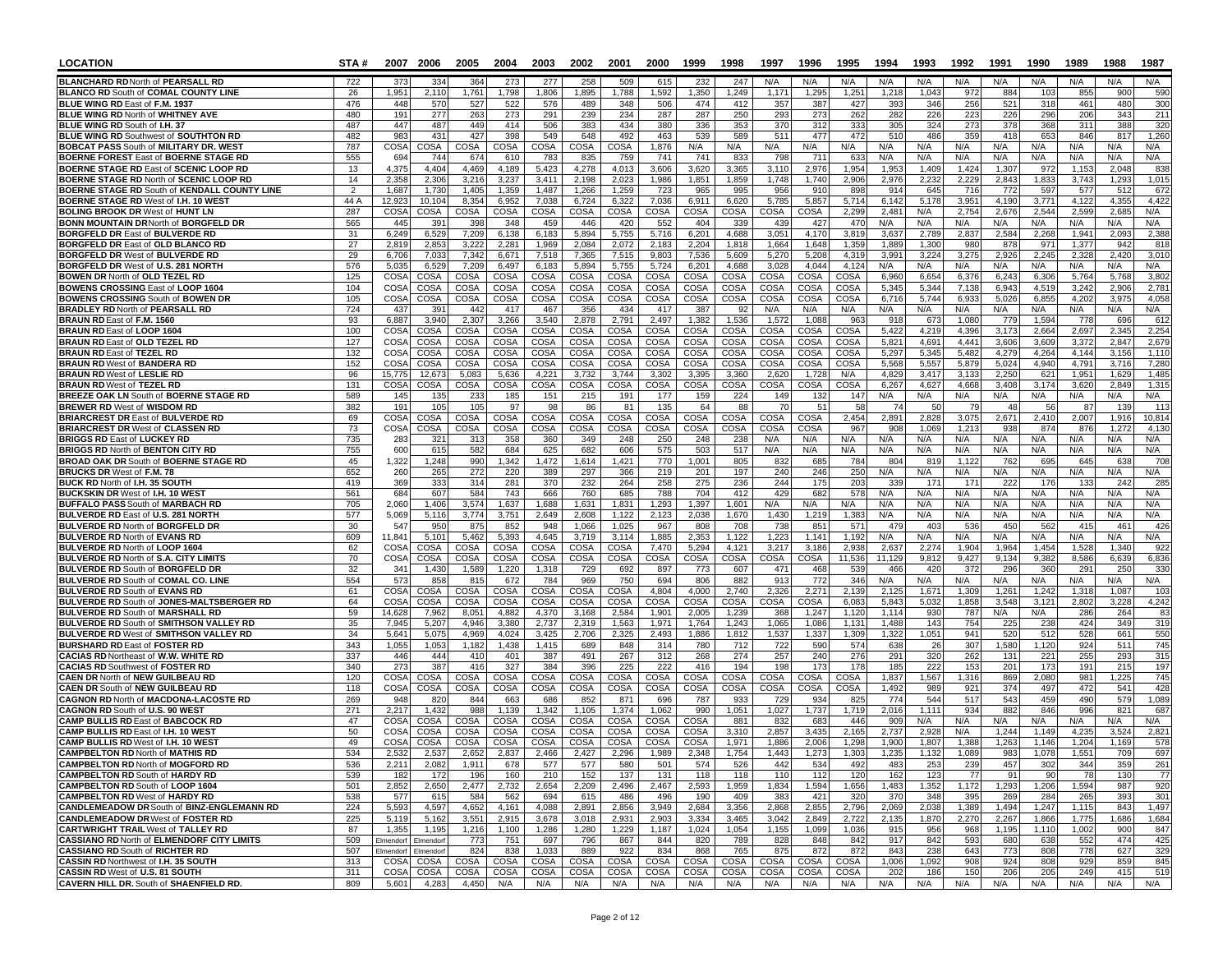| LOCATION                                                                              | STA #       |                     | 2007 2006           | 2005                | 2004           | 2003           | 2002           | 2001           | 2000          | 1999          | 1998           | 1997                | 1996           | 1995           | 1994           | 1993             | 1992           | 1991           | 1990           | 1989           | 1988            | 1987           |
|---------------------------------------------------------------------------------------|-------------|---------------------|---------------------|---------------------|----------------|----------------|----------------|----------------|---------------|---------------|----------------|---------------------|----------------|----------------|----------------|------------------|----------------|----------------|----------------|----------------|-----------------|----------------|
| <b>BLANCHARD RD North of PEARSALL RD</b>                                              | 722         | 373                 | 334                 | 364                 | 273            | 277            | 258            | 509            | 615           | 232           | 247            | N/A                 | N/A            | N/A            | N/A            | N/A              | N/A            | N/A            | N/A            | N/A            | N/A             | N/A            |
| <b>BLANCO RD South of COMAL COUNTY LINE</b>                                           | 26          | 1,951               | 2,110               | 1.761               | 1,798          | 1,806          | 1,895          | 1,788          | 1,592         | 1,350         | 1,249          | 1,171               | 1,295          | 1,251          | 1,218          | 1,043            | 972            | 884            | 103            | 855            | 900             | 590            |
| BLUE WING RD East of F.M. 1937                                                        | 476         | 448                 | 570                 | 527                 | 522            | 576            | 489            | 348            | 506           | 474           | 412            | 357                 | 387            | 427            | 393            | 346              | 256            | 521            | 318            | 461            | 480             | 300            |
| BLUE WING RD North of WHITNEY AVE<br>BLUE WING RD South of I.H. 37                    | 480<br>487  | 191<br>447          | 277<br>487          | 263<br>449          | 273<br>414     | 291<br>506     | 239<br>383     | 234<br>434     | 287<br>380    | 287<br>336    | 250<br>353     | 293<br>37C          | 273<br>312     | 262<br>333     | 282<br>305     | 226<br>324       | 223<br>273     | 226<br>378     | 296<br>368     | 206<br>311     | 343<br>388      | 211<br>320     |
| <b>BLUE WING RD Southwest of SOUTHTON RD</b>                                          | 482         | 983                 | 431                 | 427                 | 398            | 549            | 648            | 492            | 463           | 539           | 589            | 51'                 | 477            | 472            | 510            | 486              | 359            | 418            | 653            | 846            | 817             | 1,260          |
| <b>BOBCAT PASS South of MILITARY DR. WEST</b>                                         | 787         | <b>COSA</b>         | COSA                | COSA                | COSA           | COSA           | COSA           | <b>COSA</b>    | 1,876         | N/A           | N/A            | N/A                 | N/A            | N/A            | N/A            | N/A              | N/A            | N/A            | N/A            | N/A            | N/A             | N/A            |
| <b>BOERNE FOREST East of BOERNE STAGE RD</b>                                          | 555         | 694                 | 744                 | 674                 | 610            | 783            | 835            | 759            | 741           | 741           | 833            | 798                 | 711            | 633            | N/A            | N/A              | N/A            | N/A            | N/A            | N/A            | N/A             | N/A            |
| <b>BOERNE STAGE RD East of SCENIC LOOP RD</b>                                         | 13          | 4,375               | 4,404               | 4,469               | 4,189          | 5,423          | 4,278          | 4,013          | 3,606         | 3,620         | 3,365          | 3,11                | 2,976          | 1,954          | 1,953          | 1,409            | 1,424          | 1,307          | 972            | 1,15           | 2,048           | 838            |
| BOERNE STAGE RD North of SCENIC LOOP RD                                               | 14          | 2,358               | 2,306               | 3,216               | 3,237          | 3,411          | 2,198          | 2,023          | 1,986         | 1,851         | 1,859          | 1,748               | 1,740          | 2,906          | 2,976          | 2,23             | 2,229          | 2,843          | 1,833          | 3,743          | 1,293           | 1,015          |
| BOERNE STAGE RD South of KENDALL COUNTY LINE                                          | 2           | 1,687               | 1.730               | 1.405               | 1,359          | 1.487          | 1,266          | 1,259          | 723           | 965           | 995            | 956                 | 910            | 898            | 914            | 645              | 716            | 772            | 597            | 577            | 512             | 672            |
| <b>BOERNE STAGE RD West of I.H. 10 WEST</b><br><b>BOLING BROOK DR West of HUNT LN</b> | 44 A<br>287 | 12,923<br>COS/      | 10,104<br>COSA      | 8,354<br>COSA       | 6,952<br>COSA  | 7,038<br>COSA  | 6,724<br>COSA  | 6,322<br>COSA  | 7,036<br>COSA | 6,911<br>COSA | 6,620<br>COSA  | 5,785<br>COSA       | 5,857<br>COSA  | 5,714<br>2,299 | 6,142<br>2,481 | 5,178<br>N/A     | 3,951<br>2,754 | 4,190<br>2,676 | 3,771<br>2,544 | 4,122<br>2.599 | 4,355<br>2.685  | 4,422<br>N/A   |
| <b>BONN MOUNTAIN DR North of BORGFELD DR</b>                                          | 565         | 445                 | 391                 | 398                 | 348            | 459            | 446            | 420            | 552           | 404           | 339            | 439                 | 427            | 470            | N/A            | N/A              | N/A            | N/A            | N/A            | N/A            | N/A             | N/A            |
| <b>BORGFELD DR East of BULVERDE RD</b>                                                | 31          | 6,249               | 6,529               | 7,209               | 6,138          | 6,183          | 5,894          | 5,755          | 5,716         | 6,201         | 4,688          | 3,051               | 4,170          | 3,819          | 3,637          | 2,789            | 2,837          | 2,584          | 2,268          | 1,94'          | 2,093           | 2,388          |
| <b>BORGFELD DR East of OLD BLANCO RD</b>                                              | 27          | 2,819               | 2,853               | 3,222               | 2,281          | 1,969          | 2,084          | 2.072          | 2,183         | 2,204         | 1,818          | 1,664               | 1,648          | 1,359          | 1.889          | 1,300            | 980            | 878            | 971            | 1,377          | 942             | 818            |
| <b>BORGFELD DR West of BULVERDE RD</b>                                                | 29          | 6,706               | 7,033               | 7,342               | 6,671          | 7,518          | 7,365          | 7,515          | 9,803         | 7,536         | 5,609          | 5,270               | 5,208          | 4,319          | 3,991          | 3,224            | 3,275          | 2,926          | 2.245          | 2,328          | 2,420           | 3,010          |
| BORGFELD DR West of U.S. 281 NORTH                                                    | 576         | 5,035               | 6,529               | 7,209               | 6,497          | 6,183          | 5,894          | 5,755          | 5,724         | 6,201         | 4,688          | 3,028               | 4,044          | 4,124          | N/A            | N/A              | N/A            | N/A            | N/A            | N/A            | N/A             | N/A            |
| <b>BOWEN DR North of OLD TEZEL RD</b><br><b>BOWENS CROSSING East of LOOP 1604</b>     | 125<br>104  | COS/<br><b>COSA</b> | COSA<br>COSA        | COSA<br>COSA        | COSA<br>COSA   | COSA<br>COSA   | COSA<br>COSA   | COSA<br>COSA   | COSA<br>COSA  | COSA<br>COSA  | COSA<br>COSA   | COSA<br>COSA        | COSA<br>COSA   | COSA<br>COSA   | 6.960<br>5,345 | 6,654<br>5,344   | 6.376<br>7,138 | 6,243<br>6,943 | 6.306<br>4,519 | 5.764<br>3,242 | 5.768<br>2.906  | 3,802<br>2,781 |
| <b>BOWENS CROSSING South of BOWEN DR</b>                                              | 105         | COSA                | COSA                | COSA                | COSA           | COSA           | COSA           | COSA           | COSA          | COSA          | COSA           | COSA                | COSA           | COSA           | 6,716          | 5,744            | 6,933          | 5,026          | 6,855          | 4,202          | 3,97            | 4,058          |
| <b>BRADLEY RD North of PEARSALL RD</b>                                                | 724         | 437                 | 391                 | 442                 | 417            | 467            | 356            | 434            | 417           | 387           | 92             | N/A                 | N/A            | N/A            | N/A            | N/A              | N/A            | N/A            | N/A            | N/A            | N/A             | N/A            |
| BRAUN RD East of F.M. 1560                                                            | 93          | 6,887               | 3,940               | 2,307               | 3,266          | 3,540          | 2,878          | 2,791          | 2,497         | 1,382         | 1,536          | 1,572               | 1,088          | 963            | 918            | 673              | 1,080          | 779            | 1,594          | 778            | 696             | 612            |
| BRAUN RD East of LOOP 1604                                                            | 100         | COSA                | COSA                | COSA                | COSA           | COSA           | COSA           | COSA           | COSA          | COSA          | COSA           | COSA                | COSA           | COSA           | 5,422          | 4,219            | 4,396          | 3,173          | 2.664          | 2,697          | 2.345           | 2,254          |
| <b>BRAUN RD East of OLD TEZEL RD</b>                                                  | 127         | COSA                | COSA                | COSA                | COSA           | COSA           | COSA           | COSA           | COSA          | <b>COSA</b>   | COSA           | COSA                | COSA           | <b>COSA</b>    | 5,821          | 4,691            | 4,441          | 3,606          | 3,609          | 3,372          | 2,847           | 2,679          |
| <b>BRAUN RD East of TEZEL RD</b><br><b>BRAUN RD West of BANDERA RD</b>                | 132<br>152  | <b>COSA</b><br>COSA | COSA                | COSA<br>COSA        | COSA<br>COSA   | COSA           | COSA<br>COSA   | COSA           | COSA          | COSA          | COSA           | COSA<br><b>COSA</b> | COSA           | COSA<br>COSA   | 5,297<br>5,568 | 5,345            | 5,482<br>5,879 | 4,279<br>5,024 | 4,264<br>4.940 | 4,144<br>4,791 | 3.156<br>3.716  | 1,110<br>7,280 |
| <b>BRAUN RD West of LESLIE RD</b>                                                     | 96          | 15,775              | COSA<br>12,673      | 5,083               | 5,636          | COSA<br>4,221  | 3,732          | COSA<br>3,744  | COSA<br>3,302 | COSA<br>3,395 | COSA<br>3,360  | 2,62                | COSA<br>1,728  | N/A            | 4,829          | 5,557<br>3,417   | 3,133          | 2,250          | 621            | 1,951          | 1,629           | 1,485          |
| <b>BRAUN RD West of TEZEL RD</b>                                                      | 131         | COSA                | COSA                | COSA                | COSA           | COSA           | COSA           | COSA           | COSA          | COSA          | COSA           | COSA                | COSA           | COSA           | 6,267          | 4,627            | 4,668          | 3,408          | 3,174          | 3,620          | 2,849           | 1,315          |
| <b>BREEZE OAK LN South of BOERNE STAGE RD</b>                                         | 589         | 145                 | 135                 | 233                 | 185            | 151            | 215            | 191            | 177           | 159           | 224            | 149                 | 132            | 147            | N/A            | N/A              | N/A            | N/A            | N/A            | N/A            | N/A             | N/A            |
| <b>BREWER RD West of WISDOM RD</b>                                                    | 382         | 191                 | 105                 | 105                 | 97             | 98             | 86             | 81             | 135           | 64            | 88             | 7 <sup>0</sup>      | 51             | 58             | -74            | -50              | 79             | 48             | 56             | 87             | 139             | 113            |
| <b>BRIARCREST DR East of BULVERDE RD</b>                                              | 69          | <b>COSA</b>         | COSA                | COSA                | COSA           | COSA           | COSA           | COSA           | COSA          | COSA          | COSA           | COSA                | COSA           | 2,454          | 2,891          | 2,828            | 3,075          | 2,671          | 2,410          | 2,007          | 1,916           | 10,814         |
| <b>BRIARCREST DR West of CLASSEN RD</b>                                               | 73          | COSA                | COSA                | COSA                | COSA           | COSA           | COSA           | <b>COSA</b>    | COSA          | COSA          | COSA           | COSA                | COSA           | 967            | 908            | 1.069            | 1,213          | 938            | 874            | 876            | 1.272           | 4,130          |
| <b>BRIGGS RD East of LUCKEY RD</b><br><b>BRIGGS RD North of BENTON CITY RD</b>        | 735<br>755  | 283<br>60C          | 321<br>615          | 313<br>582          | 358<br>684     | 360<br>625     | 349<br>682     | 248<br>606     | 250<br>575    | 248<br>503    | 238<br>517     | N/A<br>N/A          | N/A<br>N/A     | N/A<br>N/A     | N/A<br>N/A     | N/A<br>N/A       | N/A<br>N/A     | N/A<br>N/A     | N/A<br>N/A     | N/A<br>N/A     | N/A<br>N/A      | N/A<br>N/A     |
| <b>BROAD OAK DR South of BOERNE STAGE RD</b>                                          | 45          | 1,322               | 1,248               | 990                 | 1,342          | 1,472          | 1,614          | 1,421          | 770           | 1.001         | 805            | 832                 | 685            | 784            | 804            | 81               | 1.122          | 762            | 695            | 645            | 63              | 708            |
| <b>BRUCKS DR</b> West of F.M. 78                                                      | 652         | 260                 | 265                 | 272                 | 220            | 389            | 297            | 366            | 219           | 201           | 197            | 240                 | 246            | 250            | N/A            | N/A              | N/A            | N/A            | N/A            | N/A            | N/A             | N/A            |
| BUCK RD North of I.H. 35 SOUTH                                                        | 419         | 369                 | 333                 | 314                 | 281            | 370            | 232            | 264            | 258           | 275           | 236            | 244                 | 175            | 203            | 339            | 17'              | 171            | 222            | 176            | 133            | 24              | 285            |
| <b>BUCKSKIN DR West of I.H. 10 WEST</b>                                               | 561         | 684                 | 607                 | 584                 | 743            | 666            | 760            | 685            | 788           | 704           | 412            | 429                 | 682            | 578            | N/A            | N/A              | N/A            | N/A            | N/A            | N/A            | N/A             | N/A            |
| <b>BUFFALO PASS South of MARBACH RD</b>                                               | 705         | 2,060               | 1,406               | 3,574               | 1,637          | 1,688          | 1,631          | 1,831          | 1,293         | 1,397         | 1,601          | N/A                 | N/A            | N/A            | N/A            | N/A              | N/A            | N/A            | N/A            | N/A            | N/A             | N/A            |
| BULVERDE RD East of U.S. 281 NORTH<br><b>BULVERDE RD North of BORGFELD DR</b>         | 577<br>30   | 5,069<br>547        | 5,116<br>950        | 3,774<br>875        | 3,751<br>852   | 2,649<br>948   | 2,608<br>1,066 | 1,122<br>1,025 | 2,123<br>967  | 2.038<br>808  | 1,670<br>708   | 1,430<br>738        | 1,219<br>851   | 1,383<br>571   | N/A<br>479     | N/A<br>403       | N/A<br>536     | N/A<br>450     | N/A<br>562     | N/A<br>415     | N/A<br>46'      | N/A<br>426     |
| <b>BULVERDE RD North of EVANS RD</b>                                                  | 609         | 11,841              | 5,101               | 5,462               | 5,393          | 4,645          | 3,719          | 3,114          | 1,885         | 2,353         | 1,122          | 1,223               | 1,141          | 1,192          | N/A            | N/A              | N/A            | N/A            | N/A            | N/A            | N/A             | N/A            |
| <b>BULVERDE RD North of LOOP 1604</b>                                                 | 62          | COSA                | COSA                | COSA                | COSA           | COSA           | COSA           | COSA           | 7,470         | 5,294         | 4.121          | 3,217               | 3,186          | 2.938          | 2.637          | 2,27             | 1.904          | 1,964          | 1.454          | 1,52           | 1.34            | 922            |
| <b>BULVERDE RD North of S.A. CITY LIMITS</b>                                          | 70          | COSA                | COSA                | COSA                | COSA           | COSA           | COSA           | COSA           | COSA          | COSA          | COSA           | COSA                | COSA           | 11,536         | 11.129         | 9,812            | 9,427          | 9,134          | 9.382          | 8,586          | 6.639           | 6,836          |
| <b>BULVERDE RD South of BORGFELD DR</b>                                               | 32          | 341                 | 1,430               | 1,589               | 1,220          | 1,318          | 729            | 692            | 897           | 773           | 607            | 471                 | 468            | 539            | 466            | 42C              | 372            | 296            | 360            | 291            | 250             | 330            |
| <b>BULVERDE RD South of COMAL CO. LINE</b>                                            | 554         | 573                 | 858                 | 815                 | 672            | 784            | 969            | 750            | 694           | 806           | 882            | 913                 | 772            | 346            | N/A            | N/A              | N/A            | N/A            | N/A            | N/A            | N/A             | N/A            |
| <b>BULVERDE RD South of EVANS RD</b><br>BULVERDE RD South of JONES-MALTSBERGER RD     | 61<br>64    | COSA<br>COSA        | COSA<br>COSA        | COSA<br><b>COSA</b> | COSA<br>COSA   | COSA<br>COSA   | COSA<br>COSA   | COSA<br>COSA   | 4,804<br>COSA | 4,000<br>COSA | 2,740<br>COSA  | 2,326<br>COSA       | 2,271<br>COSA  | 2,139<br>6,083 | 2,125<br>5,843 | 1,671<br>5,032   | 1,309<br>1,858 | 1,261<br>3,548 | 1,242<br>3,121 | 1,318<br>2,802 | 1,087<br>3,228  | 103<br>4,242   |
| <b>BULVERDE RD South of MARSHALL RD</b>                                               | 59          | 14,628              | 7,962               | 8,051               | 4,882          | 4,370          | 3,168          | 2,584          | 1,901         | 2,005         | 1,239          | 368                 | 1,247          | 1,120          | 1,114          | 930              | 787            | N/A            | N/A            | 286            | 264             | 83             |
| <b>BULVERDE RD South of SMITHSON VALLEY RD</b>                                        | 35          | 7,945               | 5,207               | 4,946               | 3,380          | 2,737          | 2,319          | 1,563          | 1,971         | 1,764         | 1,243          | 1,065               | 1,086          | 1,131          | 1,488          | 143              | 754            | 225            | 238            | 424            | 349             | 319            |
| <b>BULVERDE RD West of SMITHSON VALLEY RD</b>                                         | 34          | 5,641               | 5.075               | 4.969               | 4,024          | 3,425          | 2,706          | 2,325          | 2,493         | 1,886         | 1,812          | 1,537               | 1,337          | 1,309          | 1,322          | 1,051            | 941            | 520            | 512            | 528            | 66              | 550            |
| <b>BURSHARD RD East of FOSTER RD</b>                                                  | 343         | 1,055               | 1,053               | 1,182               | 1,438          | 1,415          | 689            | 848            | 314           | 780           | 712            | 722                 | 590            | 574            | 638            | 26               | 307            | 1,580          | 1,120          | 924            | 511             | 745            |
| <b>CACIAS RD Northeast of W.W. WHITE RD</b>                                           | 337         | 446                 | 444                 | 410                 | 401            | 387            | 491            | 267            | 312           | 268           | 274            | 257                 | 240            | 276            | 291            | 320              | 262            | 131            | 221            | 255            | 293             | 315            |
| <b>CACIAS RD Southwest of FOSTER RD</b><br><b>CAEN DR North of NEW GUILBEAU RD</b>    | 340<br>120  | 273<br>COSA         | 387<br>COSA         | 416<br><b>COSA</b>  | 327<br>COSA    | 384<br>COSA    | 396<br>COSA    | 225<br>COSA    | 222<br>COSA   | 416<br>COSA   | 194<br>COSA    | 198<br>COSA         | 173<br>COSA    | 178<br>COSA    | 185<br>1,837   | 222<br>1,567     | 153<br>1,316   | 201<br>869     | 173<br>2,080   | 191<br>981     | 215<br>1,225    | 197<br>745     |
| <b>CAEN DR South of NEW GUILBEAU RD</b>                                               | 118         | COSA                | COSA                | COSA                | COSA           | COSA           | COSA           | COSA           | COSA          | COSA          | COSA           | COSA                | <b>COSA</b>    | COSA           | 1,492          | 989              | 921            | 374            | 497            | 472            | 54'             | 428            |
| <b>CAGNON RD North of MACDONA-LACOSTE RD</b>                                          | 269         | 948                 | 820                 | 844                 | 663            | 686            | 852            | 871            | 696           | 787           | 933            | 729                 | 934            | 825            | 774            | 544              | 517            | 543            | 459            | 490            | 579             | 1,089          |
| <b>CAGNON RD South of U.S. 90 WEST</b>                                                | 271         | 2,217               | 1,432               | 988                 | 1,139          | 1,342          | 1,105          | 1,374          | 1,062         | 990           | 1,051          | 1,027               | 1,737          | 1,719          | 2,016          | 1,111            | 934            | 882            | 846            | 996            | 82 <sup>2</sup> | 687            |
| <b>CAMP BULLIS RD East of BABCOCK RD</b>                                              | 47          | COS/                | COSA                | COSA                | COSA           | COSA           | COSA           | <b>COSA</b>    | COSA          | COSA          | 881            | 832                 | 683            | 446            | 909            | N/A              | N/A            | N/A            | N/A            | N/A            | N/A             | N/A            |
| <b>CAMP BULLIS RD East of I.H. 10 WEST</b>                                            | 50          | COSA                | COSA                | <b>COSA</b>         | COSA           | COSA           | COSA           | COSA           | COSA          | COSA          | 3.310          | 2,857               | 3.435          | 2.165          | 2.737          | 2,928            | N/A            | 1.244          | 1.149          | 4,235          | 3,524           | 2,821          |
| <b>CAMP BULLIS RD West of I.H. 10 WEST</b><br><b>CAMPBELTON RD North of MATHIS RD</b> | 49<br>534   | COSA<br>2,532       | COSA<br>2,537       | COSA<br>2,652       | COSA<br>2,837  | COSA<br>2,466  | COSA<br>2,427  | COSA<br>2,296  | COSA<br>1.989 | COSA<br>2,348 | 1,971<br>1,754 | 1,886<br>1.443      | 2,006<br>1,273 | 1,298<br>1,303 | 1,900          | 1,807<br>1 1 3 2 | 1,388          | 1,263<br>983   | 1,146<br>1,078 | 1,204<br>1,551 | 1,169           | 578<br>697     |
| <b>CAMPBELTON RD North of MOGFORD RD</b>                                              | 536         | 2,211               | 2,082               | 1,911               | 678            | 577            | 577            | 580            | 501           | 574           | 526            | 442                 | 534            | 492            | 483            | 253              | 239            | 457            | 302            | 344            | 359             | 261            |
| <b>CAMPBELTON RD South of HARDY RD</b>                                                | 539         | 182                 | 172                 | 196                 | 160            | 210            | 152            | 137            | 131           | 118           | 118            | 110                 | 112            | 120            | 162            | 123              | 77             | 91             | 90             | 78             | 130             | 77             |
| CAMPBELTON RD South of LOOP 1604                                                      | 501         | 2,852               | 2,650               | 2,477               | 2,732          | 2,654          | 2,209          | 2,496          | 2,467         | 2,593         | 1,959          | 1,834               | 1,594          | 1,656          | 1,483          | 1,352            | 1,172          | 1,293          | 1,206          | 1,594          | 987             | 920            |
| <b>CAMPBELTON RD West of HARDY RD</b>                                                 | 538         | 577                 | 615                 | 584                 | 562            | 694            | 615            | 486            | 496           | 190           | 409            | 383                 | 421            | 320            | 370            | 348              | 395            | 269            | 284            | 265            | 393             | 301            |
| <b>CANDLEMEADOW DR South of BINZ-ENGLEMANN RD</b>                                     | 224         | 5,593               | 4,597               | 4,652               | 4,161          | 4,088          | 2,891          | 2,856          | 3,949         | 2,684         | 3,356          | 2,868               | 2,855          | 2,796          | 2,069          | 2,038            | 1,389          | 1,494          | 1,247          | 1,115          | 843             | 1,497          |
| <b>CANDLEMEADOW DR West of FOSTER RD</b><br><b>CARTWRIGHT TRAIL West of TALLEY RD</b> | 225<br>87   | 5,119<br>1,355      | 5,162<br>1,195      | 3,551<br>1,216      | 2,915<br>1,100 | 3,678<br>1,286 | 3,018<br>1,280 | 2,931<br>1,229 | 2,903         | 3,334         | 3,465<br>1,054 | 3,042<br>1,155      | 2,849<br>1,099 | 2,722<br>1,036 | 2,135          | 1,870<br>956     | 2,270<br>968   | 2,267          | 1,866          | 1,775<br>1,002 | 1,686<br>900    | 1,684<br>847   |
| <b>CASSIANO RD North of ELMENDORF CITY LIMITS</b>                                     | 509         |                     | Elmendorf Elmendorf | 773                 | 751            | 697            | 796            | 867            | 1,187<br>844  | 1,024<br>820  | 789            | 828                 | 848            | 842            | 915<br>917     | 842              | 593            | 1,195<br>680   | 1,110<br>638   | 552            | 474             | 425            |
| <b>CASSIANO RD South of RICHTER RD</b>                                                | 507         | Elmendorf           | Elmendorf           | 824                 | 838            | 1,033          | 889            | 922            | 834           | 868           | 765            | 875                 | 872            | 872            | 843            | 238              | 643            | 773            | 808            | 778            | 627             | 329            |
| CASSIN RD Northwest of I.H. 35 SOUTH                                                  | 313         | COSA                | COSA                | COSA                | COSA           | COSA           | COSA           | COSA           | COSA          | COSA          | COSA           | COSA                | COSA           | COSA           | 1,006          | 1,092            | 908            | 924            | 808            | 929            | 859             | 845            |
| CASSIN RD West of U.S. 81 SOUTH                                                       | 311         | COSA                | COSA                | COSA                | COSA           | COSA           | COSA           | COSA           | COSA          | COSA          | COSA           | COSA                | COSA           | COSA           | 202            | 186              | 150            | 206            | 205            | 249            | 415             | 519            |
| <b>CAVERN HILL DR. South of SHAENFIELD RD.</b>                                        | 809         | 5,601               | 4,283               | 4,450               | N/A            | N/A            | N/A            | N/A            | N/A           | N/A           | N/A            | N/A                 | N/A            | N/A            | N/A            | N/A              | N/A            | N/A            | N/A            | N/A            | N/A             | N/A            |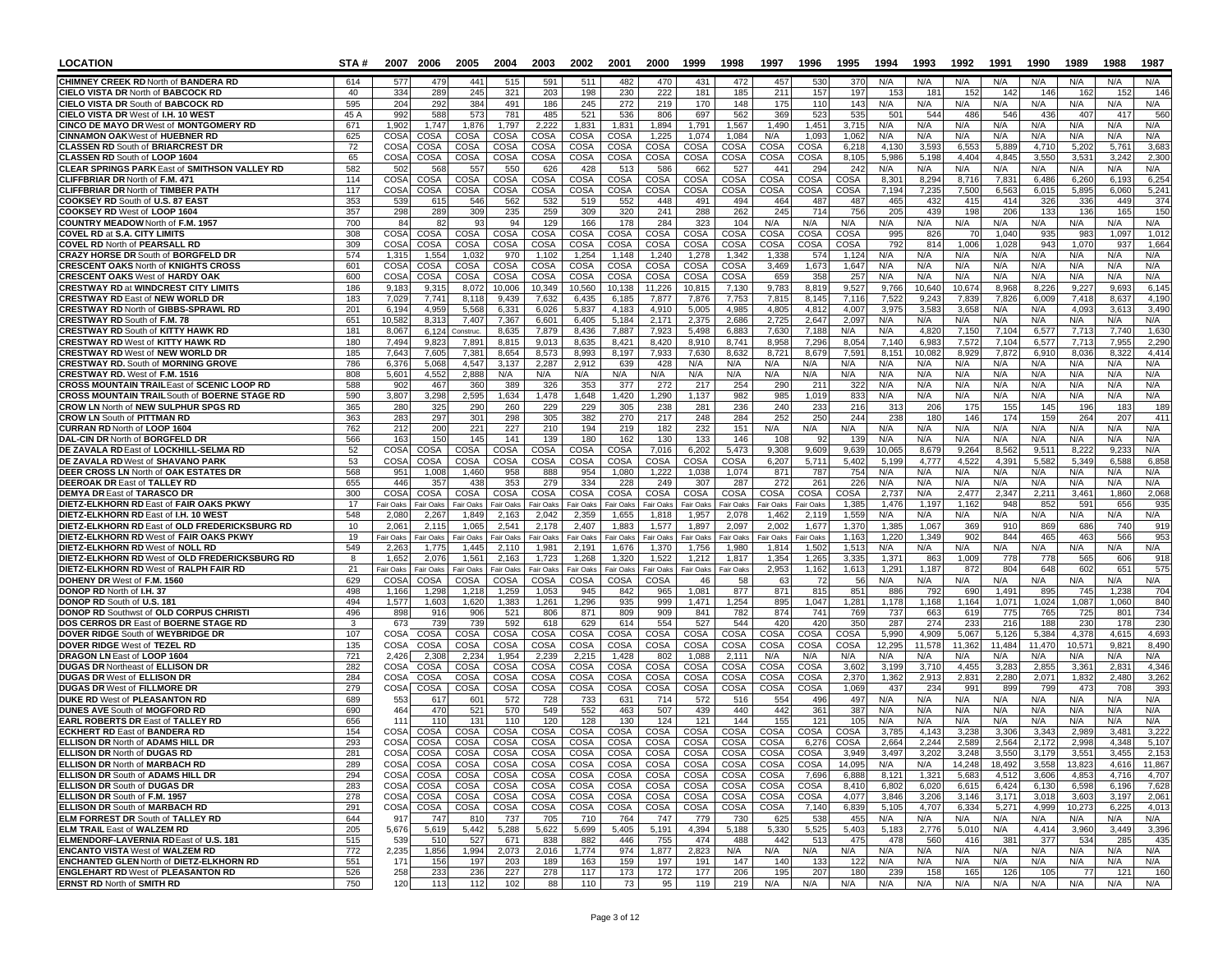| LOCATION                                                                                     | STA#        |                            | 2007 2006          | 2005                               | 2004                | 2003               | 2002               | 2001               | 2000               | 1999               | 1998               | 1997               | 1996               | 1995            | 1994            | 1993                   | 1992            | 1991            | 1990            | 1989            | 1988                     | 1987           |
|----------------------------------------------------------------------------------------------|-------------|----------------------------|--------------------|------------------------------------|---------------------|--------------------|--------------------|--------------------|--------------------|--------------------|--------------------|--------------------|--------------------|-----------------|-----------------|------------------------|-----------------|-----------------|-----------------|-----------------|--------------------------|----------------|
| <b>CHIMNEY CREEK RD North of BANDERA RD</b>                                                  | 614         | 577                        | 47                 | 441                                | 515                 | 591                | 511                | 482                | 470                | 431                | 472                | 457                | 530                | 370             | N/A             | N/A                    | N/A             | N/A             | N/A             | N/A             | N/A                      | N/A            |
| CIELO VISTA DR North of BABCOCK RD                                                           | 40          | 334                        | 289                | 245                                | 321                 | 203                | 198                | 230                | 222                | 181                | 185                | 211                | 157                | 197             | 153             | 18'                    | 152             | 142             | 146             | 162             | 15 <sub>2</sub>          | 146            |
| <b>CIELO VISTA DR South of BABCOCK RD</b><br><b>CIELO VISTA DR West of I.H. 10 WEST</b>      | 595<br>45 A | 204<br>992                 | 292<br>588         | 384<br>573                         | 491<br>781          | 186<br>485         | 245<br>521         | 272<br>536         | 219<br>806         | 170<br>697         | 148<br>562         | 175<br>369         | 110<br>523         | 143<br>535      | N/A<br>501      | N/A<br>544             | N/A<br>486      | N/A<br>546      | N/A<br>436      | N/A<br>407      | N/A<br>41                | N/A<br>560     |
| CINCO DE MAYO DR West of MONTGOMERY RD                                                       | 671         | 1,902                      | 1,747              | 1,876                              | 1,797               | 2,222              | 1,831              | 1,831              | 1,894              | 1,791              | 1,567              | 1.490              | 1,451              | 3,715           | N/A             | N/A                    | N/A             | N/A             | N/A             | N/A             | N/A                      | N/A            |
| <b>CINNAMON OAKWest of HUEBNER RD</b>                                                        | 625         | <b>COSA</b>                | COSA               | COSA                               | COSA                | COSA               | COSA               | COSA               | 1,225              | 1.074              | 1.084              | N/A                | 1,093              | 1.062           | N/A             | N/A                    | N/A             | N/A             | N/A             | N/A             | N/A                      | N/A            |
| <b>CLASSEN RD South of BRIARCREST DR</b><br>CLASSEN RD South of LOOP 1604                    | 72<br>65    | <b>COSA</b><br><b>COSA</b> | COSA<br>COSA       | COSA<br>COSA                       | COSA<br>COSA        | COSA<br>COSA       | COSA<br>COSA       | COSA<br>COSA       | COSA<br>COSA       | COSA<br>COSA       | COSA<br>COSA       | COSA<br>COSA       | COSA<br>COSA       | 6,218<br>8.105  | 4,130<br>5,986  | 3,59<br>5,198          | 6,553<br>4.404  | 5,889<br>4,845  | 4.710<br>3,550  | 5,20<br>3,53    | 5,76'<br>3,242           | 3,683<br>2,300 |
| <b>CLEAR SPRINGS PARK East of SMITHSON VALLEY RD</b>                                         | 582         | 502                        | 56                 | 557                                | 550                 | 626                | 428                | 513                | 586                | 662                | 527                | 441                | 294                | 242             | N/A             | N/A                    | N/A             | N/A             | N/A             | N/A             | N/A                      | N/A            |
| <b>CLIFFBRIAR DR North of F.M. 471</b>                                                       | 114         | <b>COSA</b>                | COSA               | COSA                               | COSA                | COSA               | COSA               | COSA               | COSA               | COSA               | COSA               | COSA               | COSA               | COSA            | 8,301           | 8,294                  | 8,716           | 7,83'           | 6,486           | 6,260           | 6,193                    | 6,254          |
| <b>CLIFFBRIAR DR North of TIMBER PATH</b><br><b>COOKSEY RD</b> South of U.S. 87 EAST         | 117<br>353  | <b>COSA</b><br>539         | COSA<br>615        | COSA<br>546                        | COSA<br>562         | COSA<br>532        | COSA<br>519        | COSA<br>552        | COSA<br>448        | COSA<br>491        | COSA<br>494        | COSA<br>464        | COSA<br>487        | COSA<br>487     | 7,194<br>465    | 7,23<br>432            | 7,500<br>415    | 6,563<br>414    | 6,015<br>326    | 5,895<br>336    | 6.06<br>449              | 5,241<br>374   |
| COOKSEY RD West of LOOP 1604                                                                 | 357         | 298                        | 289                | 309                                | 235                 | 259                | 309                | 320                | 241                | 288                | 262                | 245                | 714                | 756             | 205             | 439                    | 198             | 206             | 133             | 136             | 165                      | 150            |
| <b>COUNTRY MEADOW North of F.M. 1957</b>                                                     | 700         | 84                         | -82                | 93                                 | 94                  | 129                | 166                | 178                | 284                | 323                | 104                | N/A                | N/A                | N/A             | N/A             | N/A                    | N/A             | N/A             | N/A             | N/A             | N/A                      | N/A            |
| <b>COVEL RD at S.A. CITY LIMITS</b><br><b>COVEL RD North of PEARSALL RD</b>                  | 308<br>309  | <b>COSA</b><br>COSA        | COSA<br>COSA       | COSA                               | <b>COSA</b><br>COSA | COSA<br>COSA       | COSA<br>COSA       | COSA<br>COSA       | COSA<br>COSA       | COSA               | COSA<br>COSA       | COSA<br>COSA       | COSA<br>COSA       | COSA<br>COSA    | 995<br>792      | 826<br>814             | 70<br>1.006     | 1,040<br>1.028  | 935<br>943      | 983<br>1,070    | 1.097<br>93              | 1,012<br>1,664 |
| <b>CRAZY HORSE DR South of BORGFELD DR</b>                                                   | 574         | 1,315                      | 1.554              | COSA<br>1.032                      | 970                 | 1.102              | 1,254              | 1.148              | 1,240              | COSA<br>1,278      | 1,342              | 1.338              | 574                | 1,124           | N/A             | N/A                    | N/A             | N/A             | N/A             | N/A             | N/A                      | N/A            |
| <b>CRESCENT OAKS North of KNIGHTS CROSS</b>                                                  | 601         | COS/                       | COSA               | COSA                               | COSA                | COSA               | COSA               | COSA               | COSA               | COSA               | COSA               | 3,469              | 1,673              | 1,647           | N/A             | N/A                    | N/A             | N/A             | N/A             | N/A             | N/A                      | N/A            |
| <b>CRESCENT OAKS West of HARDY OAK</b>                                                       | 600         | <b>COSA</b>                | COSA               | COSA                               | COSA                | COSA               | COSA               | COSA               | COSA               | COSA               | COSA               | 659                | 358                | 257             | N/A             | N/A                    | N/A             | N/A             | N/A             | N/A             | N/A                      | N/A            |
| <b>CRESTWAY RD at WINDCREST CITY LIMITS</b><br><b>CRESTWAY RD East of NEW WORLD DR</b>       | 186<br>183  | 9.183<br>7,029             | 9.315<br>7,741     | 8.072<br>8,118                     | 10.006<br>9,439     | 10.349<br>7,632    | 10,560<br>6,435    | 10.138<br>6,185    | 11,226<br>7,877    | 10.815<br>7,876    | 7.130<br>7,753     | 9,783<br>7,815     | 8,819<br>8,145     | 9,527<br>7,116  | 9.766<br>7,52   | 10,640<br>9,24         | 10.674<br>7,839 | 8.968<br>7,826  | 8.226<br>6,009  | 9,22<br>7,418   | 9.69<br>8,63             | 6,145<br>4,190 |
| <b>CRESTWAY RD North of GIBBS-SPRAWL RD</b>                                                  | 201         | 6,194                      | 4.959              | 5,568                              | 6,331               | 6,026              | 5,837              | 4,183              | 4,910              | 5,005              | 4,985              | 4,805              | 4,812              | 4.007           | 3.975           | 3,583                  | 3,658           | N/A             | N/A             | 4,093           | 3,61                     | 3,490          |
| <b>CRESTWAY RD South of F.M. 78</b>                                                          | 651         | 10,582                     | 8,313              | 7,407                              | 7,367               | 6,601              | 6,405              | 5,184              | 2,171              | 2,375              | 2,686              | 2,725              | 2,647              | 2,097           | N/A             | N/A                    | N/A             | N/A             | N/A             | N/A             | N/A                      | N/A            |
| <b>CRESTWAY RD South of KITTY HAWK RD</b><br><b>CRESTWAY RD West of KITTY HAWK RD</b>        | 181<br>180  | 8,067<br>7,494             | 6,124<br>9.823     | Construc<br>7,891                  | 8,635<br>8,815      | 7,879<br>9,013     | 8,436<br>8.635     | 7,887<br>8.421     | 7,923<br>8,420     | 5,498<br>8,910     | 6,883<br>8,741     | 7,630<br>8.958     | 7,188<br>7,296     | N/A<br>8.054    | N/A<br>7,140    | 4,820<br>6,98          | 7,150<br>7,572  | 7,104<br>7.104  | 6,57<br>6.577   | 7,71<br>7,71    | 7,740<br>7.95            | 1,630<br>2,290 |
| <b>CRESTWAY RD West of NEW WORLD DR</b>                                                      | 185         | 7,643                      | 7,605              | 7,381                              | 8,654               | 8,573              | 8.993              | 8,197              | 7,933              | 7,630              | 8,632              | 8,72               | 8,679              | 7,591           | 8,15            | 10,08                  | 8,929           | 7,872           | 6.910           | 8,036           | 8,322                    | 4,414          |
| <b>CRESTWAY RD.</b> South of MORNING GROVE                                                   | 786         | 6,376                      | 5,068              | 4,547                              | 3,137               | 2,287              | 2,912              | 639                | 428                | N/A                | N/A                | N/A                | N/A                | N/A             | N/A             | N/A                    | N/A             | N/A             | N/A             | N/A             | N/A                      | N/A            |
| <b>CRESTWAY RD.</b> West of F.M. 1516<br><b>CROSS MOUNTAIN TRAIL East of SCENIC LOOP RD</b>  | 808<br>588  | 5,601<br>902               | 4,552<br>467       | 2,888<br>360                       | N/A<br>389          | N/A<br>326         | N/A<br>353         | N/A<br>377         | N/A<br>272         | N/A<br>217         | N/A<br>254         | N/A<br>290         | N/A<br>211         | N/A<br>322      | N/A<br>N/A      | N/A<br>N/A             | N/A<br>N/A      | N/A<br>N/A      | N/A<br>N/A      | N/A<br>N/A      | N/A<br>N/A               | N/A<br>N/A     |
| <b>CROSS MOUNTAIN TRAIL South of BOERNE STAGE RD</b>                                         | 590         | 3,807                      | 3,298              | 2,595                              | 1,634               | 1,478              | 1,648              | 1,420              | 1,290              | 1,137              | 982                | 985                | 1,019              | 83              | N/A             | N/A                    | N/A             | N/A             | N/A             | N/A             | N/A                      | N/A            |
| CROW LN North of NEW SULPHUR SPGS RD                                                         | 365         | 280                        | 325                | 290                                | 260                 | 229                | 229                | 305                | 238                | 281                | 236                | 240                | 233                | 216             | 313             | 206                    | 175             | 155             | 145             | 196             | 183                      | 189            |
| <b>CROW LN South of PITTMAN RD</b><br>CURRAN RD North of LOOP 1604                           | 363<br>762  | 283<br>212                 | 297<br>200         | 301<br>221                         | 298<br>227          | 305<br>210         | 382<br>194         | 270<br>219         | 217<br>182         | 248<br>232         | 284<br>151         | 252<br>N/A         | 250<br>N/A         | 244<br>N/A      | 238<br>N/A      | 18 <sub>C</sub><br>N/A | 146<br>N/A      | 174<br>N/A      | 159<br>N/A      | 264<br>N/A      | 207<br>N/A               | 411<br>N/A     |
| DAL-CIN DR North of BORGFELD DR                                                              | 566         | 163                        | 150                | 145                                | 141                 | 139                | 180                | 162                | 130                | 133                | 146                | 108                | 92                 | 139             | N/A             | N/A                    | N/A             | N/A             | N/A             | N/A             | N/A                      | N/A            |
| DE ZAVALA RD East of LOCKHILL-SELMA RD                                                       | 52          | COSA                       | COSA               | COSA                               | COSA                | COSA               | COSA               | COSA               | 7,016              | 6,202              | 5,473              | 9,308              | 9,609              | 9,63            | 10,065          | 8,67                   | 9,264           | 8,562           | 9,51            | 8,22            | 9,23                     | N/A            |
| DE ZAVALA RD West of SHAVANO PARK<br>DEER CROSS LN North of OAK ESTATES DR                   | 53<br>568   | COSA<br>951                | COSA<br>1,008      | COSA<br>1,460                      | COSA<br>958         | COSA<br>888        | COSA<br>954        | COSA<br>1,080      | COSA<br>1,222      | COSA<br>1,038      | COSA<br>1,074      | 6,207<br>871       | 5,711<br>787       | 5,402<br>754    | 5,199<br>N/A    | 4,77<br>N/A            | 4,522<br>N/A    | 4,391<br>N/A    | 5,58<br>N/A     | 5,34<br>N/A     | 6,58<br>N/A              | 6,858<br>N/A   |
| <b>DEEROAK DR East of TALLEY RD</b>                                                          | 655         | 446                        | 357                | 438                                | 353                 | 279                | 334                | 228                | 249                | 307                | 287                | 272                | 261                | 226             | N/A             | N/A                    | N/A             | N/A             | N/A             | N/A             | N/A                      | N/A            |
| DEMYA DR East of TARASCO DR                                                                  | 300         | <b>COSA</b>                | COSA               | COSA                               | <b>COSA</b>         | COSA               | COSA               | COSA               | COSA               | COSA               | COSA               | COSA               | COSA               | COSA            | 2,737           | N/A                    | 2,477           | 2.347           | 2,211           | 3,46'           | 1,86                     | 2,068          |
| DIETZ-ELKHORN RD East of FAIR OAKS PKWY<br>DIETZ-ELKHORN RD East of I.H. 10 WEST             | 17<br>548   | Fair Oaks<br>2,080         | Fair Oaks<br>2,267 | Fair Oaks<br>1,849                 | Fair Oaks<br>2,163  | Fair Oaks<br>2,042 | Fair Oaks<br>2.359 | Fair Oaks<br>1,655 | Fair Oaks<br>1,818 | Fair Oaks<br>1,957 | Fair Oaks<br>2,078 | Fair Oaks<br>1.462 | Fair Oaks<br>2,119 | 1,385<br>1,559  | 1,476<br>N/A    | 1,197<br>N/A           | 1.162<br>N/A    | 948<br>N/A      | 852<br>N/A      | 591<br>N/A      | 656<br>N/A               | 935<br>N/A     |
| DIETZ-ELKHORN RD East of OLD FREDERICKSBURG RD                                               | 10          | 2,06'                      | 2,115              | 1,065                              | 2,541               | 2,178              | 2,407              | 1,883              | 1,577              | 1,897              | 2,097              | 2.002              | 1,677              | 1,370           | 1,385           | 1,067                  | 369             | 910             | 869             | 686             | 740                      | 919            |
| DIETZ-ELKHORN RD West of FAIR OAKS PKWY                                                      | 19          | Fair Oaks                  | Fair Oaks          | Fair Oaks                          | <b>Fair Oaks</b>    | Fair Oaks          | Fair Oaks          | Fair Oaks          | Fair Oaks          | Fair Oaks          | Fair Oaks          | Fair Oaks          | Fair Oaks          | 1,163           | 1,220           | 1,349                  | 902             | 844             | 465             | 463             | 566                      | 953            |
| DIETZ-ELKHORN RD West of NOLL RD<br>DIETZ-ELKHORN RD West of OLD FREDERICKSBURG RD           | 549<br>8    | 2,263<br>1,652             | 1,775<br>2,076     | 1,445<br>1,561                     | 2.110<br>2,163      | 1,981<br>1,723     | 2.191<br>1,268     | 1,676<br>1,320     | 1,370              | 1,756<br>1,212     | 1,980<br>1,817     | 1,814<br>1,354     | 1,502<br>1,265     | 1,51<br>3,335   | N/A<br>1,371    | N/A<br>86              | N/A<br>1.009    | N/A<br>778      | N/A<br>778      | N/A<br>565      | N/A<br>606               | N/A<br>918     |
| <b>DIETZ-ELKHORN RD West of RALPH FAIR RD</b>                                                | 21          | Fair Oaks                  | Fair Oaks          | Fair Oaks                          | <b>Fair Oaks</b>    | Fair Oaks          | Fair Oaks          | Fair Oaks          | 1,522<br>Fair Oaks | Fair Oaks          | Fair Oaks          | 2,953              | 1,162              | 1,61            | 1,291           | 1,187                  | 872             | 804             | 648             | 602             | 65'                      | 575            |
| DOHENY DR West of F.M. 1560                                                                  | 629         | <b>COSA</b>                | COSA               | COSA                               | <b>COSA</b>         | COSA               | COSA               | COSA               | COSA               | 46                 | 58                 | 63                 | 72                 | 56              | N/A             | N/A                    | N/A             | N/A             | N/A             | N/A             | N/A                      | N/A            |
| DONOP RD North of I.H. 37                                                                    | 498<br>494  | 1,166                      | 1,298              | 1,218                              | 1,259               | 1,053              | 945                | 842                | 965                | 1,081              | 877                | 871                | 815                | 851             | 886             | 792                    | 690             | 1,491           | 895             | 745             | 1,238                    | 704            |
| DONOP RD South of U.S. 181<br><b>DONOP RD Southwst of OLD CORPUS CHRISTI</b>                 | 496         | 1,577<br>898               | 1,603<br>916       | 1,620<br>906                       | 1,383<br>521        | 1,261<br>806       | 1,296<br>871       | 935<br>809         | 999<br>909         | 1,471<br>841       | 1,254<br>782       | 895<br>874         | 1,047<br>741       | 1,281<br>769    | 1,178<br>737    | 1,168<br>663           | 1,164<br>619    | 1,071<br>775    | 1,024<br>765    | 1,087<br>725    | 1,060<br>80 <sup>2</sup> | 840<br>734     |
| DOS CERROS DR East of BOERNE STAGE RD                                                        | 3           | 673                        | 739                | 739                                | 592                 | 618                | 629                | 614                | 554                | 527                | 544                | 420                | 420                | 35 <sub>C</sub> | 287             | 274                    | 233             | 216             | 188             | 230             | 178                      | 230            |
| DOVER RIDGE South of WEYBRIDGE DR<br>DOVER RIDGE West of TEZEL RD                            | 107<br>135  | COSA<br>COSA               | COSA               | COSA                               | COSA<br>COSA        | COSA<br>COSA       | COSA<br>COSA       | COSA<br>COSA       | COSA               | COSA<br>COSA       | COSA               | COSA<br>COSA       | COSA<br>COSA       | COSA<br>COSA    | 5,990<br>12,295 | 4,909<br>11,578        | 5,067<br>11.362 | 5,126<br>11.484 | 5,384<br>11.470 | 4,378<br>10,571 | 4,61<br>9.82             | 4,693<br>8,490 |
| DRAGON LN East of LOOP 1604                                                                  | 721         | 2,426                      | COSA<br>2,30       | COSA<br>2,234                      | 1.954               | 2,239              | 2,215              | 1,428              | COSA<br>802        | 1,088              | COSA<br>2,111      | N/A                | N/A                | N/A             | N/A             | N/A                    | N/A             | N/A             | N/A             | N/A             | N/A                      | N/A            |
| <b>DUGAS DR Northeast of ELLISON DR</b>                                                      | 282         | COSA                       | COSA               | COSA                               | COSA                | COSA               | COSA               | COSA               | COSA               | COSA               | COSA               | COSA               | COSA               | 3,60            | 3,199           | 3,71                   | 4,455           | 3,28            | 2,855           | 3,36'           | 2.83                     | 4,346          |
| <b>DUGAS DR West of ELLISON DR</b>                                                           | 284         | COSA<br>COSA               | COSA<br>COSA       | COSA                               | COSA                | COSA               | COSA               | COSA               | COSA               | COSA               | COSA               | COSA               | COSA               | 2.370           | 1,362           | 2,91                   | 2,831<br>991    | 2,280           | 2.071<br>799    | 1,832           | 2.480<br>708             | 3,262          |
| <b>DUGAS DR West of FILLMORE DR</b><br><b>DUKE RD West of PLEASANTON RD</b>                  | 279<br>689  | 553                        | 617                | COSA<br>601                        | <b>COSA</b><br>572  | COSA<br>728        | COSA<br>733        | COSA<br>631        | COSA<br>714        | COSA<br>572        | COSA<br>516        | COSA<br>554        | COSA<br>496        | 1,069<br>497    | 437<br>N/A      | 234<br>N/A             | N/A             | 899<br>N/A      | N/A             | 473<br>N/A      | N/A                      | 393<br>N/A     |
| <b>DUNES AVE South of MOGFORD RD</b>                                                         | 690         | 464                        | 470                | 521                                | 570                 | 549                | 552                | 463                | 507                | 439                | 440                | 442                | 361                | 387             | N/A             | N/A                    | N/A             | N/A             | N/A             | N/A             | N/A                      | N/A            |
| <b>EARL ROBERTS DR East of TALLEY RD</b>                                                     | 656         | 111                        | 11C                | 131                                | 110                 | 120                | 128                | 130                | 124                | 121                | 144                | 155                | 121                | 105             | N/A             | N/A                    | N/A             | N/A             | N/A             | N/A             | N/A                      | N/A            |
| <b>ECKHERT RD East of BANDERA RD</b><br><b>ELLISON DR North of ADAMS HILL DR</b>             | 154<br>293  | COSA<br>COSA               | COSA<br>COSA       | COSA<br>COSA                       | <b>COSA</b><br>COSA | COSA<br>COSA       | COSA<br>COSA       | COSA<br>COSA       | COSA<br>COSA       | COSA<br>COSA       | COSA<br>COSA       | COSA<br>COSA       | COSA<br>6,276      | COSA<br>COSA    | 3,78<br>2,664   | 4,14<br>2,244          | 3.238<br>2,589  | 3,306<br>2,564  | 3,343<br>2.172  | 2.98<br>2,998   | 3,48<br>4.348            | 3,222<br>5,107 |
| <b>ELLISON DR North of DUGAS RD</b>                                                          | 281         |                            |                    | COSA COSA COSA COSA COSA COSA COSA |                     |                    |                    |                    |                    | COSA COSA COSA     | COSA               |                    | COSA COSA          | 3.949           | 3.497           | 3.202                  | 3.248           | 3.550           | 3.179           | 3.551           | 3.455                    | 2.153          |
| <b>ELLISON DR North of MARBACH RD</b>                                                        | 289         | COSA                       | COSA               | COSA COSA                          |                     | COSA               | COSA               |                    | COSA COSA          | COSA               | COSA               | COSA               | COSA               | 14,095          | N/A             | N/A                    | 14,248          | 18,492          | 3,558           | 13,823          | 4,616                    | 11,867         |
| <b>ELLISON DR South of ADAMS HILL DR</b><br><b>ELLISON DR South of DUGAS DR</b>              | 294<br>283  | COSA<br>COSA               | COSA<br>COSA       | COSA<br>COSA                       | COSA<br>COSA        | COSA<br>COSA       | COSA<br>COSA       | COSA<br>COSA       | COSA<br>COSA       | COSA<br>COSA       | COSA<br>COSA       | COSA<br>COSA       | 7,696<br>COSA      | 6,888<br>8,410  | 8,121<br>6,802  | 1,321<br>6,020         | 5,683<br>6,615  | 4,512<br>6,424  | 3,606<br>6,130  | 4,853<br>6,598  | 4,716<br>6,196           | 4,707<br>7,628 |
| ELLISON DR South of F.M. 1957                                                                | 278         | COSA                       | COSA               | COSA                               | COSA                | COSA               | COSA               | COSA               | COSA               | COSA               | COSA               | COSA               | COSA               | 4,077           | 3,846           | 3,206                  | 3,146           | 3,171           | 3,018           | 3,603           | 3,197                    | 2,061          |
| <b>ELLISON DR South of MARBACH RD</b>                                                        | 291         | COSA                       | COSA               | COSA                               | COSA                | COSA               | COSA               | COSA               | COSA               | COSA               | COSA               | COSA               | 7,140              | 6,839           | 5,105           | 4,707                  | 6,334           | 5,271           | 4,999           | 10,273          | 6,225                    | 4,013          |
| ELM FORREST DR South of TALLEY RD<br><b>ELM TRAIL East of WALZEM RD</b>                      | 644<br>205  | 917<br>5,676               | 747<br>5,619       | 810<br>5,442                       | 737<br>5,288        | 705<br>5,622       | 710<br>5,699       | 764<br>5,405       | 747<br>5,191       | 779<br>4,394       | 730<br>5,188       | 625<br>5,330       | 538<br>5,525       | 455<br>5,403    | N/A<br>5,183    | N/A<br>2,776           | N/A<br>5,010    | N/A<br>N/A      | N/A<br>4,414    | N/A<br>3,960    | N/A<br>3,449             | N/A<br>3,396   |
| ELMENDORF-LAVERNIA RDEast of U.S. 181                                                        | 515         | 539                        | 510                | 527                                | 671                 | 838                | 882                | 446                | 755                | 474                | 488                | 442                | 513                | 475             | 478             | 560                    | 416             | 381             | 377             | 534             | 285                      | 435            |
| <b>ENCANTO VISTA West of WALZEM RD</b>                                                       | 772         | 2,235                      | 1,856              | 1,994                              | 2,073               | 2,016              | 1,774              | 974                | 1,877              | 2,823              | N/A                | N/A                | N/A                | N/A             | N/A             | N/A                    | N/A             | N/A             | N/A             | N/A             | N/A                      | N/A            |
| <b>ENCHANTED GLEN North of DIETZ-ELKHORN RD</b><br><b>ENGLEHART RD West of PLEASANTON RD</b> | 551<br>526  | 171                        | 156<br>233         | 197<br>236                         | 203                 | 189                | 163<br>117         | 159<br>173         | 197<br>172         | 191<br>177         | 147<br>206         | 140<br>195         | 133<br>207         | 122<br>180      | N/A             | N/A<br>158             | N/A<br>165      | N/A<br>126      | N/A<br>105      | N/A             | N/A<br>121               | N/A            |
| <b>ERNST RD North of SMITH RD</b>                                                            | 750         | 258<br>120                 | 113                | 112                                | 227<br>102          | 278<br>88          | 110                | 73                 | 95                 | 119                | 219                | N/A                | N/A                | N/A             | 239<br>N/A      | N/A                    | N/A             | N/A             | N/A             | 77<br>N/A       | N/A                      | 160<br>N/A     |
|                                                                                              |             |                            |                    |                                    |                     |                    |                    |                    |                    |                    |                    |                    |                    |                 |                 |                        |                 |                 |                 |                 |                          |                |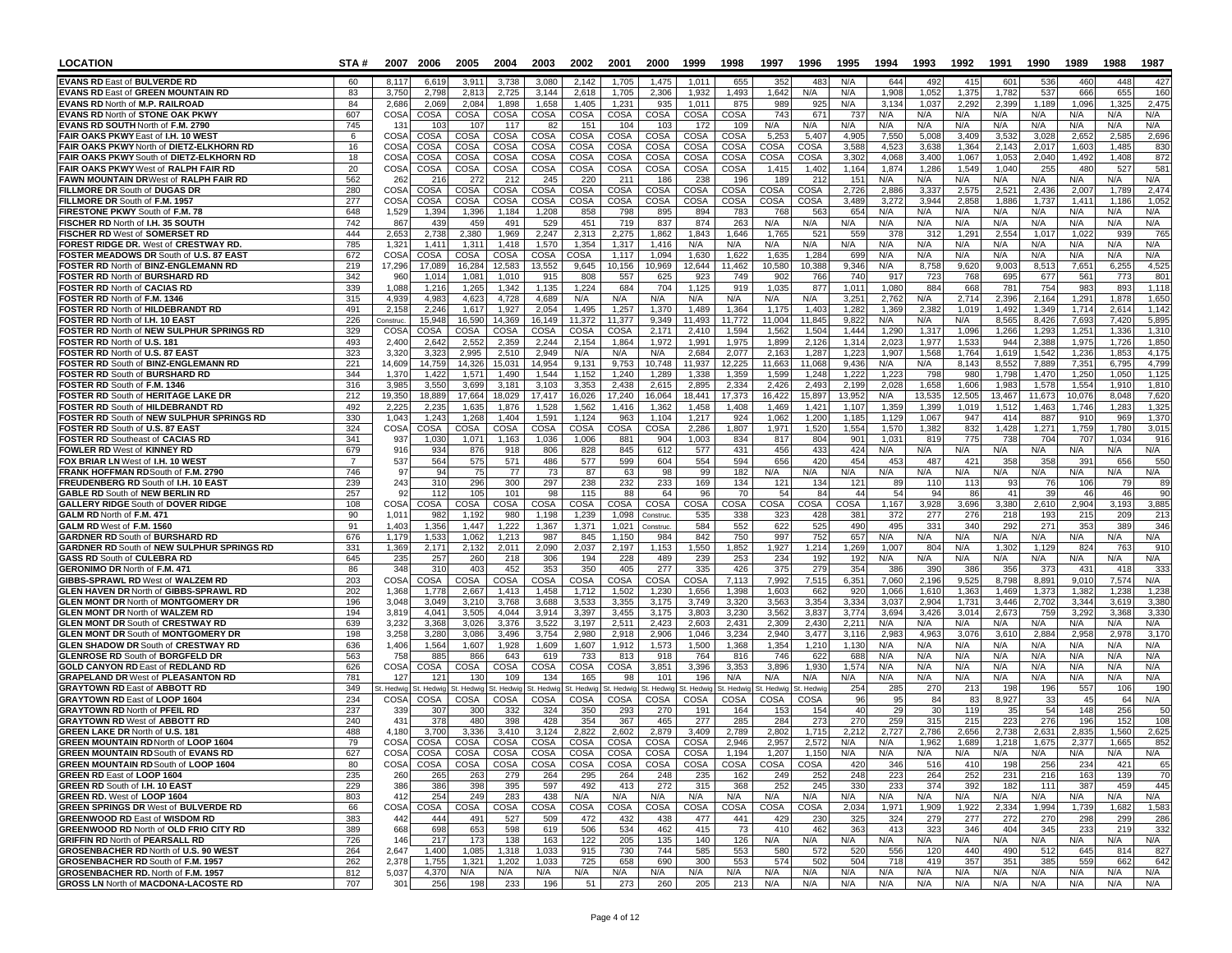| <b>LOCATION</b>                                                                          | STA#                  | 2007                 | 2006               | 2005                                                                    | 2004              | 2003               | 2002               | 2001                 | 2000                  | 1999               | 1998               | 1997                     | 1996               | 1995           | 1994           | 1993           | 1992           | 1991           | 1990           | 1989           | 1988           | 1987           |
|------------------------------------------------------------------------------------------|-----------------------|----------------------|--------------------|-------------------------------------------------------------------------|-------------------|--------------------|--------------------|----------------------|-----------------------|--------------------|--------------------|--------------------------|--------------------|----------------|----------------|----------------|----------------|----------------|----------------|----------------|----------------|----------------|
| <b>EVANS RD East of BULVERDE RD</b>                                                      | 60                    | 8,117                | 6,619              | 3,911                                                                   | 3,738             | 3,080              | 2,142              | 1,705                | 1,475                 | 1,011              | 655                | 352                      | 483                | N/A            | 644            | 492            | 415            | 601            | 536            | 460            | 448            | 427            |
| EVANS RD East of GREEN MOUNTAIN RD                                                       | 83                    | 3,750                | 2,798              | 2,813                                                                   | 2,725             | 3,144              | 2,618              | 1,705                | 2,306                 | 1,932              | 1,493              | 1,642                    | N/A                | N/A            | 1,908          | 1,052          | 1,375          | 1,782          | 537            | 666            | 655            | 160            |
| EVANS RD North of M.P. RAILROAD<br>EVANS RD North of STONE OAK PKWY                      | 84<br>607             | 2,686<br><b>COSA</b> | 2,069<br>COSA      | 2,084<br>COSA                                                           | 1,898<br>COSA     | 1,658<br>COSA      | 1,405<br>COSA      | 1,231<br><b>COSA</b> | 935<br>COSA           | 1,011<br>COSA      | 875<br>COSA        | 989<br>743               | 925<br>671         | N/A<br>737     | 3,134<br>N/A   | 1,03<br>N/A    | 2,292<br>N/A   | 2,399<br>N/A   | 1,189<br>N/A   | 1,096<br>N/A   | 1,32<br>N/A    | 2,475<br>N/A   |
| EVANS RD SOUTH North of F.M. 2790                                                        | 745                   | 13'                  | 103                | 107                                                                     | 117               | 82                 | 151                | 104                  | 103                   | 172                | 109                | N/A                      | N/A                | N/A            | N/A            | N/A            | N/A            | N/A            | N/A            | N/A            | N/A            | N/A            |
| FAIR OAKS PKWY East of I.H. 10 WEST                                                      | 6                     | <b>COSA</b>          | COSA               | COSA                                                                    | COSA              | COSA               | COSA               | COSA                 | COSA                  | COSA               | COSA               | 5,25                     | 5,407              | 4,905          | 7,550          | 5,008          | 3,409          | 3,532          | 3,028          | 2,65           | 2.58           | 2,696          |
| FAIR OAKS PKWY North of DIETZ-ELKHORN RD                                                 | 16                    | COSA                 | COSA               | COSA                                                                    | COSA              | COSA               | COSA               | COSA                 | COSA                  | COSA               | COSA               | COSA                     | COSA               | 3,588          | 4,523          | 3,638          | 1,364          | 2,143          | 2.017          | 1,603          | 1,485          | 830            |
| FAIR OAKS PKWY South of DIETZ-ELKHORN RD                                                 | 18                    | <b>COSA</b>          | COSA               | COSA                                                                    | COSA              | COSA               | COSA               | COSA                 | COSA                  | COSA               | COSA               | COSA                     | COSA               | 3,302          | 4.068          | 3,400          | 1,067          | 1.053          | 2.040          | 1,492<br>480   | 1,408          | 872<br>581     |
| FAIR OAKS PKWY West of RALPH FAIR RD<br>FAWN MOUNTAIN DRWest of RALPH FAIR RD            | 20<br>562             | COSA<br>262          | COSA<br>216        | <b>COSA</b><br>272                                                      | COSA<br>212       | COSA<br>245        | COSA<br>220        | COSA<br>211          | COSA<br>186           | COSA<br>238        | COSA<br>196        | 1,41!<br>189             | 1,402<br>212       | 1,164<br>151   | 1,874<br>N/A   | 1,286<br>N/A   | 1,549<br>N/A   | 1,040<br>N/A   | 255<br>N/A     | N/A            | 527<br>N/A     | N/A            |
| FILLMORE DR South of DUGAS DR                                                            | 280                   | <b>COSA</b>          | COSA               | <b>COSA</b>                                                             | COSA              | COSA               | COSA               | COSA                 | COSA                  | COSA               | COSA               | COSA                     | COSA               | 2,726          | 2.886          | 3,33           | 2.575          | 2,521          | 2.436          | 2.007          | 1,789          | 2,474          |
| FILLMORE DR South of F.M. 1957                                                           | 277                   | COSA                 | COSA               | <b>COSA</b>                                                             | COSA              | COSA               | COSA               | COSA                 | COSA                  | COSA               | COSA               | COSA                     | COSA               | 3,48           | 3,272          | 3,944          | 2,858          | 1,886          | 1,737          | 1,41'          | 1,186          | 1,052          |
| FIRESTONE PKWY South of F.M. 78                                                          | 648                   | 1,529                | 1,394              | 1,396                                                                   | 1,184             | 1,208              | 858                | 798                  | 895                   | 894                | 783                | 768                      | 563                | 654            | N/A            | N/A            | N/A            | N/A            | N/A            | N/A            | N/A            | N/A            |
| FISCHER RD North of I.H. 35 SOUTH<br>FISCHER RD West of SOMERSET RD                      | 742<br>444            | 867<br>2,653         | 439<br>2,738       | 459<br>2,380                                                            | 491<br>1,969      | 529<br>2,247       | 451<br>2,313       | 719<br>2,275         | 837<br>1,862          | 874<br>1,843       | 263<br>1,646       | N/A<br>1,76              | N/A<br>521         | N/A<br>559     | N/A<br>378     | N/A<br>31      | N/A<br>1,291   | N/A<br>2,554   | N/A<br>1,01    | N/A<br>1,02    | N/A<br>939     | N/A<br>765     |
| <b>FOREST RIDGE DR. West of CRESTWAY RD.</b>                                             | 785                   | 1,32'                | 1.41               | 1,311                                                                   | 1.418             | 1,570              | 1,354              | 1,317                | 1.416                 | N/A                | N/A                | N/A                      | N/A                | N/A            | N/A            | N/A            | N/A            | N/A            | N/A            | N/A            | N/A            | N/A            |
| FOSTER MEADOWS DR South of U.S. 87 EAST                                                  | 672                   | COSA                 | COSA               | COSA                                                                    | COSA              | COSA               | COSA               | 1,117                | 1,094                 | 1,630              | 1,622              | 1,63                     | 1,284              | 699            | N/A            | N/A            | N/A            | N/A            | N/A            | N/A            | N/A            | N/A            |
| FOSTER RD North of BINZ-ENGLEMANN RD                                                     | 219                   | 17,296               | 17,089             | 16,284                                                                  | 12,583            | 13,552             | 9,645              | 10,156               | 10,969                | 12,644             | 11,462             | 10,580                   | 10,388             | 9,346          | N/A            | 8,758          | 9,620          | 9,003          | 8,51           | 7,65           | 6,25           | 4,525          |
| <b>FOSTER RD North of BURSHARD RD</b>                                                    | 342<br>339            | 960                  | 1.014              | 1.081                                                                   | 1.010             | 915                | 808                | 557                  | 625                   | 923                | 749<br>919         | 902                      | 766<br>877         | 740<br>1,011   | 917            | 723            | 768            | 695            | 677            | 561            | 773            | 801            |
| <b>FOSTER RD North of CACIAS RD</b><br>FOSTER RD North of F.M. 1346                      | 315                   | 1,088<br>4,939       | 1,216<br>4,983     | 1,265<br>4,623                                                          | 1,342<br>4,728    | 1,135<br>4,689     | 1,224<br>N/A       | 684<br>N/A           | 704<br>N/A            | 1,125<br>N/A       | N/A                | 1,03<br>N/A              | N/A                | 3,251          | 1,080<br>2,762 | 884<br>N/A     | 668<br>2,714   | 781<br>2,396   | 754<br>2,164   | 983<br>1,291   | 893<br>1,878   | 1,118<br>1,650 |
| FOSTER RD North of HILDEBRANDT RD                                                        | 491                   | 2,158                | 2,246              | 1.617                                                                   | 1,927             | 2,054              | 1.495              | 1,257                | 1,370                 | 1.489              | 1,364              | 1,175                    | 1,403              | 1,282          | 1,369          | 2.382          | 1.019          | 1,492          | 1.349          | 1.714          | 2.614          | 1,142          |
| FOSTER RD North of I.H. 10 EAST                                                          | 226                   | Construc.            | 15,948             | 16,590                                                                  | 14,369            | 16,149             | 11,372             | 11,377               | 9,349                 | 11,493             | 11,772             | 11,004                   | 11,845             | 9,822          | N/A            | N/A            | N/A            | 8,565          | 8,426          | 7,693          | 7,420          | 5,895          |
| FOSTER RD North of NEW SULPHUR SPRINGS RD                                                | 329                   | COS/                 | COSA               | COSA                                                                    | COSA              | COSA               | COSA               | COSA                 | 2,171                 | 2,410              | 1,594              | 1,562                    | 1,504              | 1,444          | 1,290          | 1,31           | 1,096          | 1,266          | 1,293          | 1,25'          | 1,336          | 1,310          |
| FOSTER RD North of U.S. 181<br>FOSTER RD North of U.S. 87 EAST                           | 493<br>323            | 2,400<br>3,320       | 2,642<br>3,323     | 2,552<br>2,995                                                          | 2,359<br>2,510    | 2,244<br>2,949     | 2,154<br>N/A       | 1,864<br>N/A         | 1,972<br>N/A          | 1,991<br>2,684     | 1,975<br>2,077     | 1,899<br>2,16            | 2,126<br>1,287     | 1,314<br>1,223 | 2,023<br>1,907 | 1,977<br>1,568 | 1,533<br>1,764 | 944<br>1,619   | 2,388<br>1,542 | 1,975<br>1,236 | 1,726<br>1,853 | 1,850<br>4,175 |
| FOSTER RD South of BINZ-ENGLEMANN RD                                                     | 221                   | 14,609               | 14,759             | 14,326                                                                  | 15,031            | 14,954             | 9,131              | 9,753                | 10,748                | 11,937             | 12,225             | 11,663                   | 11,068             | 9,436          | N/A            | N/A            | 8,143          | 8,552          | 7,889          | 7,351          | 6,795          | 4,799          |
| <b>FOSTER RD South of BURSHARD RD</b>                                                    | 344                   | 1,370                | 1,422              | 1,571                                                                   | 1,490             | 1,544              | 1,152              | 1,240                | 1,289                 | 1,338              | 1,359              | 1,599                    | 1,248              | 1,22           | 1,223          | 798            | 980            | 1,798          | 1,470          | 1,250          | 1,050          | 1,125          |
| FOSTER RD South of F.M. 1346                                                             | 316                   | 3,985                | 3,550              | 3,699                                                                   | 3,181             | 3,103              | 3,353              | 2,438                | 2,615                 | 2,895              | 2,334              | 2,426                    | 2,493              | 2,199          | 2,028          | 1,658          | 1,606          | 1,983          | 1,578          | 1,554          | 1,910          | 1,810          |
| FOSTER RD South of HERITAGE LAKE DR                                                      | 212<br>492            | 19.350               | 18,889<br>2,235    | 17,664                                                                  | 18,029            | 17,417             | 16,026             | 17,240               | 16,064                | 18,441             | 17,373             | 16,422                   | 15,897             | 13.952         | N/A            | 13,535         | 12,505         | 13,467         | 11.673         | 10.076         | 8.048          | 7,620<br>1,325 |
| <b>FOSTER RD South of HILDEBRANDT RD</b><br>FOSTER RD South of NEW SULPHUR SPRINGS RD    | 330                   | 2,225<br>1,043       | 1,243              | 1,635<br>1,268                                                          | 1,876<br>1,404    | 1,528<br>1,591     | 1,562<br>1,124     | 1,416<br>963         | 1,362<br>1,104        | 1,458<br>1,217     | 1,408<br>924       | 1,469<br>1,062           | 1,421<br>1,200     | 1,107<br>1,185 | 1,359<br>1,129 | 1,399<br>1,067 | 1,019<br>947   | 1,512<br>414   | 1,463<br>887   | 1,746<br>910   | 1,283<br>969   | 1,370          |
| FOSTER RD South of U.S. 87 EAST                                                          | 324                   | <b>COSA</b>          | COSA               | COSA                                                                    | COSA              | COSA               | COSA               | COSA                 | COSA                  | 2.286              | 1,807              | 1,971                    | 1,520              | 1,554          | 1,570          | 1,382          | 832            | 1,428          | 1,271          | 1,759          | 1,780          | 3,015          |
| <b>FOSTER RD Southeast of CACIAS RD</b>                                                  | 341                   | 937                  | 1,030              | 1,071                                                                   | 1,163             | 1,036              | 1,006              | 881                  | 904                   | 1,003              | 834                | 817                      | 804                | 901            | 1,031          | 819            | 775            | 738            | 704            | 707            | 1,034          | 916            |
| FOWLER RD West of KINNEY RD                                                              | 679                   | 916                  | 934                | 876                                                                     | 918               | 806                | 828                | 845                  | 612                   | 577                | 431                | 456                      | 433                | 424            | N/A            | N/A            | N/A            | N/A            | N/A            | N/A            | N/A            | N/A            |
| FOX BRIAR LN West of I.H. 10 WEST<br>FRANK HOFFMAN RDSouth of F.M. 2790                  | $\overline{7}$<br>746 | 537<br>97            | 564<br>94          | 575<br>75                                                               | 571<br>77         | 486<br>73          | 577<br>87          | 599<br>63            | 604<br>98             | 554<br>99          | 594<br>182         | 656<br>N/A               | 420<br>N/A         | 454<br>N/A     | 453<br>N/A     | 487<br>N/A     | 421<br>N/A     | 358<br>N/A     | 358<br>N/A     | 391<br>N/A     | 656<br>N/A     | 550<br>N/A     |
| FREUDENBERG RD South of I.H. 10 EAST                                                     | 239                   | 243                  | 310                | 296                                                                     | 300               | 297                | 238                | 232                  | 233                   | 169                | 134                | 121                      | 134                | 121            | 89             | 110            | 113            | 93             | 76             | 106            | -79            | 89             |
| <b>GABLE RD South of NEW BERLIN RD</b>                                                   | 257                   | 92                   | 112                | 105                                                                     | 101               | 98                 | 115                | 88                   | 64                    | 96                 | 70                 | 54                       | 84                 | 44             | 54             | 94             | 86             | 41             | 39             | 46             | 46             | 90             |
| <b>GALLERY RIDGE South of DOVER RIDGE</b>                                                | 108                   | COSA                 | COSA               | COSA                                                                    | COSA              | COSA               | COSA               | COSA                 | <b>COSA</b>           | COSA               | COSA               | COSA                     | COSA               | COSA           | 1,167          | 3,928          | 3,696          | 3,380          | 2,610          | 2,904          | 3,193          | 3,885          |
| GALM RD North of F.M. 471<br>GALM RD West of F.M. 1560                                   | 90<br>91              | 1,01'<br>1,403       | 982<br>1,356       | 1.192<br>1,447                                                          | 980<br>1,222      | 1.198<br>1,367     | 1,239<br>1,371     | 1.098<br>1,021       | Construc.<br>Construc | 535<br>584         | 338<br>552         | 323<br>622               | 428<br>525         | 381<br>490     | 372<br>495     | 277<br>331     | 276<br>340     | 218<br>292     | 193<br>271     | 215<br>353     | 209<br>389     | 213<br>346     |
| <b>GARDNER RD South of BURSHARD RD</b>                                                   | 676                   | 1,179                | 1,533              | 1,062                                                                   | 1,213             | 987                | 845                | 1,150                | 984                   | 842                | 750                | 997                      | 752                | 657            | N/A            | N/A            | N/A            | N/A            | N/A            | N/A            | N/A            | N/A            |
| GARDNER RD South of NEW SULPHUR SPRINGS RD                                               | 331                   | 1,369                | 2,171              | 2,132                                                                   | 2,011             | 2,090              | 2,037              | 2.197                | 1,153                 | 1,550              | 1,852              | 1,927                    | 1,214              | 1,269          | 1.007          | 804            | N/A            | 1,302          | 1.129          | 824            | 763            | 910            |
| <b>GASS RD South of CULEBRA RD</b>                                                       | 645                   | 235                  | 257                | 260                                                                     | 218               | 306                | 194                | 228                  | 489                   | 239                | 253                | 234                      | 192                | 192            | N/A            | N/A            | N/A            | N/A            | N/A            | N/A            | N/A            | N/A            |
| GERONIMO DR North of F.M. 471                                                            | 86                    | 348                  | 31 <sub>0</sub>    | 403                                                                     | 452               | 353                | 350                | 405                  | 277<br>COSA           | 335                | 426                | 375                      | 279                | 354            | 386            | 390            | 386            | 356            | 373            | 431            | 411            | 333<br>N/A     |
| GIBBS-SPRAWL RD West of WALZEM RD<br>GLEN HAVEN DR North of GIBBS-SPRAWL RD              | 203<br>202            | COSA<br>1,368        | COSA<br>1,778      | COSA<br>2,667                                                           | COSA<br>1,413     | COSA<br>1,458      | COSA<br>1,712      | COSA<br>1,502        | 1,230                 | COSA<br>1,656      | 7,113<br>1,398     | 7,992<br>1,603           | 7,515<br>662       | 6,351<br>920   | 7,060<br>1,066 | 2,196<br>1,610 | 9,525<br>1,363 | 8,798<br>1,469 | 8,891<br>1,373 | 9,010<br>1,382 | 7,574<br>1,238 | 1,238          |
| <b>GLEN MONT DR North of MONTGOMERY DR</b>                                               | 196                   | 3,048                | 3,049              | 3,210                                                                   | 3,768             | 3,688              | 3,533              | 3,355                | 3,175                 | 3,749              | 3,320              | 3,563                    | 3,354              | 3,334          | 3,037          | 2,904          | 1,731          | 3,446          | 2,702          | 3,344          | 3,619          | 3,380          |
| <b>GLEN MONT DR North of WALZEM RD</b>                                                   | 194                   | 3,819                | 4,041              | 3,505                                                                   | 4,044             | 3,914              | 3,397              | 3,455                | 3,175                 | 3,803              | 3,230              | 3,562                    | 3,837              | 3,774          | 3,694          | 3,426          | 3,014          | 2,673          | 759            | 3,292          | 3,368          | 3,330          |
| <b>GLEN MONT DR South of CRESTWAY RD</b>                                                 | 639                   | 3,232                | 3,368              | 3,026                                                                   | 3,376             | 3,522              | 3,197              | 2,511                | 2,423                 | 2,603              | 2,431              | 2,309                    | 2,430              | 2,211          | N/A            | N/A            | N/A            | N/A            | N/A            | N/A            | N/A            | N/A            |
| <b>GLEN MONT DR South of MONTGOMERY DR</b><br><b>GLEN SHADOW DR South of CRESTWAY RD</b> | 198<br>636            | 3,258<br>1,406       | 3,280<br>1,564     | 3,086<br>1,607                                                          | 3,496<br>1,928    | 3,754<br>1,609     | 2,980<br>1,607     | 2,918<br>1,912       | 2,906<br>1,573        | 1,046<br>1,500     | 3,234<br>1,368     | 2,94<br>1,354            | 3,477<br>1,210     | 3,116<br>1,130 | 2,98<br>N/A    | 4,96<br>N/A    | 3,07<br>N/A    | 3,61<br>N/A    | 2,884<br>N/A   | 2,95<br>N/A    | 2,97<br>N/A    | 3,170<br>N/A   |
| <b>GLENROSE RD South of BORGFELD DR</b>                                                  | 563                   | 758                  | 885                | 866                                                                     | 643               | 619                | 733                | 813                  | 918                   | 764                | 816                | 746                      | 622                | 688            | N/A            | N/A            | N/A            | N/A            | N/A            | N/A            | N/A            | N/A            |
| <b>GOLD CANYON RD East of REDLAND RD</b>                                                 | 626                   | COSA                 | COSA               | <b>COSA</b>                                                             | COSA              | COSA               | COSA               | COSA                 | 3,851                 | 3,396              | 3,353              | 3,896                    | 1,930              | 1,574          | N/A            | N/A            | N/A            | N/A            | N/A            | N/A            | N/A            | N/A            |
| <b>GRAPELAND DR West of PLEASANTON RD</b>                                                | 781                   | 127                  | $12^{\circ}$       | 130                                                                     | 109               | 134                | 165                | 98                   | 101                   | 196                | N/A                | N/A                      | N/A                | N/A            | N/A            | N/A            | N/A            | N/A            | N/A            | N/A            | N/A            | N/A            |
| <b>GRAYTOWN RD East of ABBOTT RD</b><br><b>GRAYTOWN RD East of LOOP 1604</b>             | 349<br>234            | St. Hedwig<br>COSA   | St. Hedwic<br>COSA | St. Hedwig<br>COSA                                                      | t. Hedwig<br>COSA | St. Hedwig<br>COSA | st. Hedwig<br>COSA | St. Hedwic<br>COSA   | t. Hedwig<br>COSA     | St. Hedwig<br>COSA | st. Hedwig<br>COSA | Hedwig<br>COSA           | St. Hedwig<br>COSA | 254<br>96      | 285<br>95      | 27C<br>84      | 213<br>83      | 198<br>8,927   | 196<br>33      | 557<br>45      | 106<br>64      | 190<br>N/A     |
| <b>GRAYTOWN RD North of PFEIL RD</b>                                                     | 237                   | 339                  | 307                | 300                                                                     | 332               | 324                | 350                | 293                  | 270                   | 191                | 164                | 153                      | 154                | 40             | 29             | 30             | 119            | 35             | 54             | 148            | 256            | 50             |
| <b>GRAYTOWN RD West of ABBOTT RD</b>                                                     | 240                   | 43'                  | 378                | 480                                                                     | 398               | 428                | 354                | 367                  | 465                   | 277                | 285                | 284                      | 273                | 270            | 259            | 315            | 215            | 223            | 276            | 196            | 152            | 108            |
| <b>GREEN LAKE DR North of U.S. 181</b>                                                   | 488                   | 4.180                | 3,700              | 3,336                                                                   | 3,410             | 3.124              | 2,822              | 2.602                | 2.879                 | 3.409              | 2,789              | 2,802                    | 1,715              | 2.212          | 2.727          | 2,786          | 2.656          | 2,738          | 2.631          | 2,835          | 1.560          | 2,625          |
| <b>GREEN MOUNTAIN RD North of LOOP 1604</b>                                              | 79                    | COSA                 | COSA               | <b>COSA</b>                                                             | COSA              | COSA               | COSA               | COSA                 | COSA                  | COSA               | 2,946              | 2,957                    | 2,572              | N/A            | N/A            | 1,962          | 1,689          | 1,218          | 1,675          | 2,377          | 1.665          | 852            |
| GREEN MOUNTAIN RD South of EVANS RD<br><b>GREEN MOUNTAIN RD South of LOOP 1604</b>       | 627<br>80             |                      |                    | COSA   COSA   COSA   COSA   COSA   COSA   COSA   COSA<br>COSA COSA COSA |                   | COSA COSA          |                    | COSA COSA COSA COSA  |                       |                    | 1,194              | 1,2071<br>COSA COSA COSA | 1,150              | N/A<br>420     | N/A<br>346     | N/A<br>516     | N/A<br>410     | N/A<br>198     | N/A I<br>256   | N/A<br>234     | N/A<br>421     | N/A<br>65      |
| GREEN RD East of LOOP 1604                                                               | 235                   | 260                  | 265                | 263                                                                     | 279               | 264                | 295                | 264                  | 248                   | 235                | 162                | 249                      | 252                | 248            | 223            | 264            | 252            | 231            | 216            | 163            | 139            | 70             |
| <b>GREEN RD South of I.H. 10 EAST</b>                                                    | 229                   | 386                  | 386                | 398                                                                     | 395               | 597                | 492                | 413                  | 272                   | 315                | 368                | 252                      | 245                | 330            | 233            | 374            | 392            | 182            | 111            | 387            | 459            | 445            |
| <b>GREEN RD.</b> West of LOOP 1604                                                       | 803                   | 412                  | 254                | 249                                                                     | 283               | 438                | N/A                | N/A                  | N/A                   | N/A                | N/A                | N/A                      | N/A                | N/A            | N/A            | N/A            | N/A            | N/A            | N/A            | N/A            | N/A            | N/A            |
| <b>GREEN SPRINGS DR West of BULVERDE RD</b><br><b>GREENWOOD RD East of WISDOM RD</b>     | 66<br>383             | COSA<br>442          | COSA<br>444        | COSA<br>491                                                             | COSA<br>527       | COSA<br>509        | COSA<br>472        | COSA<br>432          | COSA<br>438           | COSA<br>477        | COSA<br>441        | COSA<br>429              | COSA<br>230        | 2,034<br>325   | 1,971<br>324   | 1,909<br>279   | 1,922<br>277   | 2,334<br>272   | 1,994<br>270   | 1,739<br>298   | 1,682<br>299   | 1,583<br>286   |
| <b>GREENWOOD RD North of OLD FRIO CITY RD</b>                                            | 389                   | 668                  | 698                | 653                                                                     | 598               | 619                | 506                | 534                  | 462                   | 415                | 73                 | 410                      | 462                | 363            | 413            | 323            | 346            | 404            | 345            | 233            | 219            | 332            |
| <b>GRIFFIN RD North of PEARSALL RD</b>                                                   | 726                   | 146                  | 217                | 173                                                                     | 138               | 163                | 122                | 205                  | 135                   | 140                | 126                | N/A                      | N/A                | N/A            | N/A            | N/A            | N/A            | N/A            | N/A            | N/A            | N/A            | N/A            |
| <b>GROSENBACHER RD North of U.S. 90 WEST</b>                                             | 264                   | 2,647                | 1,400              | 1,085                                                                   | 1,318             | 1,033              | 915                | 730                  | 744                   | 585                | 553                | 580                      | 572                | 520            | 556            | 120            | 440            | 490            | 512            | 645            | 814            | 827            |
| GROSENBACHER RD South of F.M. 1957<br>GROSENBACHER RD. North of F.M. 1957                | 262<br>812            | 2,378<br>5,037       | 1,755<br>4,370     | 1,321<br>N/A                                                            | 1,202<br>N/A      | 1,033<br>N/A       | 725<br>N/A         | 658<br>N/A           | 690<br>N/A            | 300<br>N/A         | 553<br>N/A         | 574<br>N/A               | 502<br>N/A         | 504<br>N/A     | 718<br>N/A     | 419<br>N/A     | 357<br>N/A     | 351<br>N/A     | 385<br>N/A     | 559<br>N/A     | 662<br>N/A     | 642<br>N/A     |
| GROSS LN North of MACDONA-LACOSTE RD                                                     | 707                   | 301                  | 256                | 198                                                                     | 233               | 196                | 51                 | 273                  | 260                   | 205                | 213                | N/A                      | N/A                | N/A            | N/A            | N/A            | N/A            | N/A            | N/A            | N/A            | N/A            | N/A            |
|                                                                                          |                       |                      |                    |                                                                         |                   |                    |                    |                      |                       |                    |                    |                          |                    |                |                |                |                |                |                |                |                |                |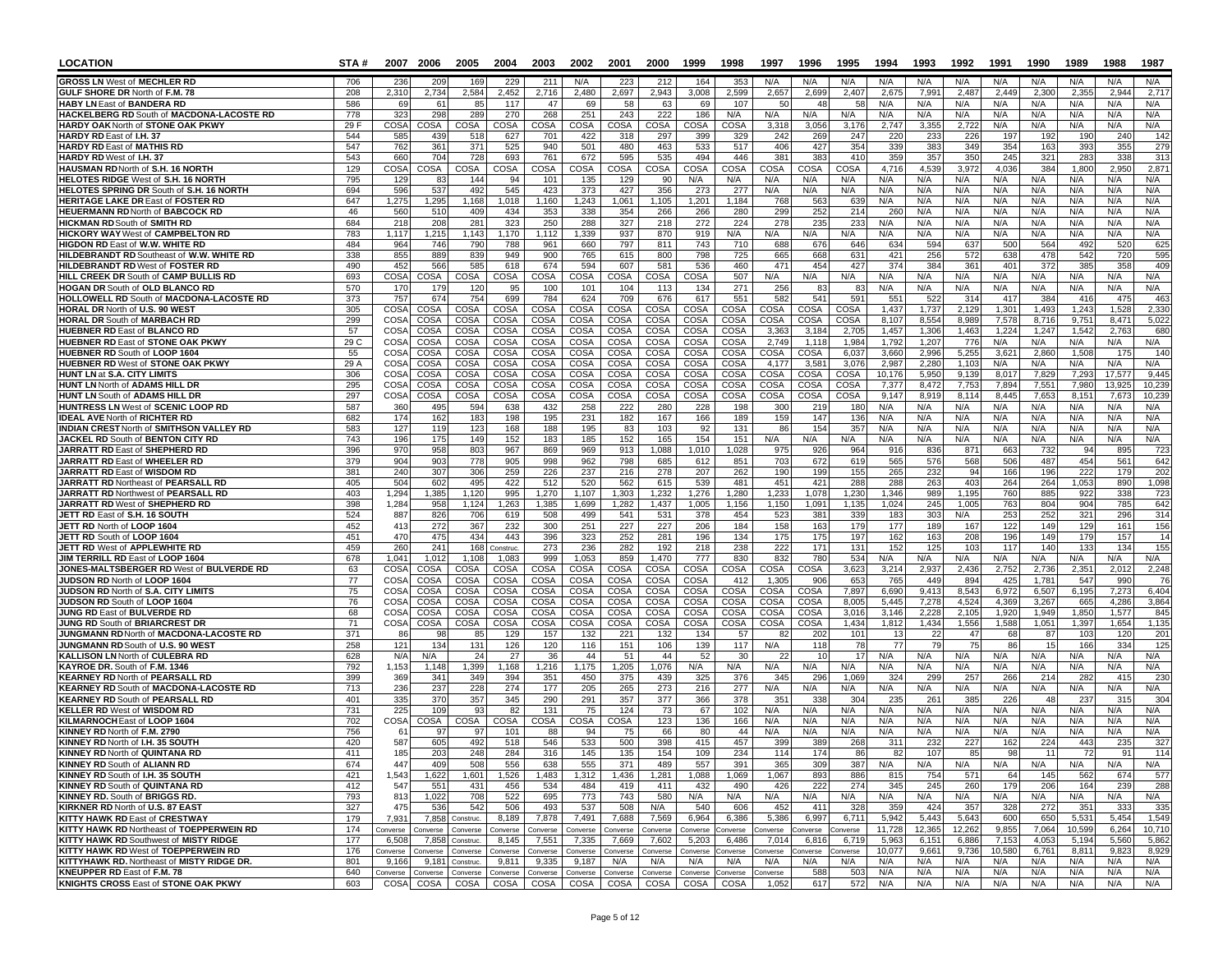| LOCATION                                                                        | STA#       | 2007                       | 2006              | 2005                  | 2004              | 2003              | 2002              | 2001              | 2000              | 1999              | 1998             | 1997                | 1996                | 1995                | 1994            | 1993              | 1992                     | 1991            | 1990           | 1989           | 1988           | 1987             |
|---------------------------------------------------------------------------------|------------|----------------------------|-------------------|-----------------------|-------------------|-------------------|-------------------|-------------------|-------------------|-------------------|------------------|---------------------|---------------------|---------------------|-----------------|-------------------|--------------------------|-----------------|----------------|----------------|----------------|------------------|
| <b>GROSS LN West of MECHLER RD</b>                                              | 706        | 236                        | 209               | 169                   | 229               | 211               | N/A               | 223               | 212               | 164               | 353              | N/A                 | N/A                 | N/A                 | N/A             | N/A               | N/A                      | N/A             | N/A            | N/A            | N/A            | N/A              |
| GULF SHORE DR North of F.M. 78                                                  | 208        | 2,310                      | 2,734             | 2,584                 | 2,452             | 2,716             | 2,480             | 2,697             | 2,943             | 3,008             | 2,599            | 2,657               | 2,699               | 2,407               | 2,675           | 7,99              | 2,487                    | 2,449           | 2,300          | 2,355          | 2,94           | 2,717            |
| <b>HABY LN East of BANDERA RD</b><br>HACKELBERG RD South of MACDONA-LACOSTE RD  | 586<br>778 | 69<br>323                  | 61<br>298         | 85<br>289             | 117<br>270        | 47<br>268         | 69<br>251         | 58<br>243         | 63<br>222         | 69<br>186         | 107<br>N/A       | -50<br>N/A          | 48<br>N/A           | 58<br>N/A           | N/A<br>N/A      | N/A<br>N/A        | N/A<br>N/A               | N/A<br>N/A      | N/A<br>N/A     | N/A<br>N/A     | N/A<br>N/A     | N/A<br>N/A       |
| <b>HARDY OAK North of STONE OAK PKWY</b>                                        | 29 F       | COSA                       | COSA              | COSA                  | COSA              | <b>COSA</b>       | COSA              | COSA              | COSA              | COSA              | COSA             | 3,318               | 3,056               | 3,176               | 2,747           | 3,355             | 2,722                    | N/A             | N/A            | N/A            | N/A            | N/A              |
| HARDY RD East of I.H. 37                                                        | 544        | 585                        | 439               | 518                   | 627               | 701               | 422               | 318               | 297               | 399               | 329              | 242                 | 269                 | 247                 | 220             | 233               | 226                      | 197             | 192            | 190            | 240            | 142              |
| <b>HARDY RD East of MATHIS RD</b>                                               | 547        | 762                        | 361               | 371                   | 525               | 940               | 501               | 480               | 463               | 533               | 517              | 406                 | 427                 | 354                 | 339             | 383               | 349                      | 354             | 163            | 393            | 355            | 279              |
| <b>HARDY RD</b> West of I.H. 37<br>HAUSMAN RDNorth of S.H. 16 NORTH             | 543<br>129 | 660<br>COSA                | 704<br>COSA       | 728<br>COSA           | 693<br>COSA       | 761<br>COSA       | 672<br>COSA       | 595<br>COSA       | 535<br>COSA       | 494<br>COSA       | 446<br>COSA      | 38'<br>COSA         | 383<br>COSA         | 410<br>COSA         | 359<br>4,716    | 357<br>4,539      | 35 <sub>C</sub><br>3,972 | 245<br>4,036    | 321<br>384     | 283<br>1,800   | 338<br>2,950   | 313<br>2,871     |
| HELOTES RIDGE West of S.H. 16 NORTH                                             | 795        | 129                        | 83                | 144                   | 94                | 101               | 135               | 129               | 90                | N/A               | N/A              | N/A                 | N/A                 | N/A                 | N/A             | N/A               | N/A                      | N/A             | N/A            | N/A            | N/A            | N/A              |
| <b>HELOTES SPRING DR South of S.H. 16 NORTH</b>                                 | 694        | 596                        | 537               | 492                   | 545               | 423               | 373               | 427               | 356               | 273               | 277              | N/A                 | N/A                 | N/A                 | N/A             | N/A               | N/A                      | N/A             | N/A            | N/A            | N/A            | N/A              |
| HERITAGE LAKE DR East of FOSTER RD                                              | 647        | 1,275                      | 1,295             | 1,168                 | 1,018             | 1,160             | 1,243             | 1,061             | 1,105             | 1,201             | 1,184            | 768                 | 563                 | 639                 | N/A             | N/A               | N/A                      | N/A             | N/A            | N/A            | N/A            | N/A              |
| <b>HEUERMANN RDNorth of BABCOCK RD</b>                                          | 46<br>684  | 560<br>218                 | 510<br>208        | 409<br>281            | 434<br>323        | 353<br>250        | 338<br>288        | 354<br>327        | 266<br>218        | 266<br>272        | 280<br>224       | <b>299</b><br>278   | 252<br>235          | 214<br>233          | 260<br>N/A      | N/A<br>N/A        | N/A<br>N/A               | N/A<br>N/A      | N/A<br>N/A     | N/A<br>N/A     | N/A<br>N/A     | N/A<br>N/A       |
| <b>HICKMAN RD South of SMITH RD</b><br><b>HICKORY WAY West of CAMPBELTON RD</b> | 783        | 1,117                      | 1,215             | 1,143                 | 1,170             | 1,112             | 1,339             | 937               | 870               | 919               | N/A              | N/A                 | N/A                 | N/A                 | N/A             | N/A               | N/A                      | N/A             | N/A            | N/A            | N/A            | N/A              |
| <b>HIGDON RD East of W.W. WHITE RD</b>                                          | 484        | 964                        | 746               | 790                   | 788               | 961               | 660               | 797               | 811               | 743               | 710              | 688                 | 676                 | 646                 | 634             | 594               | 637                      | 500             | 564            | 492            | 520            | 625              |
| HILDEBRANDT RD Southeast of W.W. WHITE RD                                       | 338        | 855                        | 889               | 839                   | 949               | 900               | 765               | 615               | 800               | 798               | 725              | 665                 | 668                 | 631                 | 421             | 256               | 572                      | 638             | 478            | 542            | 720            | 595              |
| <b>HILDEBRANDT RD West of FOSTER RD</b>                                         | 490        | 452                        | 566               | 585                   | 618               | 674               | 594               | 607               | 581               | 536               | 460              | 471                 | 454                 | 427                 | 374             | 384               | 361                      | 401             | 372            | 385            | 358            | 409              |
| HILL CREEK DR South of CAMP BULLIS RD<br><b>HOGAN DR South of OLD BLANCO RD</b> | 693<br>570 | COSA<br>170                | COSA<br>179       | COSA<br>120           | COSA<br>95        | COSA<br>100       | COSA<br>101       | COSA<br>104       | COSA<br>113       | COSA<br>134       | 507<br>271       | N/A<br>256          | N/A<br>83           | N/A<br>83           | N/A<br>N/A      | N/A<br>N/A        | N/A<br>N/A               | N/A<br>N/A      | N/A<br>N/A     | N/A<br>N/A     | N/A<br>N/A     | N/A<br>N/A       |
| <b>HOLLOWELL RD South of MACDONA-LACOSTE RD</b>                                 | 373        | 757                        | 674               | 754                   | 699               | 784               | 624               | 709               | 676               | 617               | 551              | 582                 | 541                 | 591                 | 551             | 522               | 314                      | 417             | 384            | 416            | 475            | 463              |
| <b>HORAL DR North of U.S. 90 WEST</b>                                           | 305        | COSA                       | COSA              | COSA                  | COSA              | COSA              | COSA              | COSA              | COSA              | COSA              | COSA             | COSA                | COSA                | COSA                | 1,437           | 1,737             | 2,129                    | 1,301           | 1,493          | 1,243          | 1,528          | 2,330            |
| <b>HORAL DR South of MARBACH RD</b>                                             | 299        | COSA                       | COSA              | COSA                  | COSA              | COSA              | COSA              | COSA              | COSA              | COSA              | COSA             | COSA                | COSA                | COSA                | 8,107           | 8,554             | 8.989                    | 7,578           | 8,716          | 9,751          | 8,47'          | 5,022            |
| <b>HUEBNER RD East of BLANCO RD</b><br><b>HUEBNER RD East of STONE OAK PKWY</b> | 57<br>29 C | COSA<br><b>COSA</b>        | COSA<br>COSA      | COSA<br>COSA          | COSA<br>COSA      | COSA<br>COSA      | COSA<br>COSA      | COSA<br>COSA      | COSA<br>COSA      | COSA<br>COSA      | COSA<br>COSA     | 3,363<br>2,749      | 3,184<br>1,111      | 2,705<br>1,984      | 1,457<br>1,792  | 1,306<br>1,207    | 1.463<br>776             | 1,224<br>N/A    | 1,247<br>N/A   | 1,542<br>N/A   | 2.763<br>N/A   | 680<br>N/A       |
| HUEBNER RD South of LOOP 1604                                                   | 55         | COSA                       | COSA              | COSA                  | COSA              | COSA              | COSA              | COSA              | COSA              | COSA              | COSA             | COSA                | COSA                | 6,037               | 3,660           | 2,996             | 5,255                    | 3,621           | 2,860          | 1,508          | 175            | 140              |
| <b>HUEBNER RD West of STONE OAK PKWY</b>                                        | 29 A       | <b>COSA</b>                | COSA              | <b>COSA</b>           | COSA              | COSA              | COSA              | COSA              | COSA              | <b>COSA</b>       | COSA             | 4,177               | 3,581               | 3,076               | 2,987           | 2,280             | 1,103                    | N/A             | N/A            | N/A            | N/A            | N/A              |
| <b>HUNT LN at S.A. CITY LIMITS</b>                                              | 306        | <b>COSA</b>                | COSA              | COSA                  | COSA              | COSA              | COSA              | COSA              | COSA              | COSA              | COSA             | COSA                | COSA                | COSA                | 10,176          | 5,950             | 9,139                    | 8,017           | 7,829          | 7,293          | 17,577         | 9,445            |
| <b>HUNT LN North of ADAMS HILL DR</b><br><b>HUNT LN South of ADAMS HILL DR</b>  | 295<br>297 | <b>COSA</b><br><b>COSA</b> | COSA<br>COSA      | COSA<br><b>COSA</b>   | COSA<br>COSA      | COSA<br>COSA      | COSA<br>COSA      | COSA<br>COSA      | COSA<br>COSA      | COSA<br>COSA      | COSA<br>COSA     | COSA<br><b>COSA</b> | COSA<br><b>COSA</b> | COSA<br><b>COSA</b> | 7,377<br>9,147  | 8,472<br>8,919    | 7,753<br>8,114           | 7.894<br>8,445  | 7,551<br>7,653 | 7,980<br>8,151 | 13,92<br>7,673 | 10,239<br>10,239 |
| <b>HUNTRESS LN West of SCENIC LOOP RD</b>                                       | 587        | 360                        | 495               | 594                   | 638               | 432               | 258               | 222               | 280               | 228               | 198              | 300                 | 219                 | 180                 | N/A             | N/A               | N/A                      | N/A             | N/A            | N/A            | N/A            | N/A              |
| <b>IDEAL AVE North of RICHTER RD</b>                                            | 682        | 174                        | 162               | 183                   | 198               | 195               | 231               | 182               | 167               | 166               | 189              | 159                 | 147                 | 136                 | N/A             | N/A               | N/A                      | N/A             | N/A            | N/A            | N/A            | N/A              |
| <b>INDIAN CREST North of SMITHSON VALLEY RD</b>                                 | 583        | 127                        | 119               | 123                   | 168               | 188               | 195               | 83                | 103               | 92                | 131              | -86                 | 154                 | 357                 | N/A             | N/A               | N/A                      | N/A             | N/A            | N/A            | N/A            | N/A              |
| JACKEL RD South of BENTON CITY RD                                               | 743<br>396 | 196                        | 175               | 149                   | 152               | 183               | 185               | 152               | 165               | 154<br>1.010      | 151              | N/A                 | N/A                 | N/A                 | N/A             | N/A               | N/A<br>871               | N/A             | N/A            | N/A<br>94      | N/A            | N/A              |
| <b>JARRATT RD East of SHEPHERD RD</b><br><b>JARRATT RD East of WHEELER RD</b>   | 379        | 970<br>904                 | 958<br>903        | 803<br>778            | 967<br>905        | 869<br>998        | 969<br>962        | 913<br>798        | 1,088<br>685      | 612               | 1,028<br>851     | 975<br>703          | 926<br>672          | 964<br>619          | 916<br>565      | 836<br>576        | 568                      | 663<br>506      | 732<br>487     | 454            | 895<br>561     | 723<br>642       |
| JARRATT RD East of WISDOM RD                                                    | 381        | 240                        | 307               | 306                   | 259               | 226               | 237               | 216               | 278               | 207               | 262              | 190                 | 199                 | 155                 | 265             | 232               | 94                       | 166             | 196            | 222            | 179            | 202              |
| JARRATT RD Northeast of PEARSALL RD                                             | 405        | 504                        | 602               | 495                   | 422               | 512               | 520               | 562               | 615               | 539               | 481              | 451                 | 421                 | 288                 | 288             | 263               | 403                      | 264             | 264            | 1,053          | 890            | 1,098            |
| JARRATT RD Northwest of PEARSALL RD                                             | 403        | 1,294                      | 1,385             | 1,120                 | 995               | 1,270             | 1,107             | 1,303             | 1,232             | 1,276             | 1,280            | 1,233               | 1,078               | 1,230               | 1,346           | 989               | 1,195                    | 760             | 885            | 922            | 338            | 723              |
| JARRATT RD West of SHEPHERD RD<br>JETT RD East of S.H. 16 SOUTH                 | 398<br>524 | 1,284<br>887               | 958<br>826        | 1,124<br>706          | 1,263<br>619      | 1,385<br>508      | 1,699<br>499      | 1,282<br>541      | 1,437<br>531      | 1,005<br>378      | 1,156<br>454     | 1,150<br>523        | 1,091<br>381        | 1,135<br>339        | 1,024<br>183    | 245<br>303        | 1,005<br>N/A             | 763<br>253      | 804<br>252     | 904<br>321     | 785<br>296     | 642<br>314       |
| JETT RD North of LOOP 1604                                                      | 452        | 413                        | 272               | 367                   | 232               | 300               | 251               | 227               | 227               | 206               | 184              | 158                 | 163                 | 179                 | 177             | 189               | 167                      | 122             | 149            | 129            | 161            | 156              |
| JETT RD South of LOOP 1604                                                      | 451        | 470                        | 475               | 434                   | 443               | 396               | 323               | 252               | 281               | 196               | 134              | 175                 | 175                 | 197                 | 162             | 163               | 208                      | 196             | 149            | 179            | 157            | 14               |
| JETT RD West of APPLEWHITE RD                                                   | 459        | 260                        | 241               | 168                   | Construc.         | 273               | 236               | 282               | 192               | 218               | 238              | 222                 | 171                 | 131                 | 152             | 125               | 103                      | 117             | 140            | 133            | 134            | 155              |
| JIM TERRILL RD East of LOOP 1604<br>JONES-MALTSBERGER RD West of BULVERDE RD    | 678<br>63  | 1,041<br>COSA              | 1,012<br>COSA     | 1,108<br>COSA         | 1,083<br>COSA     | 999<br>COSA       | 1,053<br>COSA     | 859<br>COSA       | 1,470<br>COSA     | 777<br>COSA       | 830<br>COSA      | 832<br>COSA         | 780<br>COSA         | 534<br>3,623        | N/A<br>3,214    | N/A<br>2.93       | N/A<br>2.436             | N/A<br>2,752    | N/A<br>2,736   | N/A<br>2,351   | N/A<br>2.012   | N/A<br>2,248     |
| JUDSON RD North of LOOP 1604                                                    | 77         | COSA                       | COSA              | COSA                  | COSA              | COSA              | COSA              | COSA              | COSA              | COSA              | 412              | 1,305               | 906                 | 653                 | 765             | 449               | 894                      | 425             | 1,781          | 547            | 990            | 76               |
| <b>JUDSON RD North of S.A. CITY LIMITS</b>                                      | 75         | <b>COSA</b>                | COSA              | COSA                  | COSA              | COSA              | COSA              | COSA              | COSA              | COSA              | COSA             | COSA                | COSA                | 7,897               | 6,690           | 9,413             | 8,543                    | 6,972           | 6,507          | 6,195          | 7,273          | 6,404            |
| JUDSON RD South of LOOP 1604                                                    | 76         | COSA                       | COSA              | COSA                  | COSA              | COSA              | COSA              | COSA              | COSA              | COSA              | COSA             | <b>COSA</b>         | <b>COSA</b>         | 8,005               | 5.445           | 7,278             | 4,524                    | 4,369           | 3,267          | 665            | 4,286          | 3,864            |
| <b>JUNG RD East of BULVERDE RD</b><br>JUNG RD South of BRIARCREST DR            | 68<br>71   | <b>COSA</b><br>COSA        | COSA<br>COSA      | COSA<br>COSA          | COSA<br>COSA      | COSA<br>COSA      | COSA<br>COSA      | COSA<br>COSA      | COSA<br>COSA      | COSA<br>COSA      | COSA<br>COSA     | COSA<br>COSA        | COSA<br>COSA        | 3,016<br>1,434      | 3,146<br>1,812  | 2,228<br>1,434    | 2,105<br>1,556           | 1,920<br>1,588  | 1,949<br>1,051 | 1,850<br>1,397 | 1,577<br>1,654 | 845<br>1,135     |
| JUNGMANN RD North of MACDONA-LACOSTE RD                                         | 371        | 86                         | 98                | 85                    | 129               | 157               | 132               | 221               | 132               | 134               | 57               | -82                 | 202                 | 101                 | 13              | 22                | 47                       | 68              | 87             | 103            | 120            | 201              |
| JUNGMANN RD South of U.S. 90 WEST                                               | 258        | 121                        | 134               | 131                   | 126               | 120               | 116               | 151               | 106               | 139               | 117              | N/A                 | 118                 | 78                  | 77              | 79                | 75                       | 86              | 15             | 166            | 334            | 125              |
| <b>KALLISON LN North of CULEBRA RD</b>                                          | 628        | N/A                        | N/A               | 24                    | 27                | 36                | 44                | 51                | 44                | 52                | 30               | 22                  | 10                  | 17                  | N/A             | N/A               | N/A                      | N/A             | N/A            | N/A            | N/A            | N/A              |
| KAYROE DR. South of F.M. 1346<br><b>KEARNEY RD North of PEARSALL RD</b>         | 792<br>399 | 1,153<br>369               | 1,148<br>341      | 1,399<br>349          | 1,168<br>394      | 1,216<br>351      | 1,175<br>450      | 1,205<br>375      | 1,076<br>439      | N/A<br>325        | N/A<br>376       | N/A<br>345          | N/A<br>296          | N/A<br>1,069        | N/A<br>324      | N/A<br><b>299</b> | N/A<br>257               | N/A<br>266      | N/A<br>214     | N/A<br>282     | N/A<br>41!     | N/A<br>230       |
| <b>KEARNEY RD South of MACDONA-LACOSTE RD</b>                                   | 713        | 236                        | 237               | 228                   | 274               | 177               | 205               | 265               | 273               | 216               | 277              | N/A                 | N/A                 | N/A                 | N/A             | N/A               | N/A                      | N/A             | N/A            | N/A            | N/A            | N/A              |
| <b>KEARNEY RD South of PEARSALL RD</b>                                          | 401        | 335                        | 370               | 357                   | 345               | 290               | 291               | 357               | 377               | 366               | 378              | 35 <sup>2</sup>     | 338                 | 304                 | 235             | 26'               | 385                      | 226             | 48             | 237            | 31!            | 304              |
| <b>KELLER RD West of WISDOM RD</b>                                              | 731        | 225                        | 109               | 93                    | 82                | 131               | 75                | 124               | 73                | 67                | 102              | N/A                 | N/A                 | N/A                 | N/A             | N/A               | N/A                      | N/A             | N/A            | N/A            | N/A            | N/A              |
| KILMARNOCH East of LOOP 1604<br>KINNEY RD North of F.M. 2790                    | 702<br>756 | COSA<br>61                 | COSA<br>97        | COSA<br>97            | COSA<br>101       | COSA<br>88        | COSA<br>94        | <b>COSA</b><br>75 | 123<br>66         | 136<br>80         | 166<br>44        | N/A<br>N/A          | N/A<br>N/A          | N/A<br>N/A          | N/A<br>N/A      | N/A<br>N/A        | N/A<br>N/A               | N/A<br>N/A      | N/A<br>N/A     | N/A<br>N/A     | N/A<br>N/A     | N/A<br>N/A       |
| KINNEY RD North of I.H. 35 SOUTH                                                | 420        | 587                        | 605               | 492                   | 518               | 546               | 533               | 500               | 398               | 415               | 457              | 399                 | 389                 | 268                 | 311             | 232               | 227                      | 162             | 224            | 443            | 235            | 327              |
| <b>KINNEY RD North of QUINTANA RD</b>                                           | 411        | 18                         | 203               | 248                   | 284               | 316               | 145               | 135.              | 154               | 109               | 234              | 114                 | 174                 | 86.                 |                 | 107               | 85                       | 9č              | 11             |                | ч.             | 114              |
| <b>KINNEY RD South of ALIANN RD</b>                                             | 674        | 447                        | 409               | 508                   | 556               | 638               | 555               | 371               | 489               | 557               | 391              | 365                 | 309                 | 387                 | N/A             | N/A               | N/A                      | N/A             | N/A            | N/A            | N/A            | N/A              |
| KINNEY RD South of I.H. 35 SOUTH                                                | 421        | 1,543                      | 1,622             | 1,601                 | 1,526             | 1,483             | 1,312             | 1,436             | 1,281             | 1,088             | 1,069            | 1,067               | 893                 | 886                 | 815             | 754               | 571                      | 64              | 145            | 562            | 674            | 577              |
| <b>KINNEY RD South of QUINTANA RD</b><br>KINNEY RD. South of BRIGGS RD.         | 412<br>793 | 547<br>813                 | 551<br>1,022      | 431<br>708            | 456<br>522        | 534<br>695        | 484<br>773        | 419<br>743        | 411<br>580        | 432<br>N/A        | 490<br>N/A       | 426<br>N/A          | 222<br>N/A          | 274<br>N/A          | 345<br>N/A      | 245<br>N/A        | 260<br>N/A               | 179<br>N/A      | 206<br>N/A     | 164<br>N/A     | 239<br>N/A     | 288<br>N/A       |
| KIRKNER RD North of U.S. 87 EAST                                                | 327        | 475                        | 536               | 542                   | 506               | 493               | 537               | 508               | N/A               | 540               | 606              | 452                 | 411                 | 328                 | 359             | 424               | 357                      | 328             | 272            | 351            | 333            | 335              |
| <b>KITTY HAWK RD East of CRESTWAY</b>                                           | 179        | 7,931                      | 7,858             | Construc.             | 8,189             | 7,878             | 7,491             | 7,688             | 7,569             | 6,964             | 6,386            | 5,386               | 6,997               | 6,711               | 5,942           | 5,443             | 5,643                    | 600             | 650            | 5,531          | 5,454          | 1,549            |
| KITTY HAWK RD Northeast of TOEPPERWEIN RD                                       | 174        | Converse                   | Converse          | Converse              | Converse          | Converse          | Converse          | Converse          | Converse          | Converse          | onverse          | onverse             | onverse             | onverse             | 11,728          | 12,365            | 12,262                   | 9,855           | 7,064          | 10,599         | 6,264          | 10,710           |
| KITTY HAWK RD Southwest of MISTY RIDGE<br>KITTY HAWK RD West of TOEPPERWEIN RD  | 177<br>176 | 6,508                      | 7,858<br>Converse | Construc.<br>Converse | 8,145<br>Converse | 7,551<br>Converse | 7,335<br>Converse | 7,669<br>Converse | 7,602<br>Converse | 5,203<br>Converse | 6,486<br>onverse | 7,014               | 6,816<br>onverse    | 6,719<br>onverse    | 5,963<br>10,077 | 6,151<br>9,661    | 6,886<br>9,736           | 7,153<br>10,580 | 4,053<br>6,761 | 5,194<br>8,811 | 5,560<br>9,823 | 5,862<br>8,929   |
| KITTYHAWK RD. Northeast of MISTY RIDGE DR.                                      | 801        | Converse<br>9,166          | 9,181             | Construc.             | 9,811             | 9,335             | 9,187             | N/A               | N/A               | N/A               | N/A              | onverse<br>N/A      | N/A                 | N/A                 | N/A             | N/A               | N/A                      | N/A             | N/A            | N/A            | N/A            | N/A              |
| <b>KNEUPPER RD East of F.M. 78</b>                                              | 640        | Converse                   | Converse          | Converse              | Converse          | Converse          | Converse          | Converse          | Converse          | Converse          | onverse          | onverse             | 588                 | 503                 | N/A             | N/A               | N/A                      | N/A             | N/A            | N/A            | N/A            | N/A              |
| <b>KNIGHTS CROSS East of STONE OAK PKWY</b>                                     | 603        | COSA                       | COSA              | COSA                  | COSA              | COSA              | COSA              | COSA              | COSA              | COSA              | COSA             | 1,052               | 617                 | 572                 | N/A             | N/A               | N/A                      | N/A             | N/A            | N/A            | N/A            | N/A              |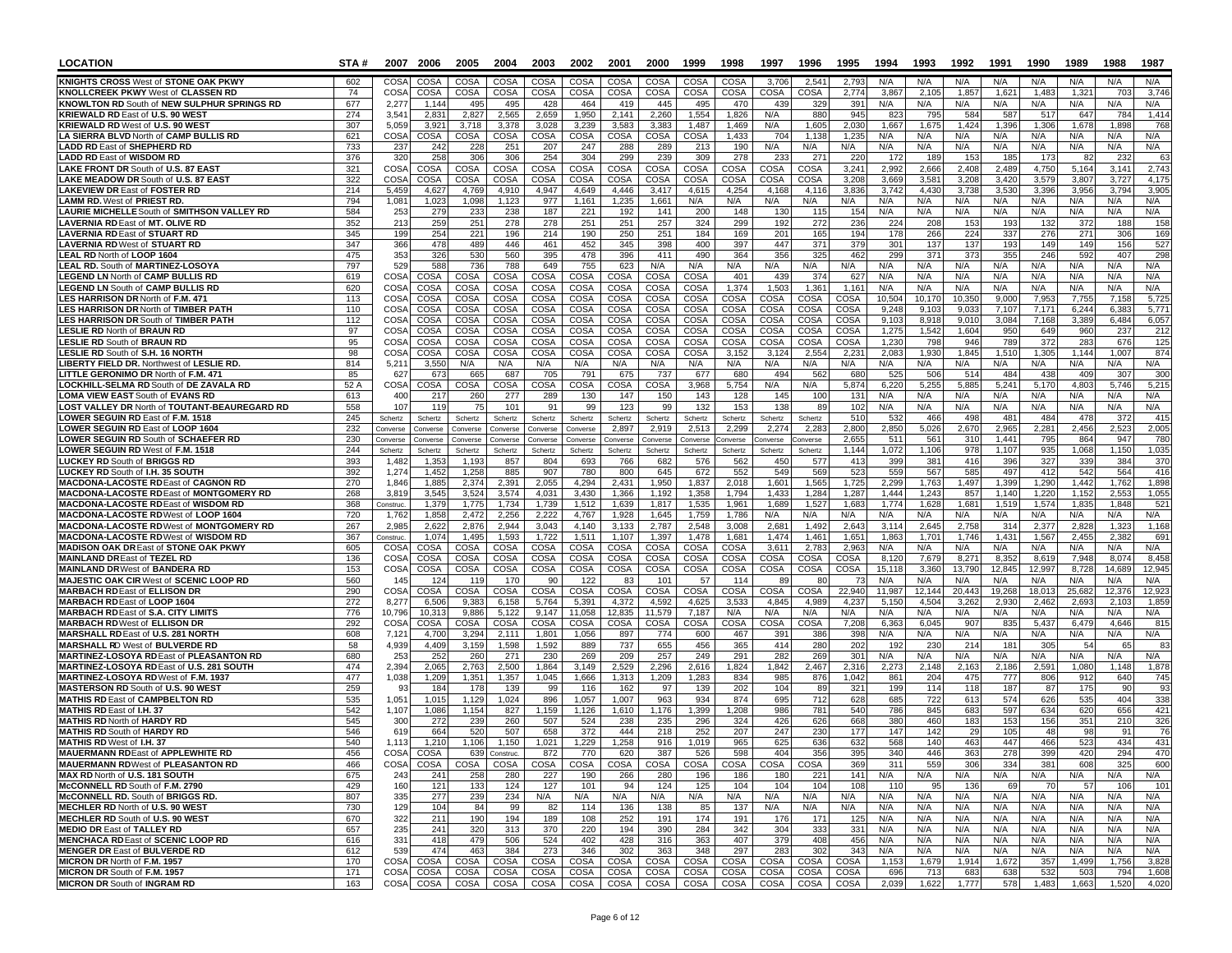| <b>LOCATION</b>                                                                          | STA#       |                          | 2007 2006       | 2005                  | 2004                 | 2003                | 2002           | 2001                       | 2000           | 1999             | 1998           | 1997           | 1996           | 1995           | 1994            | 1993            | 1992            | 1991                   | 1990           | 1989           | 1988            | 1987            |
|------------------------------------------------------------------------------------------|------------|--------------------------|-----------------|-----------------------|----------------------|---------------------|----------------|----------------------------|----------------|------------------|----------------|----------------|----------------|----------------|-----------------|-----------------|-----------------|------------------------|----------------|----------------|-----------------|-----------------|
| <b>KNIGHTS CROSS West of STONE OAK PKWY</b>                                              | 602        | CO <sub>SA</sub>         | COSA            | COSA                  | COSA                 | COSA                | COSA           | <b>COSA</b>                | COSA           | COSA             | COSA           | 3.706          | 2.541          | 2.793          | N/A             | N/A             | N/A             | N/A                    | N/A            | N/A            | N/A             | N/A             |
| <b>KNOLLCREEK PKWY West of CLASSEN RD</b>                                                | 74         | COSA                     | COSA            | COSA                  | COSA                 | COSA                | COSA           | COSA                       | COSA           | COSA             | <b>COSA</b>    | COSA           | <b>COSA</b>    | 2,77           | 3,86            | 2,105           | 1,85            | 1,62'                  | 1,48           | 1,32           | 70.             | 3,746           |
| KNOWLTON RD South of NEW SULPHUR SPRINGS RD<br><b>KRIEWALD RD East of U.S. 90 WEST</b>   | 677<br>274 | 2,277<br>3.54            | 1.144<br>2,83'  | 495<br>2,827          | 495<br>2,565         | 428<br>2,659        | 464<br>1,950   | 419<br>2.141               | 445<br>2,260   | 495<br>1,554     | 470<br>1,826   | 43<br>N/A      | 329<br>880     | 391<br>945     | N/A<br>823      | N/A<br>795      | N/A<br>584      | N/A<br>587             | N/A<br>517     | N/A<br>647     | N/A<br>784      | N/A<br>1,414    |
| <b>KRIEWALD RD West of U.S. 90 WEST</b>                                                  | 307        | 5,059                    | 3,92'           | 3,718                 | 3,378                | 3,028               | 3,239          | 3,583                      | 3,383          | 1,487            | 1,469          | N/A            | 1,605          | 2,030          | 1,667           | 1,675           | 1,424           | 1,396                  | 1,306          | 1,678          | 1,898           | 768             |
| LA SIERRA BLVD North of CAMP BULLIS RD                                                   | 621        | COSA                     | COSA            | COSA                  | COSA                 | COSA                | COSA           | COSA                       | COSA           | COSA             | 1,433          | 704            | 1,138          | 1,235          | N/A             | N/A             | N/A             | N/A                    | N/A            | N/A            | N/A             | N/A             |
| <b>LADD RD East of SHEPHERD RD</b>                                                       | 733        | 237                      | 242             | 228                   | 251                  | 207                 | 247            | 288                        | 289            | 213              | 190            | N/A            | N/A            | N/A            | N/A             | N/A             | N/A             | N/A                    | N/A            | N/A            | N/A             | N/A             |
| <b>LADD RD East of WISDOM RD</b>                                                         | 376        | 320                      | 258             | 306                   | 306                  | 254                 | 304            | 299                        | 239            | 309              | 278            | 23             | 271            | 220            | 172             | 189             | 153<br>2.408    | 185                    | 173<br>4.750   | 8              | 232             | 63              |
| LAKE FRONT DR South of U.S. 87 EAST<br>LAKE MEADOW DR South of U.S. 87 EAST              | 321<br>322 | COSA<br>COSA             | COSA<br>COSA    | COSA<br>COSA          | COSA<br>COSA         | <b>COSA</b><br>COSA | COSA<br>COSA   | <b>COSA</b><br><b>COSA</b> | COSA<br>COSA   | COSA<br>COSA     | COSA<br>COSA   | COSA<br>COSA   | COSA<br>COSA   | 3,241<br>3.20  | 2,992<br>3,669  | 2,666<br>3,581  | 3,208           | 2,489<br>3,420         | 3,579          | 5,164<br>3,807 | 3,14'<br>3,727  | 2,743<br>4,175  |
| <b>LAKEVIEW DR East of FOSTER RD</b>                                                     | 214        | 5,459                    | 4,627           | 4,769                 | 4,910                | 4,947               | 4,649          | 4,446                      | 3,417          | 4,615            | 4,254          | 4,168          | 4,116          | 3,836          | 3,742           | 4,430           | 3,738           | 3,530                  | 3,396          | 3,956          | 3,794           | 3,905           |
| <b>LAMM RD. West of PRIEST RD.</b>                                                       | 794        | 1.081                    | 1.023           | 1.098                 | 1,123                | 977                 | 1,161          | 1.235                      | 1,661          | N/A              | N/A            | N/A            | N/A            | N/A            | N/A             | N/A             | N/A             | N/A                    | N/A            | N/A            | N/A             | N/A             |
| LAURIE MICHELLE South of SMITHSON VALLEY RD                                              | 584        | 253                      | 279             | 233                   | 238                  | 187                 | 221            | 192                        | 141            | 200              | 148            | 130            | 115            | 154            | N/A             | N/A             | N/A             | N/A                    | N/A            | N/A            | N/A             | N/A             |
| <b>LAVERNIA RD East of MT. OLIVE RD</b><br><b>LAVERNIA RD East of STUART RD</b>          | 352<br>345 | 213<br>199               | 259<br>254      | 251<br>221            | 278<br>196           | 278<br>214          | 251<br>190     | 251<br>250                 | 257<br>251     | 324<br>184       | 299<br>169     | 192<br>201     | 272<br>165     | 236<br>194     | 224<br>178      | 208<br>266      | 153<br>224      | 193<br>337             | 132<br>276     | 372<br>271     | 188<br>306      | 158<br>169      |
| <b>LAVERNIA RD West of STUART RD</b>                                                     | 347        | 366                      | 478             | 489                   | 446                  | 461                 | 452            | 345                        | 398            | 400              | 397            | 447            | 371            | 379            | 301             | 137             | 137             | 193                    | 149            | 149            | 156             | 527             |
| <b>LEAL RD North of LOOP 1604</b>                                                        | 475        | 353                      | 326             | 530                   | 560                  | 395                 | 478            | 396                        | 411            | 490              | 364            | 356            | 325            | 462            | 299             | 371             | 373             | 355                    | 246            | 592            | 407             | 298             |
| <b>LEAL RD. South of MARTINEZ-LOSOYA</b>                                                 | 797        | 529                      | 588             | 736                   | 788                  | 649                 | 755            | 623                        | N/A            | N/A              | N/A            | N/A            | N/A            | N/A            | N/A             | N/A             | N/A             | N/A                    | N/A            | N/A            | N/A             | N/A             |
| <b>EGEND LN North of CAMP BULLIS RD</b>                                                  | 619        | COSA                     | COSA            | COSA                  | COSA                 | COSA                | COSA           | <b>COSA</b>                | COSA           | COSA             | 401            | 439            | 374            | 627            | N/A             | N/A             | N/A             | N/A                    | N/A            | N/A            | N/A             | N/A             |
| <b>LEGEND LN South of CAMP BULLIS RD</b><br>LES HARRISON DR North of F.M. 471            | 620<br>113 | COSA<br>COS/             | COSA<br>COSA    | COSA<br>COSA          | COSA<br>COSA         | COSA<br>COSA        | COSA<br>COSA   | COSA<br>COSA               | COSA<br>COSA   | COSA<br>COSA     | 1,374<br>COSA  | 1,503<br>COSA  | 1,361<br>COSA  | 1.161<br>COSA  | N/A<br>10,504   | N/A<br>10,17    | N/A<br>10,35    | N/A<br>9,000           | N/A<br>7,953   | N/A<br>7,75    | N/A<br>7,158    | N/A<br>5,725    |
| LES HARRISON DR North of TIMBER PATH                                                     | 110        | COS/                     | COSA            | COSA                  | COSA                 | COSA                | COSA           | COSA                       | COSA           | COSA             | COSA           | COSA           | <b>COSA</b>    | COSA           | 9,248           | 9,10            | 9,033           | 7,107                  | 7,171          | 6,244          | 6.383           | 5,771           |
| LES HARRISON DR South of TIMBER PATH                                                     | 112        | COS/                     | COSA            | COSA                  | COSA                 | COSA                | COSA           | COSA                       | COSA           | COSA             | COSA           | COSA           | <b>COSA</b>    | COSA           | 9.103           | 8,918           | 9.010           | 3,084                  | 7.168          | 3,389          | 6.484           | 6,057           |
| <b>LESLIE RD North of BRAUN RD</b>                                                       | 97         | COS/                     | COSA            | COSA                  | COSA                 | COSA                | COSA           | COSA                       | COSA           | COSA             | <b>COSA</b>    | COSA           | COSA           | COSA           | 1,275           | 1,542           | 1,604           | 950                    | 649            | 960            | 237             | 212             |
| <b>ESLIE RD South of BRAUN RD</b><br>LESLIE RD South of S.H. 16 NORTH                    | 95<br>98   | COSA<br>CO <sub>SA</sub> | COSA<br>COSA    | COSA<br>COSA          | COSA<br>COSA         | COSA<br>COSA        | COSA<br>COSA   | COSA<br>COSA               | COSA<br>COSA   | COSA<br>COSA     | COSA<br>3,152  | COSA<br>3,124  | COSA<br>2,554  | COSA<br>2,23'  | 1,230<br>2.083  | 798<br>1,930    | 946<br>1.845    | <b>789</b><br>1,510    | 372<br>1,305   | 283<br>1.144   | 676<br>1.007    | 125<br>874      |
| <b>LIBERTY FIELD DR. Northwest of LESLIE RD.</b>                                         | 814        | 5,21'                    | 3,550           | N/A                   | N/A                  | N/A                 | N/A            | N/A                        | N/A            | N/A              | N/A            | N/A            | N/A            | N/A            | N/A             | N/A             | N/A             | N/A                    | N/A            | N/A            | N/A             | N/A             |
| LITTLE GERONIMO DR North of F.M. 471                                                     | 85         | 627                      | 67              | 665                   | 687                  | 705                 | 791            | 675                        | 737            | 677              | 680            | 494            | 562            | 680            | 525             | 506             | 514             | 484                    | 438            | 409            | 30 <sup>°</sup> | 300             |
| <b>OCKHILL-SELMA RD South of DE ZAVALA RD</b>                                            | 52 A       | COSA                     | COSA            | COSA                  | COSA                 | COSA                | COSA           | <b>COSA</b>                | COSA           | 3,968            | 5,754          | N/A            | N/A            | 5,874          | 6,220           | 5,255           | 5,885           | 5,241                  | 5.170          | 4,803          | 5.746           | 5,215           |
| <b>LOMA VIEW EAST South of EVANS RD</b>                                                  | 613        | 400                      | 217             | 260                   | 277                  | 289                 | 130            | 147                        | 150            | 143              | 128            | 145            | 100            | 131            | N/A             | N/A             | N/A             | N/A                    | N/A            | N/A            | N/A             | N/A             |
| OST VALLEY DR North of TOUTANT-BEAUREGARD RD<br>OWER SEGUIN RD East of F.M. 1518         | 558<br>245 | 107<br>Schertz           | 119<br>Schertz  | 75<br>Schertz         | 101<br>Schertz       | 91<br>Schertz       | 99<br>Schertz  | 123<br>Schertz             | 99<br>Schertz  | 132<br>Schertz   | 153<br>Schertz | 138<br>Schertz | 89<br>Schertz  | 102<br>510     | N/A<br>532      | N/A<br>466      | N/A<br>498      | N/A<br>481             | N/A<br>484     | N/A<br>478     | N/A<br>372      | N/A<br>415      |
| <b>LOWER SEGUIN RD East of LOOP 1604</b>                                                 | 232        | Converse                 | Converse        | Converse              | Converse             | Converse            | Converse       | 2,897                      | 2,919          | 2,513            | 2,299          | 2,274          | 2,283          | 2,800          | 2,850           | 5,026           | 2,670           | 2,965                  | 2,281          | 2,456          | 2,523           | 2,005           |
| <b>LOWER SEGUIN RD South of SCHAEFER RD</b>                                              | 230        | Converse                 | Converse        | Converse              | Converse             | Converse            | Converse       | Converse                   | Converse       | Converse         | onverse        | onverse        | onverse        | 2,655          | 511             | 56'             | 31C             | 1,441                  | 795            | 864            | 947             | 780             |
| <b>LOWER SEGUIN RD West of F.M. 1518</b>                                                 | 244        | Schertz                  | Schertz         | Schertz               | Schertz              | Schertz             | Schertz        | Schertz                    | Schertz        | Schertz          | Schertz        | Schertz        | Schertz        | 1,144          | 1,072           | 1,106           | 978             | 1,107                  | 935            | 1,068          | 1,150           | 1,035           |
| <b>LUCKEY RD South of BRIGGS RD</b>                                                      | 393        | 1,482                    | 1,353           | 1,193                 | 857                  | 804                 | 693            | 766                        | 682            | 576              | 562            | 45C            | 577            | 413            | 399             | 381             | 416             | 396                    | 327            | 339            | 384             | 370             |
| LUCKEY RD South of I.H. 35 SOUTH<br><b>MACDONA-LACOSTE RDEast of CAGNON RD</b>           | 392<br>270 | 1,274<br>1,846           | 1,452<br>1,88   | 1,258<br>2,374        | 885<br>2,391         | 907<br>2,055        | 780<br>4,294   | 800<br>2.431               | 645<br>1,950   | 672<br>1,837     | 552<br>2,018   | 549<br>1,601   | 569<br>1,565   | 523<br>1,725   | 559<br>2.299    | 567<br>1,763    | 585<br>1,497    | 497<br>1,399           | 412<br>1.290   | 542<br>1,442   | 564<br>1,762    | 416<br>1,898    |
| <b>MACDONA-LACOSTE RDEast of MONTGOMERY RD</b>                                           | 268        | 3,819                    | 3,545           | 3,524                 | 3,574                | 4,031               | 3,430          | 1,366                      | 1,192          | 1,358            | 1,794          | 1,433          | 1,284          | 1,287          | 1.444           | 1,243           | 857             | 1.140                  | 1,220          | 1,152          | 2,553           | 1,055           |
| MACDONA-LACOSTE RDEast of WISDOM RD                                                      | 368        | Construc.                | 1,379           | 1,775                 | 1,734                | 1,739               | 1,512          | 1.639                      | 1,817          | 1,535            | 1,961          | 1,689          | 1,527          | 1.683          | 1.774           | 1,628           | 1.681           | 1,519                  | 1,574          | 1,835          | 1.848           | 521             |
| MACDONA-LACOSTE RDWest of LOOP 1604                                                      | 720        | 1,762                    | 1,858           | 2,472                 | 2,256                | 2,222               | 4,767          | 1,928                      | 1,645          | 1,759            | 1,786          | N/A            | N/A            | N/A            | N/A             | N/A             | N/A             | N/A                    | N/A            | N/A            | N/A             | N/A             |
| MACDONA-LACOSTE RDWest of MONTGOMERY RD<br><b>MACDONA-LACOSTE RD</b> West of WISDOM RD   | 267<br>367 | 2,985<br>Construc.       | 2,622<br>1,074  | 2,876<br>1,495        | 2.944<br>1,593       | 3,043<br>1,722      | 4.140<br>1,511 | 3,133<br>1,107             | 2,787<br>1,397 | 2,548<br>1,478   | 3,008<br>1,681 | 2,681<br>1,474 | 1,492<br>1,461 | 2.643<br>1,651 | 3,114<br>1,863  | 2,645<br>1,701  | 2,758<br>1,746  | 314<br>1,431           | 2,377<br>1,567 | 2,828<br>2,455 | 1,32;<br>2,382  | 1,168<br>691    |
| <b>MADISON OAK DR East of STONE OAK PKWY</b>                                             | 605        | COSA                     | COSA            | COSA                  | COSA                 | COSA                | COSA           | COSA                       | COSA           | COSA             | COSA           | 3,61'          | 2,783          | 2,963          | N/A             | N/A             | N/A             | N/A                    | N/A            | N/A            | N/A             | N/A             |
| MAINLAND DR East of TEZEL RD                                                             | 136        | COSA                     | COSA            | COSA                  | COSA                 | COSA                | COSA           | COSA                       | COSA           | COSA             | COSA           | COSA           | COSA           | COSA           | 8,120           | 7,679           | 8,271           | 8,352                  | 8,619          | 7,948          | 8.074           | 8,458           |
| <b>MAINLAND DR West of BANDERA RD</b>                                                    | 153        | COSA                     | COSA            | COSA                  | COSA                 | COSA                | COSA           | COSA                       | <b>COSA</b>    | COSA             | COSA           | COSA           | COSA           | COSA           | 15,118          | 3,360           | 13,790          | 12,845                 | 12,997         | 8,728          | 14,689          | 12,945          |
| MAJESTIC OAK CIR West of SCENIC LOOP RD                                                  | 560        | 145                      | 12 <sub>0</sub> | 119                   | 170                  | 90                  | 122            | 83                         | 101            | 57               | 114            | -89            | 80             |                | N/A             | N/A             | N/A             | N/A                    | N/A            | N/A            | N/A             | N/A             |
| <b>MARBACH RDEast of ELLISON DR</b><br><b>MARBACH RD East of LOOP 1604</b>               | 290<br>272 | COSA<br>8,277            | COSA<br>6,50    | COSA<br>9,383         | COSA<br>6,158        | COSA<br>5,764       | COSA<br>5,391  | COSA<br>4,372              | COSA<br>4,592  | COSA<br>4,625    | COSA<br>3,533  | COSA<br>4,84   | COSA<br>4,989  | 22,940<br>4,23 | 11,987<br>5,150 | 12,144<br>4,504 | 20.443<br>3,262 | 19,268<br>2,930        | 18,013<br>2,46 | 25,68<br>2,69  | 12,37<br>2,10   | 12,923<br>1,859 |
| <b>MARBACH RDEast of S.A. CITY LIMITS</b>                                                | 776        | 10,796                   | 10,31           | 9,886                 | 5,122                | 9,147               | 11,058         | 12,835                     | 11,579         | 7,187            | N/A            | N/A            | N/A            | N/A            | N/A             | N/A             | N/A             | N/A                    | N/A            | N/A            | N/A             | N/A             |
| <b>MARBACH RD</b> West of ELLISON DR                                                     | 292        | COSA                     | COSA            | COSA                  | COSA                 | COSA                | COSA           | <b>COSA</b>                | COSA           | COSA             | COSA           | COSA           | COSA           | 7,208          | 6.36            | 6.04            | 907             | 83                     | 5.437          | 6,479          | 4.64            | 815             |
| <b>MARSHALL RDEast of U.S. 281 NORTH</b>                                                 | 608        | 7,121                    | 4,700           | 3,294                 | 2,11'                | 1,801               | 1,056          | 897                        | 774            | 600              | 467            | 39'            | 386            | 398            | N/A             | N/A             | N/A             | N/A                    | N/A            | N/A            | N/A             | N/A             |
| <b>MARSHALL RD West of BULVERDE RD</b><br><b>MARTINEZ-LOSOYA RDEast of PLEASANTON RD</b> | 58<br>680  | 4,939<br>253             | 4,409<br>252    | 3,159<br>260          | 1,598<br>271         | 1,592<br>230        | 889<br>269     | 737<br>209                 | 655<br>257     | 456<br>249       | 365<br>291     | 414<br>282     | 280<br>269     | 202<br>301     | 192<br>N/A      | 23<br>N/A       | 214<br>N/A      | 18 <sup>°</sup><br>N/A | 305<br>N/A     | 54<br>N/A      | 65<br>N/A       | 83<br>N/A       |
| MARTINEZ-LOSOYA RD East of U.S. 281 SOUTH                                                | 474        | 2,394                    | 2,065           | 2,763                 | 2,500                | 1,864               | 3,149          | 2,529                      | 2,296          | 2,616            | 1,824          | 1,842          | 2,467          | 2,316          | 2,273           | 2,148           | 2,163           | 2,186                  | 2,591          | 1,080          | 1,148           | 1,878           |
| MARTINEZ-LOSOYA RDWest of F.M. 1937                                                      | 477        | 1,038                    | 1,209           | 1,351                 | 1,357                | 1,045               | 1,666          | 1,313                      | 1,209          | 1,283            | 834            | 985            | 876            | 1,042          | 861             | 204             | 475             | 777                    | 806            | 912            | 640             | 745             |
| MASTERSON RD South of U.S. 90 WEST                                                       | 259        | 93                       | 184             | 178                   | 139                  | 99                  | 116            | 162                        | 97             | 139              | 202            | 104            | 89             | 321            | 199             | 114             | 118             | 187                    | 87             | 175            | 90              | 93              |
| <b>MATHIS RD East of CAMPBELTON RD</b>                                                   | 535<br>542 | 1,051                    | 1,015           | 1,129                 | 1,024                | 896<br>1,159        | 1,057          | 1,007                      | 963<br>1,176   | 934<br>1,399     | 874            | 695<br>986     | 712<br>781     | 628<br>540     | 685<br>786      | 722<br>845      | 613<br>683      | 574                    | 626<br>634     | 535            | 404<br>656      | 338<br>421      |
| <b>MATHIS RD</b> East of I.H. 37<br><b>MATHIS RD North of HARDY RD</b>                   | 545        | 1,107<br>300             | 1,08<br>272     | 1,154<br>239          | 827<br>260           | 507                 | 1,126<br>524   | 1,610<br>238               | 235            | 296              | 1,208<br>324   | 426            | 626            | 668            | 380             | 460             | 183             | 597<br>153             | 156            | 620<br>351     | 210             | 326             |
| <b>MATHIS RD South of HARDY RD</b>                                                       | 546        | 619                      | 664             | 520                   | 507                  | 658                 | 372            | 444                        | 218            | 252              | 207            | 247            | 230            | 177            | 147             | 142             | 29              | 105                    | 48             | 98             | 91              | 76              |
| <b>MATHIS RD</b> West of <b>I.H. 37</b>                                                  | 540        | 1,113                    | 1,210           | 1,106                 | 1,150                | 1,021               | 1,229          | 1.258                      | 916            | 1.019            | 965            | 625            | 636            | 632            | 568             | 140             | 463             | 447                    | 466            | 523            | 434             | 431             |
| <b>MAUERMANN RDEast of APPLEWHITE RD</b>                                                 | 456        | COSA                     | - CUSA          |                       | <b>b39 Construc.</b> | 81Z                 | 77V            | o∠∪                        | 387            | 526              | 598            | 404            | 356            | კყე            | 34U             | 440             | კნა             | 278                    | 399            | 420            | 294             | 470             |
| <b>MAUERMANN RDWest of PLEASANTON RD</b><br>MAX RD North of U.S. 181 SOUTH               | 466<br>675 | 243                      | 241             | COSA COSA COSA<br>258 | COSA<br>280          | COSA<br>227         | COSA<br>190    | COSA  <br>266              | 280            | COSA COSA<br>196 | COSA<br>186    | COSA<br>180    | COSA<br>221    | 369<br>141     | 311<br>N/A      | 559<br>N/A      | 306<br>N/A      | 334<br>N/A             | 381<br>N/A     | 608<br>N/A     | 325<br>N/A      | 600<br>N/A      |
| McCONNELL RD South of F.M. 2790                                                          | 429        | 160                      | 121             | 133                   | 124                  | 127                 | 101            | 94                         | 124            | 125              | 104            | 104            | 104            | 108            | 110             | 95              | 136             | 69                     | 70             | 57             | 106             | 101             |
| McCONNELL RD. South of BRIGGS RD.                                                        | 807        | 335                      | 277             | 239                   | 234                  | N/A                 | N/A            | N/A                        | N/A            | N/A              | N/A            | N/A            | N/A            | N/A            | N/A             | N/A             | N/A             | N/A                    | N/A            | N/A            | N/A             | N/A             |
| MECHLER RD North of U.S. 90 WEST                                                         | 730        | 129                      | 104             | 84                    | 99                   | 82                  | 114            | 136                        | 138            | 85               | 137            | N/A            | N/A            | N/A            | N/A             | N/A             | N/A             | N/A                    | N/A            | N/A            | N/A             | N/A             |
| MECHLER RD South of U.S. 90 WEST                                                         | 670        | 322                      | 211             | 190                   | 194                  | 189                 | 108            | 252                        | 191            | 174              | 191            | 176            | 171            | 125            | N/A             | N/A             | N/A             | N/A                    | N/A            | N/A            | N/A             | N/A             |
| <b>MEDIO DR East of TALLEY RD</b><br><b>MENCHACA RDEast of SCENIC LOOP RD</b>            | 657<br>616 | 235<br>331               | 241<br>418      | 320<br>479            | 313<br>506           | 370<br>524          | 220<br>402     | 194<br>428                 | 390<br>316     | 284<br>363       | 342<br>407     | 304<br>379     | 333<br>408     | 331<br>456     | N/A<br>N/A      | N/A<br>N/A      | N/A<br>N/A      | N/A<br>N/A             | N/A<br>N/A     | N/A<br>N/A     | N/A<br>N/A      | N/A<br>N/A      |
| <b>MENGER DR East of BULVERDE RD</b>                                                     | 612        | 539                      | 474             | 463                   | 384                  | 273                 | 346            | 302                        | 363            | 348              | 297            | 283            | 302            | 343            | N/A             | N/A             | N/A             | N/A                    | N/A            | N/A            | N/A             | N/A             |
| MICRON DR North of F.M. 1957                                                             | 170        | COSA                     | COSA            | COSA                  | COSA                 | COSA                | COSA           | COSA                       | COSA           | COSA             | COSA           | COSA           | COSA           | COSA           | 1,153           | 1,679           | 1,914           | 1,672                  | 357            | 1,499          | 1,756           | 3,828           |
| MICRON DR South of F.M. 1957                                                             | 171        | COSA                     | COSA            | COSA                  | COSA                 | COSA                | COSA           | COSA                       | COSA           | COSA             | COSA           | COSA           | COSA           | COSA           | 696             | 713             | 683             | 638                    | 532            | 503            | 794             | 1,608           |
| <b>MICRON DR South of INGRAM RD</b>                                                      | 163        |                          | COSA COSA       | COSA                  | COSA                 | COSA                | COSA           | COSA                       | COSA           | COSA             | COSA           | COSA           |                | COSA COSA      | 2,039           | 1,622           | 1,777           | 578                    | 1,483          | 1,663          | 1,520           | 4,020           |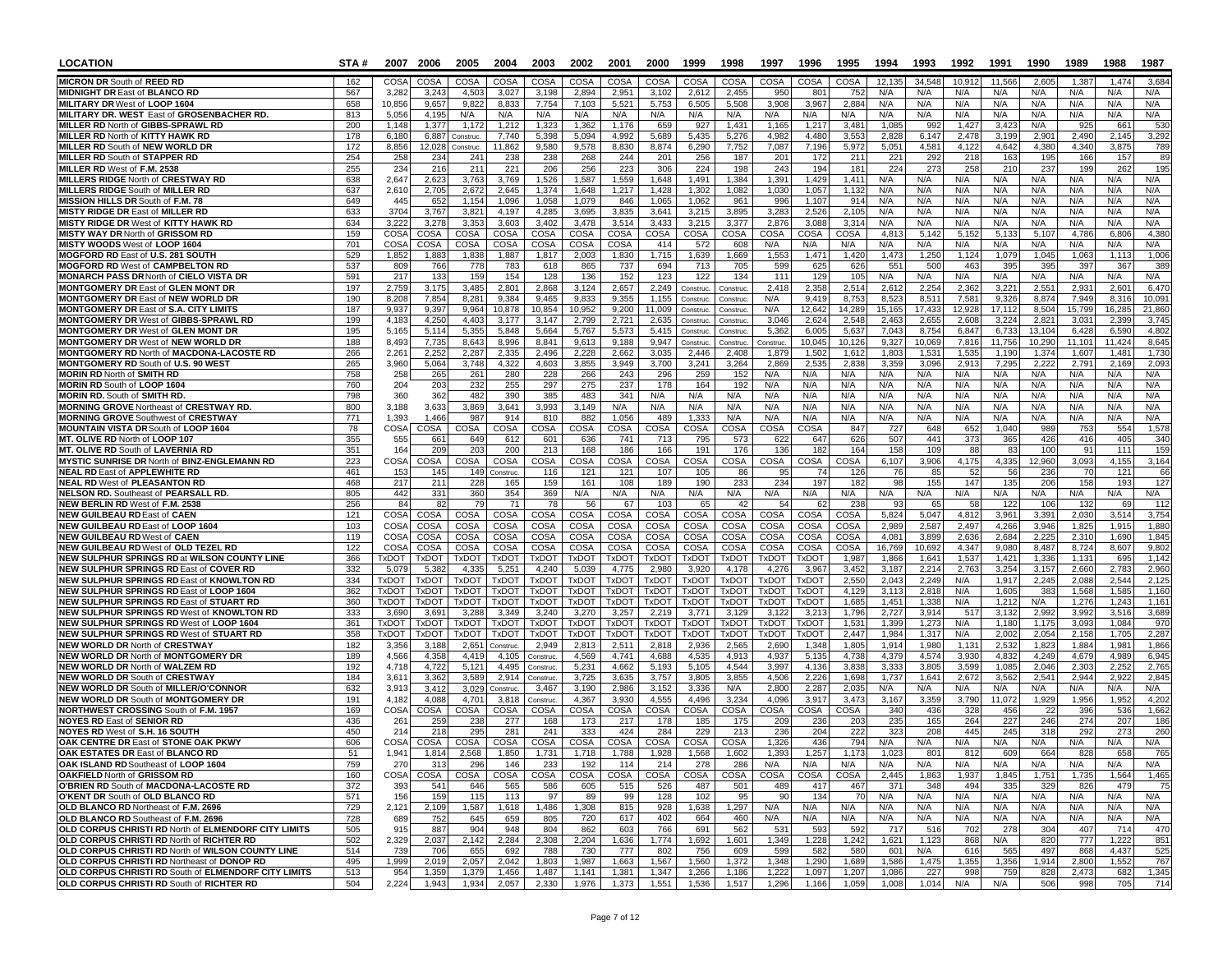| <b>LOCATION</b>                                                                                  | STA#       | 2007                       | 2006                  | 2005                  | 2004                       | 2003                     | 2002                  | 2001                  | 2000                       | 1999                   | 1998                  | 1997                  | 1996                  | 1995            | 1994           | 1993            | 1992           | 1991            | 1990             | 1989            | 1988                   | 1987            |
|--------------------------------------------------------------------------------------------------|------------|----------------------------|-----------------------|-----------------------|----------------------------|--------------------------|-----------------------|-----------------------|----------------------------|------------------------|-----------------------|-----------------------|-----------------------|-----------------|----------------|-----------------|----------------|-----------------|------------------|-----------------|------------------------|-----------------|
| <b>MICRON DR South of REED RD</b>                                                                | 162        | COS/                       | COSA                  | COSA                  | COSA                       | COSA                     | COSA                  | COSA                  | <b>COSA</b>                | COSA                   | COSA                  | COSA                  | COSA                  | COSA            | 12,135         | 34,548          | 10,912         | 11,566          | 2,605            | 1,38            | 1,474                  | 3,684           |
| <b>MIDNIGHT DR East of BLANCO RD</b>                                                             | 567        | 3,282                      | 3,243                 | 4,503                 | 3,027                      | 3,198                    | 2,894                 | 2,951                 | 3,102                      | 2,612                  | 2,455                 | 950                   | 801                   | 752             | N/A            | N/A             | N/A            | N/A             | N/A              | N/A             | N/A                    | N/A             |
| <b>MILITARY DR West of LOOP 1604</b><br>MILITARY DR. WEST East of GROSENBACHER RD.               | 658<br>813 | 10,856<br>5,056            | 9,657<br>4,195        | 9,822<br>N/A          | 8,833<br>N/A               | 7,754<br>N/A             | 7,103<br>N/A          | 5,521<br>N/A          | 5,753<br>N/A               | 6,505<br>N/A           | 5,508<br>N/A          | 3,908<br>N/A          | 3,967<br>N/A          | 2,884<br>N/A    | N/A<br>N/A     | N/A<br>N/A      | N/A<br>N/A     | N/A<br>N/A      | N/A<br>N/A       | N/A<br>N/A      | N/A<br>N/A             | N/A<br>N/A      |
| MILLER RD North of GIBBS-SPRAWL RD                                                               | 200        | 1.148                      | 1,377                 | 1.172                 | 1,212                      | 1,323                    | 1,362                 | 1.176                 | 659                        | 927                    | 1,431                 | 1.16                  | 1,217                 | 3,481           | 1.08           | 99.             | 1.42           | 3,42            | N/A              | 925             | 66                     | 530             |
| <b>MILLER RD North of KITTY HAWK RD</b>                                                          | 178        | 6,180                      | 6,887                 | Construc              | 7,740                      | 5,398                    | 5,094                 | 4.992                 | 5,689                      | 5,435                  | 5,276                 | 4,982                 | 4,480                 | 3,553           | 2,828          | 6,147           | 2,478          | 3,199           | 2.901            | 2,490           | 2.145                  | 3,292           |
| MILLER RD South of NEW WORLD DR<br>MILLER RD South of STAPPER RD                                 | 172<br>254 | 8,856<br>258               | 12,028<br>234         | Construc.<br>241      | 11,862<br>238              | 9,580<br>238             | 9,578<br>268          | 8,830<br>244          | 8,874<br>201               | 6,290<br>256           | 7,752<br>187          | 7,087<br>201          | 7,196<br>172          | 5,972<br>211    | 5,051<br>221   | 4,581<br>292    | 4,122<br>218   | 4,642<br>163    | 4,380<br>195     | 4,340<br>166    | 3,87<br>157            | 789<br>89       |
| MILLER RD West of F.M. 2538                                                                      | 255        | 234                        | 216                   | 211                   | 221                        | 206                      | 256                   | 223                   | 306                        | 224                    | 198                   | 243                   | 194                   | 181             | 224            | 273             | 258            | 210             | 237              | 199             | 262                    | 195             |
| MILLERS RIDGE North of CRESTWAY RD                                                               | 638        | 2,647                      | 2,623                 | 3,763                 | 3,769                      | 1,526                    | 1,587                 | 1,559                 | 1,648                      | 1,491                  | 1,384                 | 1,391                 | 1,429                 | 1,411           | N/A            | N/A             | N/A            | N/A             | N/A              | N/A             | N/A                    | N/A             |
| MILLERS RIDGE South of MILLER RD<br>MISSION HILLS DR South of F.M. 78                            | 637<br>649 | 2,610<br>445               | 2,705<br>652          | 2,672<br>1,154        | 2,645<br>1,096             | 1,374<br>1,058           | 1,648<br>1,079        | 1,217<br>846          | 1,428<br>1,065             | 1,302<br>1,062         | 1,082<br>961          | 1,030<br>996          | 1,057<br>1,107        | 1,132<br>914    | N/A<br>N/A     | N/A<br>N/A      | N/A<br>N/A     | N/A<br>N/A      | N/A<br>N/A       | N/A<br>N/A      | N/A<br>N/A             | N/A<br>N/A      |
| MISTY RIDGE DR East of MILLER RD                                                                 | 633        | 3704                       | 3,767                 | 3,821                 | 4.197                      | 4,285                    | 3,695                 | 3,835                 | 3,641                      | 3,215                  | 3,895                 | 3,283                 | 2,526                 | 2,105           | N/A            | N/A             | N/A            | N/A             | N/A              | N/A             | N/A                    | N/A             |
| <b>MISTY RIDGE DR West of KITTY HAWK RD</b>                                                      | 634        | 3,222                      | 3,278                 | 3,353                 | 3,603                      | 3,402                    | 3,478                 | 3,514                 | 3,433                      | 3,215                  | 3,377                 | 2,876                 | 3,088                 | 3,314           | N/A            | N/A             | N/A            | N/A             | N/A              | N/A             | N/A                    | N/A             |
| <b>MISTY WAY DR North of GRISSOM RD</b>                                                          | 159<br>701 | <b>COSA</b><br><b>COSA</b> | COSA                  | COSA                  | COSA<br>COSA               | COSA                     | COSA<br>COSA          | COSA                  | COSA<br>414                | COSA<br>572            | COSA                  | COSA<br>N/A           | COSA                  | COSA            | 4,81<br>N/A    | 5,142<br>N/A    | 5,152<br>N/A   | 5,13<br>N/A     | 5,10<br>N/A      | 4,786<br>N/A    | 6,806<br>N/A           | 4,380<br>N/A    |
| MISTY WOODS West of LOOP 1604<br>MOGFORD RD East of U.S. 281 SOUTH                               | 529        | 1,852                      | COSA<br>1,883         | COSA<br>1,838         | 1,887                      | COSA<br>1,817            | 2,003                 | COSA<br>1,830         | 1,715                      | 1,639                  | 608<br>1,669          | 1,553                 | N/A<br>1,471          | N/A<br>1,420    | 1,473          | 1,250           | 1,124          | 1,079           | 1,045            | 1,06            | 1,11                   | 1,006           |
| <b>MOGFORD RD West of CAMPBELTON RD</b>                                                          | 537        | 809                        | 766                   | 778                   | 783                        | 618                      | 865                   | 737                   | 694                        | 713                    | 705                   | 599                   | 625                   | 626             | 55             | 500             | 463            | 395             | 395              | 397             | 36                     | 389             |
| <b>MONARCH PASS DR North of CIELO VISTA DR</b>                                                   | 591        | 217                        | 133                   | 159                   | 154                        | 128                      | 136                   | 152                   | 123                        | 122                    | 134                   | 111                   | 129                   | 105             | N/A            | N/A             | N/A            | N/A             | N/A              | N/A             | N/A                    | N/A             |
| <b>MONTGOMERY DR East of GLEN MONT DR</b><br><b>MONTGOMERY DR East of NEW WORLD DR</b>           | 197<br>190 | 2,759<br>8,208             | 3,175<br>7,854        | 3.485<br>8,281        | 2,801<br>9,384             | 2,868<br>9,465           | 3,124<br>9,833        | 2,657<br>9,355        | 2,249<br>1,155             | Construc.<br>Construc. | Construc<br>Construc. | 2,418<br>N/A          | 2,358<br>9,419        | 2,514<br>8,753  | 2,61<br>8,523  | 2,25<br>8,51    | 2,362<br>7,581 | 3,22'<br>9,326  | 2.55'<br>8,874   | 2,93<br>7,949   | 2,60<br>8,31           | 6,470<br>10,091 |
| <b>MONTGOMERY DR East of S.A. CITY LIMITS</b>                                                    | 187        | 9,937                      | 9,397                 | 9.964                 | 10,878                     | 10,854                   | 10,952                | 9.200                 | 11.009                     | Construc.              | Construc.             | N/A                   | 12,642                | 14.289          | 15.165         | 17.433          | 12,928         | 17.112          | 8,504            | 15,799          | 16,28                  | 21,860          |
| <b>MONTGOMERY DR West of GIBBS-SPRAWL RD</b>                                                     | 199        | 4,183                      | 4,250                 | 4,403                 | 3,177                      | 3,147                    | 2,799                 | 2,721                 | 2,635                      | Construc               | Construc              | 3,046                 | 2,624                 | 2,548           | 2,463          | 2,655           | 2,608          | 3,224           | 2,821            | 3,03            | 2,399                  | 3,745           |
| <b>MONTGOMERY DR West of GLEN MONT DR</b><br><b>MONTGOMERY DR West of NEW WORLD DR</b>           | 195<br>188 | 5,165<br>8,493             | 5,114<br>7.735        | 5,355<br>8.643        | 5,848<br>8,996             | 5,664<br>8,841           | 5,767<br>9,613        | 5,573<br>9,188        | 5,415<br>9,947             | Construc<br>Construc.  | Construc<br>Construc. | 5,362<br>onstruc.     | 6,005<br>10,045       | 5,637<br>10,126 | 7,043<br>9,327 | 8,754<br>10,069 | 6,847<br>7,816 | 6,733<br>11,756 | 13,104<br>10,290 | 6,428<br>11,101 | 6,590<br>11,424        | 4,802<br>8,645  |
| MONTGOMERY RD North of MACDONA-LACOSTE RD                                                        | 266        | 2,26'                      | 2,252                 | 2,287                 | 2,335                      | 2,496                    | 2,228                 | 2,662                 | 3,035                      | 2,446                  | 2,408                 | 1,879                 | 1,502                 | 1,612           | 1,803          | 1,531           | 1,535          | 1,190           | 1,374            | 1,607           | 1,48'                  | 1,730           |
| <b>MONTGOMERY RD South of U.S. 90 WEST</b>                                                       | 265        | 3,960                      | 5,064                 | 3,748                 | 4,322                      | 4,603                    | 3,855                 | 3.949                 | 3,700                      | 3,241                  | 3,264                 | 2,86                  | 2,535                 | 2,83            | 3,359          | 3,09            | 2,913          | 7,295           | 2,222            | 2,79'           | 2,169                  | 2,093           |
| <b>MORIN RD North of SMITH RD</b>                                                                | 758        | 258                        | 265                   | 261                   | 280                        | 228                      | 266                   | 243                   | 296                        | 259                    | 152                   | N/A                   | N/A                   | N/A             | N/A            | N/A             | N/A            | N/A             | N/A              | N/A             | N/A                    | N/A             |
| MORIN RD South of LOOP 1604<br><b>MORIN RD. South of SMITH RD.</b>                               | 760<br>798 | 204<br>360                 | 203<br>362            | 232<br>482            | 255<br>390                 | 297<br>385               | 275<br>483            | 237<br>341            | 178<br>N/A                 | 164<br>N/A             | 192<br>N/A            | N/A<br>N/A            | N/A<br>N/A            | N/A<br>N/A      | N/A<br>N/A     | N/A<br>N/A      | N/A<br>N/A     | N/A<br>N/A      | N/A<br>N/A       | N/A<br>N/A      | N/A<br>N/A             | N/A<br>N/A      |
| <b>MORNING GROVE Northeast of CRESTWAY RD.</b>                                                   | 800        | 3,188                      | 3,633                 | 3,869                 | 3,641                      | 3.993                    | 3,149                 | N/A                   | N/A                        | N/A                    | N/A                   | N/A                   | N/A                   | N/A             | N/A            | N/A             | N/A            | N/A             | N/A              | N/A             | N/A                    | N/A             |
| <b>MORNING GROVE Southwest of CRESTWAY</b>                                                       | 771        | 1,393                      | 1,466                 | 987                   | 914                        | 810                      | 882                   | 1,056                 | 489                        | 1,333                  | N/A                   | N/A                   | N/A                   | N/A             | N/A            | N/A             | N/A            | N/A             | N/A              | N/A             | N/A                    | N/A             |
| MOUNTAIN VISTA DR South of LOOP 1604<br>MT. OLIVE RD North of LOOP 107                           | 78<br>355  | <b>COSA</b><br>555         | COSA<br>66            | COSA<br>649           | COSA<br>612                | COSA<br>601              | COSA<br>636           | COSA<br>741           | COSA<br>713                | COSA<br>795            | COSA<br>573           | COSA<br>622           | COSA<br>647           | 847<br>626      | 727<br>507     | 648<br>441      | 652<br>373     | 1.040<br>365    | 989<br>426       | 753<br>416      | 554<br>405             | 1,578<br>340    |
| MT. OLIVE RD South of LAVERNIA RD                                                                | 351        | 164                        | 209                   | 203                   | 200                        | 213                      | 168                   | 186                   | 166                        | 191                    | 176                   | 136                   | 182                   | 164             | 158            | 109             | 88             | 83              | 100              | 91              | 111                    | 159             |
| <b>MYSTIC SUNRISE DR North of BINZ-ENGLEMANN RD</b>                                              | 223        | COSA                       | COSA                  | COSA                  | COSA                       | COSA                     | COSA                  | COSA                  | COSA                       | COSA                   | COSA                  | COSA                  | COSA                  | COSA            | 6.107          | 3,906           | 4.175          | 4.335           | 12.960           | 3,093           | 4.155                  | 3,164           |
| <b>NEAL RD East of APPLEWHITE RD</b><br><b>NEAL RD West of PLEASANTON RD</b>                     | 461<br>468 | 153<br>217                 | 145<br>211            | 149<br>228            | Construc                   | 116<br>159               | 121<br>161            | 121<br>108            | 107<br>189                 | 105<br>190             | 86<br>233             | 95<br>234             | -74<br>197            | 126<br>182      | 76<br>98       | 85<br>155       | 52<br>147      | 56<br>135       | 236<br>206       | 70<br>158       | 12 <sup>2</sup><br>193 | 66<br>127       |
| NELSON RD. Southeast of PEARSALL RD.                                                             | 805        | 442                        | 331                   | 360                   | 165<br>354                 | 369                      | N/A                   | N/A                   | N/A                        | N/A                    | N/A                   | N/A                   | N/A                   | N/A             | N/A            | N/A             | N/A            | N/A             | N/A              | N/A             | N/A                    | N/A             |
| NEW BERLIN RD West of F.M. 2538                                                                  | 256        | 84                         | 82                    | 79                    | 71                         | 78                       | 56                    | 67                    | 103                        | 65                     | 42                    | -54                   | 62                    | 238             | 93             | 65              | 58             | 122             | 106              | 132             | 69                     | 112             |
| <b>NEW GUILBEAU RD East of CAEN</b>                                                              | 121        | COSA                       | COSA                  | COSA                  | COSA                       | COSA                     | COSA                  | COSA                  | COSA                       | COSA                   | COSA                  | COSA                  | COSA                  | COSA            | 5,824          | 5,047           | 4,812          | 3,961           | 3,391            | 2,030           | 3,514                  | 3,754           |
| <b>NEW GUILBEAU RD East of LOOP 1604</b><br>NEW GUILBEAU RD West of CAEN                         | 103<br>119 | COSA<br>COS/               | COSA<br>COSA          | <b>COSA</b><br>COSA   | COSA<br>COSA               | COSA<br>COSA             | COSA<br>COSA          | COSA<br>COSA          | COSA<br>COSA               | COSA<br>COSA           | COSA<br>COSA          | COSA<br>COSA          | COSA<br>COSA          | COSA<br>COSA    | 2,989<br>4,08  | 2,587<br>3,899  | 2,497<br>2,636 | 4,266<br>2,684  | 3.946<br>2,225   | 1,825<br>2,31   | 1,91!<br>1,690         | 1,880<br>1,845  |
| NEW GUILBEAU RD West of OLD TEZEL RD                                                             | 122        | COS/                       | COSA                  | <b>COSA</b>           | COSA                       | COSA                     | COSA                  | COSA                  | COSA                       | COSA                   | COSA                  | COSA                  | COSA                  | COSA            | 16.769         | 10,69           | 4.347          | 9,080           | 8.487            | 8,724           | 8.60                   | 9,802           |
| NEW SULPHUR SPRINGS RD at WILSON COUNTY LINE                                                     | 366        | TxDOT                      | <b>TxDOT</b>          | <b>TxDOT</b>          | <b>TxDOT</b>               | <b>TxDOT</b>             | <b>TxDOT</b>          | <b>TxDOT</b>          | <b>TxDO1</b>               | <b>TxDOT</b>           | <b>TxDOT</b>          | <b>TxDOT</b>          | <b>TxDOT</b>          | 1,987           | 1,866          | 1,641           | 1,537          | 1,421           | 1,336            | 1,13'           | 69                     | 1,142           |
| NEW SULPHUR SPRINGS RD East of COVER RD<br>NEW SULPHUR SPRINGS RD East of KNOWLTON RD            | 332<br>334 | 5,079<br>TxDOT             | 5,382<br><b>TxDOT</b> | 4,335<br><b>TxDOT</b> | 5,251<br><b>TxDOT</b>      | 4,240<br><b>TXDOT</b>    | 5,039<br><b>TxDOT</b> | 4,775<br><b>TxDOT</b> | 2,980<br>TxDO <sub>1</sub> | 3,920<br><b>TxDOT</b>  | 4,178<br><b>TxDOT</b> | 4,276<br><b>TxDOT</b> | 3,967<br><b>TxDOT</b> | 3,452<br>2,550  | 3,187<br>2,043 | 2,21<br>2,249   | 2,763<br>N/A   | 3,254<br>1,917  | 3,157<br>2,245   | 2,660<br>2,088  | 2,783<br>2.544         | 2,960<br>2,125  |
| NEW SULPHUR SPRINGS RD East of LOOP 1604                                                         | 362        | TxDOT                      | <b>TxDOT</b>          | <b>TxDOT</b>          | TxDO <sub>1</sub>          | TxDOT                    | <b>TxDOT</b>          | <b>TxDOT</b>          | TxDO1                      | <b>TxDOT</b>           | <b>TxDO1</b>          | TxDOT                 | TxDOT                 | 4,129           | 3,113          | 2,81            | N/A            | 1,605           | 383              | 1,568           | 1,585                  | 1,160           |
| NEW SULPHUR SPRINGS RD East of STUART RD                                                         | 360        | <b>TxDOT</b>               | <b>TxDOT</b>          | <b>TxDOT</b>          | TxDO <sub>1</sub>          | <b>TxDOT</b>             | <b>TxDOT</b>          | <b>TxDOT</b>          | <b>TxDO1</b>               | <b>TxDOT</b>           | <b>TxDOT</b>          | <b>TxDOT</b>          | <b>TxDOT</b>          | 1,685           | 1,451          | 1,338           | N/A            | 1,212           | N/A              | 1,276           | 1,24                   | 1,161           |
| NEW SULPHUR SPRINGS RD West of KNOWLTON RD<br>NEW SULPHUR SPRINGS RD West of LOOP 1604           | 333<br>361 | 3,69<br>TxDOT              | 3,691<br><b>TxDOT</b> | 3,288<br>TxDOT        | 3,349<br>TxDO <sub>1</sub> | 3,240<br><b>TxDOT</b>    | 3,270<br>TxDOT        | 3,257<br><b>TxDOT</b> | 2,219<br><b>TxDOT</b>      | 3,771<br><b>TxDOT</b>  | 3,129<br>TxDOT        | 3,122<br><b>TxDOT</b> | 3,21<br>TxDOT         | 1,796<br>1,531  | 2,727<br>1,399 | 3,914<br>1,273  | 517<br>N/A     | 3,132<br>1,180  | 2,992<br>1,175   | 3,992<br>3,093  | 3,516<br>1,084         | 3,689<br>970    |
| <b>NEW SULPHUR SPRINGS RD West of STUART RD</b>                                                  | 358        | <b>TxDOT</b>               | <b>TxDOT</b>          | TxDOT                 | <b>TxDOT</b>               | <b>TxDOT</b>             | <b>TxDOT</b>          | <b>TxDOT</b>          | <b>TxDOT</b>               | <b>TxDOT</b>           | <b>TxDOT</b>          | TxDOT                 | TxDOT                 | 2,447           | 1,984          | 1,317           | N/A            | 2,002           | 2,054            | 2,158           | 1,70                   | 2,287           |
| <b>NEW WORLD DR North of CRESTWAY</b>                                                            | 182        | 3,356                      | 3,188                 | 2,651                 | Construc.                  | 2,949                    | 2,813                 | 2,511                 | 2,818                      | 2,936                  | 2,565                 | 2,690                 | 1,348                 | 1,805           | 1,914          | 1,980           | 1,131          | 2,532           | 1,823            | 1,884           | 1,98                   | 1,866           |
| NEW WORLD DR North of MONTGOMERY DR<br><b>NEW WORLD DR North of WALZEM RD</b>                    | 189<br>192 | 4,566<br>4.718             | 4,358<br>4,722        | 4,419<br>5,121        | 4,105<br>4.495             | Construc<br>Construc.    | 4,569<br>5,231        | 4,741<br>4,662        | 4,688<br>5,193             | 4,535<br>5,105         | 4,913<br>4,544        | 4,937<br>3,997        | 5,135<br>4,136        | 4,738<br>3,838  | 4,379<br>3,333 | 4,574<br>3,805  | 3,930<br>3.599 | 4,832<br>1,085  | 4,249<br>2.046   | 4,679<br>2.303  | 4,989<br>2.252         | 6,945<br>2,765  |
| <b>NEW WORLD DR South of CRESTWAY</b>                                                            | 184        | 3,61'                      | 3,362                 | 3,589                 | 2,914                      | Construc.                | 3,725                 | 3,635                 | 3,757                      | 3,805                  | 3,855                 | 4,506                 | 2,226                 | 1,698           | 1,737          | 1,641           | 2,672          | 3,562           | 2.541            | 2,944           | 2.922                  | 2,845           |
| NEW WORLD DR South of MILLER/O'CONNOR                                                            | 632        | 3,913                      | 3,412                 | 3,029                 | Construc.                  | 3,467                    | 3,190                 | 2,986                 | 3,152                      | 3,336                  | N/A                   | 2,800                 | 2,287                 | 2,035           | N/A            | N/A             | N/A            | N/A             | N/A              | N/A             | N/A                    | N/A             |
| NEW WORLD DR South of MONTGOMERY DR                                                              | 191<br>169 | 4.182<br>COSA              | 4.088<br>COSA         | 4,701<br>COSA         | 3,818<br>COSA              | Construc.<br><b>COSA</b> | 4.367<br>COSA         | 3.930<br>COSA         | 4,555<br>COSA              | 4.496<br>COSA          | 3,234<br>COSA         | 4.096<br>COSA         | 3.917<br>COSA         | 3,473<br>COSA   | 3,167<br>340   | 3,359<br>436    | 3.790<br>328   | 11.072<br>456   | 1,929<br>22      | 1,956<br>396    | 1,952<br>536           | 4,202<br>1,662  |
| NORTHWEST CROSSING South of F.M. 1957<br><b>NOYES RD East of SENIOR RD</b>                       | 436        | 26'                        | 259                   | 238                   | 277                        | 168                      | 173                   | 217                   | 178                        | 185                    | 175                   | 209                   | 236                   | 203             | 235            | 165             | 264            | 227             | 246              | 274             | 207                    | 186             |
| <b>NOYES RD West of S.H. 16 SOUTH</b>                                                            | 450        | 214                        | 218                   | 295                   | 281                        | 241                      | 333                   | 424                   | 284                        | 229                    | 213                   | 236                   | 204                   | 222             | 323            | 208             | 445            | 245             | 318              | 292             | 273                    | 260             |
| OAK CENTRE DR East of STONE OAK PKWY                                                             | 606        | COSA                       | COSA                  | COSA                  | COSA                       | COSA                     | COSA                  | COSA                  | COSA                       | COSA                   | COSA                  | 1,326                 | 436                   | 794             | N/A            | N/A             | N/A            | N/A             | N/A              | N/A             | N/A                    | N/A             |
| OAK ESTATES DR East of BLANCO RD<br>OAK ISLAND RD Southeast of LOOP 1604                         | 51<br>759  | 1,941<br>270               | 1,814<br>313          | 2,568<br>296          | 1,850  <br>146             | 1,731  <br>233           | 1,718  <br>192        | 1,788 1<br>114        | 1,928<br>214               | 1,568<br>278           | 1,602<br>286          | 1,393<br>N/A          | 1,25/<br>N/A          | 1,173<br>N/A    | 1,023<br>N/A   | 801<br>N/A      | 812<br>N/A     | 609<br>N/A      | 664<br>N/A       | 828<br>N/A      | 658<br>N/A             | 765<br>N/A      |
| OAKFIELD North of GRISSOM RD                                                                     | 160        | COSA                       | COSA                  | COSA                  | COSA                       | COSA                     | COSA                  | COSA                  | COSA                       | COSA                   | COSA                  | COSA                  | COSA                  | COSA            | 2,445          | 1,863           | 1,937          | 1,845           | 1,751            | 1,735           | 1,564                  | 1,465           |
| O'BRIEN RD South of MACDONA-LACOSTE RD                                                           | 372        | 393                        | 541                   | 646                   | 565                        | 586                      | 605                   | 515                   | 526                        | 487                    | 501                   | 489                   | 417                   | 467             | 371            | 348             | 494            | 335             | 329              | 826             | 479                    | 75              |
| O'KENT DR South of OLD BLANCO RD<br>OLD BLANCO RD Northeast of F.M. 2696                         | 571<br>729 | 156<br>2,121               | 159<br>2,109          | 115<br>1,587          | 113<br>1,618               | 97<br>1,486              | 89<br>1,308           | 99<br>815             | 128<br>928                 | 102<br>1,638           | 95<br>1,297           | 90<br>N/A             | 134<br>N/A            | 70<br>N/A       | N/A<br>N/A     | N/A<br>N/A      | N/A<br>N/A     | N/A<br>N/A      | N/A<br>N/A       | N/A<br>N/A      | N/A<br>N/A             | N/A<br>N/A      |
| OLD BLANCO RD Southeast of F.M. 2696                                                             | 728        | 689                        | 752                   | 645                   | 659                        | 805                      | 720                   | 617                   | 402                        | 664                    | 460                   | N/A                   | N/A                   | N/A             | N/A            | N/A             | N/A            | N/A             | N/A              | N/A             | N/A                    | N/A             |
| OLD CORPUS CHRISTI RD North of ELMENDORF CITY LIMITS                                             | 505        | 915                        | 887                   | 904                   | 948                        | 804                      | 862                   | 603                   | 766                        | 691                    | 562                   | 531                   | 593                   | 592             | 717            | 516             | 702            | 278             | 304              | 407             | 714                    | 470             |
| OLD CORPUS CHRISTI RD North of RICHTER RD                                                        | 502        | 2,329                      | 2,037                 | 2,142                 | 2,284                      | 2,308                    | 2,204                 | 1,636                 | 1,774                      | 1,692                  | 1,601                 | 1,349                 | 1,228                 | 1,242           | 1,621          | 1,123           | 868            | N/A             | 820              | 777             | 1,222                  | 851             |
| OLD CORPUS CHRISTI RD North of WILSON COUNTY LINE<br>OLD CORPUS CHRISTI RD Northeast of DONOP RD | 514<br>495 | 739<br>1,999               | 706<br>2,019          | 655<br>2,057          | 692<br>2,042               | 788<br>1,803             | 730<br>1,987          | 777<br>1,663          | 802<br>1,567               | 756<br>1,560           | 609<br>1,372          | 599<br>1,348          | 582<br>1,290          | 580<br>1,689    | 601<br>1,586   | N/A<br>1,475    | 616<br>1,355   | 565<br>1,356    | 497<br>1,914     | 868<br>2,800    | 4,437<br>1,552         | 525<br>767      |
| OLD CORPUS CHRISTI RD South of ELMENDORF CITY LIMITS                                             | 513        | 954                        | 1,359                 | 1,379                 | 1,456                      | 1,487                    | 1,141                 | 1,381                 | 1,347                      | 1,266                  | 1,186                 | 1,222                 | 1,097                 | 1,207           | 1,086          | 227             | 998            | 759             | 828              | 2,473           | 682                    | 1,345           |
| OLD CORPUS CHRISTI RD South of RICHTER RD                                                        | 504        | 2,224                      | 1,943                 | 1,934                 | 2,057                      | 2,330                    | 1,976                 | 1,373                 | 1,551                      | 1,536                  | 1,517                 | 1,296                 | 1,166                 | 1,059           | 1,008          | 1,014           | N/A            | N/A             | 506              | 998             | 705                    | 714             |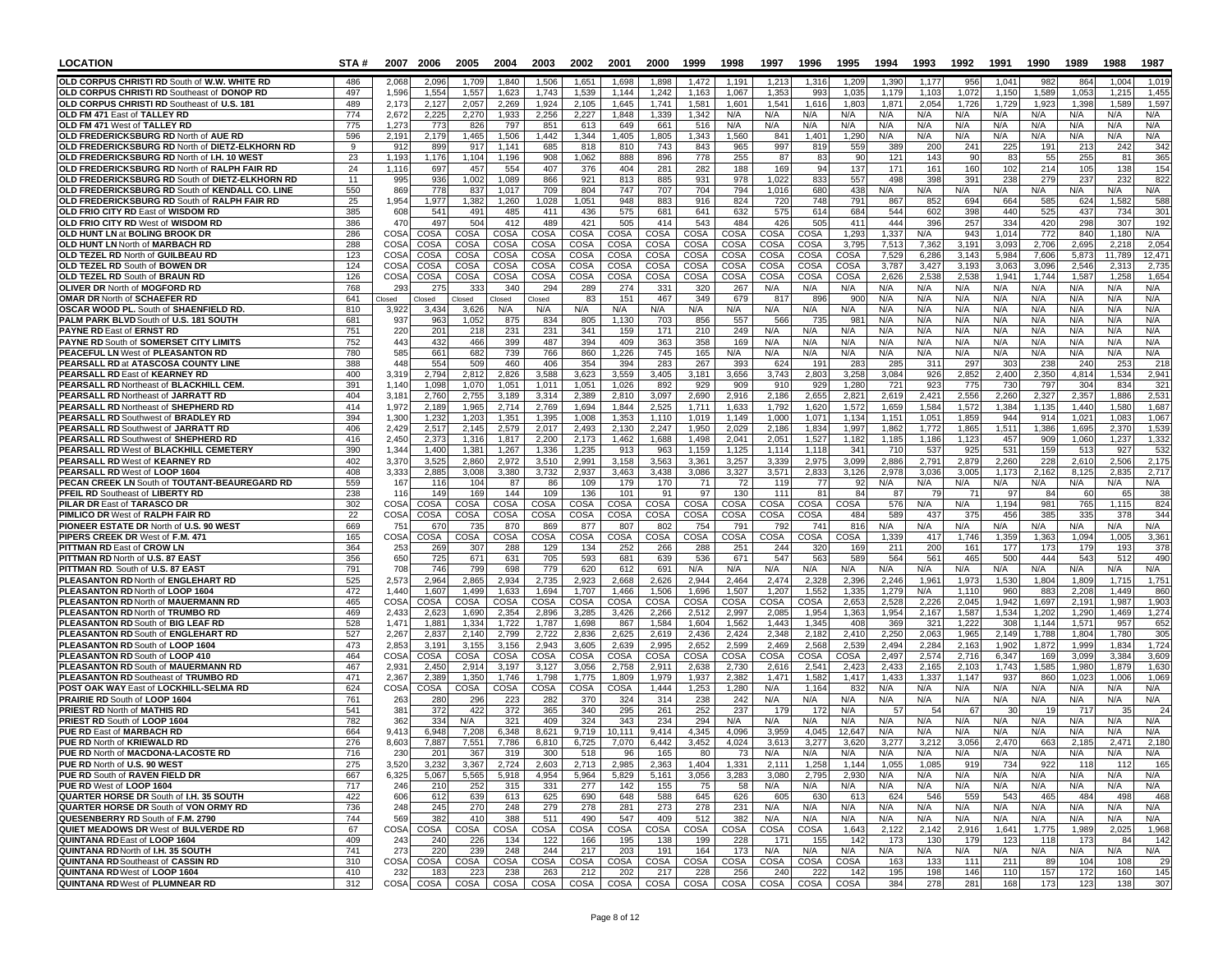| <b>LOCATION</b>                                                                                 | STA#       | 2007           | 2006           | 2005           | 2004                 | 2003                | 2002           | 2001               | 2000           | 1999           | 1998           | 1997           | 1996               | 1995           | 1994           | 1993           | 1992           | 1991           | 1990           | 1989           | 1988            | 1987           |
|-------------------------------------------------------------------------------------------------|------------|----------------|----------------|----------------|----------------------|---------------------|----------------|--------------------|----------------|----------------|----------------|----------------|--------------------|----------------|----------------|----------------|----------------|----------------|----------------|----------------|-----------------|----------------|
| OLD CORPUS CHRISTI RD South of W.W. WHITE RD                                                    | 486        | 2.068          | 2.096          | 1.709          | 1.840                | 1.506               | 1.651          | 1.698              | 1.898          | 1.472          | 1.191          | 1,213          | 1.316              | 1.209          | 1.390          | 1.177          | 956            | 1.041          | 982            | 864            | 1.004           | 1,019          |
| OLD CORPUS CHRISTI RD Southeast of DONOP RD                                                     | 497        | 1,596          | 1,554          | 1,557          | 1,623                | 1,743               | 1,539          | 1,144              | 1,242          | 1,163          | 1,067          | 1,35           | 993                | 1,035          | 1,179          | 1,103          | 1,072          | 1,150          | 1,589          | 1,053          | 1,21            | 1,455          |
| OLD CORPUS CHRISTI RD Southeast of U.S. 181<br>OLD FM 471 East of TALLEY RD                     | 489<br>774 | 2,173<br>2,672 | 2,127<br>2,225 | 2,057<br>2,270 | 2,269<br>1,933       | 1,924<br>2,256      | 2,105<br>2,227 | 1,645<br>1,848     | 1,741<br>1,339 | 1,581<br>1,342 | 1,601<br>N/A   | 1,541<br>N/A   | 1,616<br>N/A       | 1,80<br>N/A    | 1,87'<br>N/A   | 2,054<br>N/A   | 1,726<br>N/A   | 1,729<br>N/A   | 1,923<br>N/A   | 1,398<br>N/A   | 1,589<br>N/A    | 1,597<br>N/A   |
| OLD FM 471 West of TALLEY RD                                                                    | 775        | 1,273          | 773            | 826            | 797                  | 851                 | 613            | 649                | 661            | 516            | N/A            | N/A            | N/A                | N/A            | N/A            | N/A            | N/A            | N/A            | N/A            | N/A            | N/A             | N/A            |
| OLD FREDERICKSBURG RD North of AUE RD                                                           | 596        | 2,19'          | 2,179          | 1,465          | 1,506                | 1,442               | 1,344          | 1,405              | 1,805          | 1.343          | 1,560          | 84             | 1,40               | 1,290          | N/A            | N/A            | N/A            | N/A            | N/A            | N/A            | N/A             | N/A            |
| OLD FREDERICKSBURG RD North of DIETZ-ELKHORN RD                                                 | 9          | 912            | 899            | 917            | 1,141                | 685                 | 818            | 810                | 743            | 843            | 965            | 997            | 819                | 559            | 389            | <b>200</b>     | 241            | 225            | 191            | 213            | 242             | 342            |
| OLD FREDERICKSBURG RD North of I.H. 10 WEST                                                     | 23         | 1,193          | 1,176          | 1,104          | 1,196                | 908<br>407          | 1,062          | 888<br>404         | 896            | 778            | 255            | 87             | 83<br>94           | 90             | 121            | 143            | 90             | 83<br>102      | 55             | 255            | 81              | 365            |
| OLD FREDERICKSBURG RD North of RALPH FAIR RD<br>OLD FREDERICKSBURG RD South of DIETZ-ELKHORN RD | 24<br>11   | 1,116<br>995   | 697<br>936     | 457<br>1,002   | 554<br>1,089         | 866                 | 376<br>921     | 813                | 281<br>885     | 282<br>931     | 188<br>978     | 169<br>1,022   | 833                | 137<br>557     | 171<br>498     | 161<br>398     | 160<br>391     | 238            | 214<br>279     | 105<br>237     | 138<br>232      | 154<br>822     |
| OLD FREDERICKSBURG RD South of KENDALL CO. LINE                                                 | 550        | 869            | 778            | 837            | 1,017                | 709                 | 804            | 747                | 707            | 704            | 794            | 1,016          | 680                | 438            | N/A            | N/A            | N/A            | N/A            | N/A            | N/A            | N/A             | N/A            |
| OLD FREDERICKSBURG RD South of RALPH FAIR RD                                                    | 25         | 1,954          | 1,977          | 1,382          | 1,260                | 1,028               | 1,051          | 948                | 883            | 916            | 824            | 720            | 748                | 791            | 867            | 852            | 694            | 664            | 585            | 624            | 1.582           | 588            |
| OLD FRIO CITY RD East of WISDOM RD                                                              | 385        | 608            | 541            | 491            | 485                  | 411                 | 436            | 575                | 681            | 641            | 632            | 575            | 614                | 684            | 544            | 602            | 398            | 440            | 525            | 437            | 734             | 301            |
| OLD FRIO CITY RD West of WISDOM RD<br>OLD HUNT LN at BOLING BROOK DR                            | 386<br>286 | 470<br>COSA    | 497<br>COSA    | 504<br>COSA    | 412<br>COSA          | 489<br>COSA         | 421<br>COSA    | 505<br>COSA        | 414<br>COSA    | 543<br>COSA    | 484<br>COSA    | 426<br>COSA    | 505<br><b>COSA</b> | 411<br>1,293   | 444<br>1,337   | 396<br>N/A     | 257<br>943     | 334<br>1.014   | 420<br>772     | 298<br>840     | 307<br>1.180    | 192<br>N/A     |
| OLD HUNT LN North of MARBACH RD                                                                 | 288        | COSA           | COSA           | COSA           | COSA                 | COSA                | COSA           | COSA               | COSA           | COSA           | COSA           | COSA           | COSA               | 3,79           | 7,513          | 7,362          | 3,191          | 3,093          | 2,706          | 2,695          | 2,21            | 2,054          |
| OLD TEZEL RD North of GUILBEAU RD                                                               | 123        | COSA           | COSA           | COSA           | COSA                 | COSA                | COSA           | COSA               | COSA           | COSA           | COSA           | COSA           | COSA               | COSA           | 7,529          | 6,286          | 3,143          | 5,984          | 7,606          | 5,873          | 11.789          | 12,471         |
| <b>OLD TEZEL RD South of BOWEN DR</b>                                                           | 124        | <b>COSA</b>    | COSA           | COSA           | COSA                 | COSA                | COSA           | COSA               | COSA           | COSA           | COSA           | COSA           | <b>COSA</b>        | <b>COSA</b>    | 3,787          | 3,427          | 3,193          | 3,063          | 3,096          | 2,546          | 2,31            | 2,735          |
| OLD TEZEL RD South of BRAUN RD                                                                  | 126        | <b>COSA</b>    | COSA           | <b>COSA</b>    | COSA                 | COSA                | COSA           | COSA               | COSA           | COSA           | COSA           | COSA           | COSA               | COSA           | 2,626          | 2,538          | 2,538          | 1,941          | 1,744          | 1,587          | 1,258           | 1,654          |
| OLIVER DR North of MOGFORD RD<br><b>OMAR DR North of SCHAEFER RD</b>                            | 768<br>641 | 293<br>closed  | 275<br>Closed  | 333<br>Closed  | 340<br><b>Closed</b> | 294<br>Closed       | 289<br>83      | 274<br>151         | 331<br>467     | 320<br>349     | 267<br>679     | N/A<br>81      | N/A<br>896         | N/A<br>900     | N/A<br>N/A     | N/A<br>N/A     | N/A<br>N/A     | N/A<br>N/A     | N/A<br>N/A     | N/A<br>N/A     | N/A<br>N/A      | N/A<br>N/A     |
| OSCAR WOOD PL. South of SHAENFIELD RD.                                                          | 810        | 3,922          | 3,434          | 3,626          | N/A                  | N/A                 | N/A            | N/A                | N/A            | N/A            | N/A            | N/A            | N/A                | N/A            | N/A            | N/A            | N/A            | N/A            | N/A            | N/A            | N/A             | N/A            |
| PALM PARK BLVD South of U.S. 181 SOUTH                                                          | 681        | 937            | 963            | 1.052          | 875                  | 834                 | 805            | 1.130              | 703            | 856            | 557            | 56             | 735                | 98             | N/A            | N/A            | N/A            | N/A            | N/A            | N/A            | N/A             | N/A            |
| <b>PAYNE RD East of ERNST RD</b>                                                                | 751        | 220            | 201            | 218            | 231                  | 231                 | 341            | 159                | 171            | 210            | 249            | N/A            | N/A                | N/A            | N/A            | N/A            | N/A            | N/A            | N/A            | N/A            | N/A             | N/A            |
| PAYNE RD South of SOMERSET CITY LIMITS<br>PEACEFUL LN West of PLEASANTON RD                     | 752<br>780 | 443<br>585     | 432<br>661     | 466<br>682     | 399<br>739           | 487<br>766          | 394<br>860     | 409<br>1,226       | 363<br>745     | 358<br>165     | 169<br>N/A     | N/A<br>N/A     | N/A<br>N/A         | N/A<br>N/A     | N/A<br>N/A     | N/A<br>N/A     | N/A<br>N/A     | N/A<br>N/A     | N/A<br>N/A     | N/A<br>N/A     | N/A<br>N/A      | N/A<br>N/A     |
| PEARSALL RD at ATASCOSA COUNTY LINE                                                             | 388        | 448            | 554            | 509            | 460                  | 406                 | 354            | 394                | 283            | 267            | 393            | 624            | 191                | 283            | 285            | 31             | 297            | 303            | 238            | 240            | 25 <sup>°</sup> | 218            |
| PEARSALL RD East of KEARNEY RD                                                                  | 400        | 3,319          | 2,794          | 2,812          | 2,826                | 3,588               | 3,623          | 3,559              | 3,405          | 3,181          | 3,656          | 3,743          | 2,803              | 3,258          | 3,084          | 926            | 2,852          | 2,400          | 2,350          | 4,814          | 1,534           | 2,941          |
| PEARSALL RD Northeast of BLACKHILL CEM.                                                         | 391        | 1.140          | 1.098          | 1.070          | 1,051                | 1.011               | 1,051          | 1,026              | 892            | 929            | 909            | 910            | 929                | 1,280          | 721            | 923            | 775            | 730            | 797            | 304            | 834             | 321            |
| PEARSALL RD Northeast of JARRATT RD                                                             | 404<br>414 | 3,181          | 2,760          | 2,755          | 3,189                | 3,314               | 2,389          | 2,810              | 3,097          | 2,690          | 2,916          | 2,186          | 2,655              | 2,821          | 2,619          | 2,421          | 2,556          | 2,260          | 2,327          | 2,357          | 1,886           | 2,531          |
| PEARSALL RD Northeast of SHEPHERD RD<br><b>PEARSALL RD Southwest of BRADLEY RD</b>              | 394        | 1,972<br>1,300 | 2,189<br>1,232 | 1,965<br>1,203 | 2,714<br>1,351       | 2,769<br>1,395      | 1,694<br>1,008 | 1,844<br>1,353     | 2,525<br>1,110 | 1,711<br>1,019 | 1,633<br>1,149 | 1,792<br>1,000 | 1,620<br>1,071     | 1,572<br>1,134 | 1,659<br>1,151 | 1,584<br>1,051 | 1,572<br>1,859 | 1,384<br>944   | 1,135<br>914   | 1,440<br>1,021 | 1,580<br>1.083  | 1,687<br>1,067 |
| PEARSALL RD Southwest of JARRATT RD                                                             | 406        | 2,429          | 2,517          | 2,145          | 2,579                | 2,017               | 2,493          | 2,130              | 2,247          | 1,950          | 2,029          | 2,186          | 1,834              | 1,997          | 1,862          | 1,772          | 1,865          | 1,511          | 1,386          | 1,695          | 2,370           | 1,539          |
| PEARSALL RD Southwest of SHEPHERD RD                                                            | 416        | 2,450          | 2,373          | 1,316          | 1,817                | 2,200               | 2,173          | 1,462              | 1,688          | 1,498          | 2,041          | 2,05'          | 1,527              | 1,182          | 1,185          | 1,186          | 1,123          | 457            | 909            | 1,060          | 1,23            | 1,332          |
| PEARSALL RD West of BLACKHILL CEMETERY                                                          | 390        | 1,344          | 1,400          | 1,381          | 1,267                | 1,336               | 1,235          | 913                | 963            | 1,159          | 1,125          | 1,114          | 1,118              | 341            | 710            | 537            | 925            | 531            | 159            | 513            | 92              | 532            |
| PEARSALL RD West of KEARNEY RD<br>PEARSALL RD West of LOOP 1604                                 | 402<br>408 | 3,370<br>3,333 | 3,525<br>2,885 | 2,860<br>3.008 | 2,972<br>3,380       | 3,510<br>3,732      | 2,991<br>2.937 | 3,158<br>3.463     | 3,563<br>3,438 | 3,361<br>3.086 | 3,257<br>3,327 | 3,339<br>3,571 | 2,975<br>2,833     | 3,099<br>3.126 | 2,886<br>2.978 | 2,791<br>3.036 | 2,879<br>3.005 | 2,260<br>1,173 | 228<br>2.162   | 2,610<br>8.125 | 2,506<br>2.83   | 2,175<br>2,717 |
| PECAN CREEK LN South of TOUTANT-BEAUREGARD RD                                                   | 559        | 167            | 116            | 104            | 87                   | 86                  | 109            | 179                | 170            | 71             | 72             | 115            | 77                 | 92             | N/A            | N/A            | N/A            | N/A            | N/A            | N/A            | N/A             | N/A            |
| <b>PFEIL RD Southeast of LIBERTY RD</b>                                                         | 238        | 116            | 149            | 169            | 144                  | 109                 | 136            | 101                | 91             | 97             | 130            | 111            | 81                 | 84             | 87             | <b>79</b>      | 71             | 97             | 84             | 60             | 65              | 38             |
| PILAR DR East of TARASCO DR                                                                     | 302        | COSA           | COSA           | COSA           | COSA                 | COSA                | COSA           | COSA               | COSA           | COSA           | COSA           | COSA           | COSA               | COSA           | 576            | N/A            | N/A            | 1.194          | 981            | 765            | 1.115           | 824            |
| PIMLICO DR West of RALPH FAIR RD<br>PIONEER ESTATE DR North of U.S. 90 WEST                     | 22<br>669  | COSA<br>75'    | COSA<br>670    | COSA<br>735    | COSA<br>870          | COSA<br>869         | COSA<br>877    | COSA<br>807        | COSA<br>802    | COSA<br>754    | COSA<br>791    | COSA<br>792    | COSA<br>741        | 484<br>816     | 589<br>N/A     | 437<br>N/A     | 375<br>N/A     | 456<br>N/A     | 385<br>N/A     | 335<br>N/A     | 378<br>N/A      | 344<br>N/A     |
| PIPERS CREEK DR West of F.M. 471                                                                | 165        | COS/           | COSA           | COSA           | COSA                 | COSA                | COSA           | COSA               | COSA           | COSA           | COSA           | COSA           | COSA               | COSA           | 1,339          | 417            | 1,746          | 1,359          | 1,363          | 1,094          | 1,005           | 3,361          |
| PITTMAN RD East of CROW LN                                                                      | 364        | 253            | 269            | 307            | 288                  | 129                 | 134            | 252                | 266            | 288            | 251            | 244            | 320                | 169            | 211            | <b>200</b>     | 161            | 177            | 173            | 179            | 193             | 378            |
| PITTMAN RD North of U.S. 87 EAST                                                                | 356        | 650            | 725            | 671            | 631                  | 705                 | 593            | 681                | 639            | 536            | 671            | 547            | 563                | 589            | 564            | 561            | 465            | 500            | 444            | 543            | 51.             | 490            |
| PITTMAN RD. South of U.S. 87 EAST                                                               | 791<br>525 | 708            | 746            | 799            | 698                  | 779<br>2,735        | 620<br>2,923   | 612<br>2,668       | 691            | N/A            | N/A            | N/A            | N/A                | N/A            | N/A            | N/A            | N/A            | N/A            | N/A            | N/A            | N/A             | N/A<br>1,751   |
| PLEASANTON RD North of ENGLEHART RD<br>PLEASANTON RD North of LOOP 1604                         | 472        | 2,573<br>1.440 | 2,964<br>1.60  | 2,865<br>1.499 | 2,934<br>1,633       | 1,694               | 1.707          | 1,466              | 2,626<br>1,506 | 2,944<br>1,696 | 2,464<br>1,507 | 2,474<br>1,207 | 2,328<br>1,552     | 2,396<br>1,335 | 2,246<br>1,279 | 1,961<br>N/A   | 1,973<br>1.110 | 1,530<br>960   | 1,804<br>883   | 1,809<br>2,208 | 1,71!<br>1.449  | 860            |
| PLEASANTON RD North of MAUERMANN RD                                                             | 465        | COSA           | COSA           | COSA           | COSA                 | COSA                | COSA           | COSA               | COSA           | COSA           | COSA           | COSA           | COSA               | 2,653          | 2,528          | 2,226          | 2,045          | 1,942          | 1,697          | 2,191          | 1,987           | 1,903          |
| PLEASANTON RD North of TRUMBO RD                                                                | 469        | 2,433          | 2,62           | 1,690          | 2,354                | 2,896               | 3,285          | 3,426              | 2,266          | 2,512          | 2,997          | 2,08           | 1,954              | 1,363          | 1,954          | 2,167          | 1,587          | 1,534          | 1,202          | 1,290          | 1,469           | 1,274          |
| PLEASANTON RD South of BIG LEAF RD                                                              | 528        | 1,471          | 1.881          | 1,334          | 1.722                | 1,787               | 1,698          | 867                | 1,584          | 1.604          | 1,562          | 1.443          | 1,345              | 408<br>2,41    | 369            | 321            | 1,222          | 308            | 1.144          | 1,571          | 95              | 652            |
| PLEASANTON RD South of ENGLEHART RD<br>PLEASANTON RD South of LOOP 1604                         | 527<br>473 | 2,267<br>2,853 | 2,837<br>3,19  | 2,140<br>3,155 | 2,799<br>3,156       | 2,722<br>2,943      | 2,836<br>3,605 | 2,625<br>2,639     | 2,619<br>2.995 | 2,436<br>2,652 | 2,424<br>2,599 | 2,348<br>2,469 | 2,182<br>2,568     | 2,539          | 2,250<br>2,494 | 2,063<br>2,284 | 1,965<br>2,163 | 2,149<br>1,902 | 1,788<br>1,872 | 1,804<br>1,999 | 1,780<br>1,834  | 305<br>1,724   |
| PLEASANTON RD South of LOOP 410                                                                 | 464        | COSA           | COSA           | COSA           | COSA                 | COSA                | COSA           | <b>COSA</b>        | COSA           | COSA           | COSA           | COSA           | COSA               | COSA           | 2.497          | 2,574          | 2.716          | 6,347          | 169            | 3,099          | 3.384           | 3,609          |
| PLEASANTON RD South of MAUERMANN RD                                                             | 467        | 2,93'          | 2,450          | 2,914          | 3,197                | 3,127               | 3,056          | 2,758              | 2,911          | 2,638          | 2,730          | 2,616          | 2,541              | 2,42           | 2,433          | 2,165          | 2,103          | 1,743          | 1,585          | 1,980          | 1,879           | 1,630          |
| PLEASANTON RD Southeast of TRUMBO RD                                                            | 471        | 2,367          | 2,389          | 1,350          | 1,746                | 1,798               | 1,775          | 1,809              | 1,979          | 1,937          | 2,382          | 1,47'          | 1,582              | 1,417          | 1,433          | 1,33           | 1,147          | 937            | 860            | 1,023          | 1,00            | 1,069          |
| POST OAK WAY East of LOCKHILL-SELMA RD<br>PRAIRIE RD South of LOOP 1604                         | 624<br>761 | COSA<br>263    | COSA<br>280    | COSA<br>296    | COSA<br>223          | COSA<br>282         | COSA<br>370    | <b>COSA</b><br>324 | 1,444<br>314   | 1,253<br>238   | 1,280<br>242   | N/A<br>N/A     | 1,164<br>N/A       | 832<br>N/A     | N/A<br>N/A     | N/A<br>N/A     | N/A<br>N/A     | N/A<br>N/A     | N/A<br>N/A     | N/A<br>N/A     | N/A<br>N/A      | N/A<br>N/A     |
| <b>PRIEST RD North of MATHIS RD</b>                                                             | 541        | 38'            | 372            | 422            | 372                  | 365                 | 340            | 295                | 261            | 252            | 237            | 179            | 172                | N/A            | 57             | 54             | 67             | 30             |                | 717            |                 | 24             |
| PRIEST RD South of LOOP 1604                                                                    | 782        | 362            | 334            | N/A            | 321                  | 409                 | 324            | 343                | 234            | 294            | N/A            | N/A            | N/A                | N/A            | N/A            | N/A            | N/A            | N/A            | N/A            | N/A            | N/A             | N/A            |
| PUE RD East of MARBACH RD                                                                       | 664        | 9,413          | 6,948          | 7,208          | 6,348                | 8,621               | 9,719          | 10,111             | 9,414          | 4,345          | 4,096          | 3,959          | 4,045              | 12,647         | N/A            | N/A            | N/A            | N/A            | N/A            | N/A            | N/A             | N/A            |
| PUE RD North of KRIEWALD RD<br>PUE RD North of MACDONA-LACOSTE RD                               | 276<br>716 | 8,603<br>230   | 7.887          | 7,551          | 7,786                | 6,810               | 6,725          | 7,070              | 6,442          | 3.452          | 4,024          | 3.613          | 3,277<br>N/A       | 3.62(<br>N/A   | 3.277<br>N/A   | 3,21<br>N/A    | 3.056<br>N/A   | 2,470<br>N/A   | 663            | 2.185<br>N/A   | 2.47'<br>N/A    | 2,180<br>N/A   |
| PUE RD North of U.S. 90 WEST                                                                    | 275        | 3,520          | ZU I<br>3,232  | 567<br>3,367   | -319<br>2,724        | <b>300</b><br>2,603 | 518<br>2,713   | 90<br>2,985        | ျပာ<br>2,363   | 8U<br>1,404    | 73<br>1,331    | N/A<br>2,111   | 1,258              | 1,144          | 1,055          | 1,085          | 919            | 734            | N/A<br>922     | 118            | 112             | 165            |
| PUE RD South of RAVEN FIELD DR                                                                  | 667        | 6,325          | 5,067          | 5,565          | 5,918                | 4,954               | 5,964          | 5,829              | 5,161          | 3,056          | 3,283          | 3,080          | 2,795              | 2,930          | N/A            | N/A            | N/A            | N/A            | N/A            | N/A            | N/A             | N/A            |
| PUE RD West of LOOP 1604                                                                        | 717        | 246            | 210            | 252            | 315                  | 331                 | 277            | 142                | 155            | 75             | 58             | N/A            | N/A                | N/A            | N/A            | N/A            | N/A            | N/A            | N/A            | N/A            | N/A             | N/A            |
| QUARTER HORSE DR South of I.H. 35 SOUTH<br><b>QUARTER HORSE DR South of VON ORMY RD</b>         | 422        | 606<br>248     | 612            | 639            | 613                  | 625                 | 690            | 648<br>281         | 588            | 645<br>278     | 626            | 605            | 630                | 613            | 624            | 546            | 559            | 543            | 465            | 484            | 498             | 468            |
| QUESENBERRY RD South of F.M. 2790                                                               | 736<br>744 | 569            | 245<br>382     | 270<br>410     | 248<br>388           | 279<br>511          | 278<br>490     | 547                | 273<br>409     | 512            | 231<br>382     | N/A<br>N/A     | N/A<br>N/A         | N/A<br>N/A     | N/A<br>N/A     | N/A<br>N/A     | N/A<br>N/A     | N/A<br>N/A     | N/A<br>N/A     | N/A<br>N/A     | N/A<br>N/A      | N/A<br>N/A     |
| QUIET MEADOWS DR West of BULVERDE RD                                                            | 67         | COSA           | COSA           | COSA           | COSA                 | COSA                | COSA           | COSA               | COSA           | COSA           | COSA           | COSA           | COSA               | 1,643          | 2,122          | 2,142          | 2,916          | 1,641          | 1,775          | 1,989          | 2,025           | 1,968          |
| <b>QUINTANA RDEast of LOOP 1604</b>                                                             | 409        | 243            | 240            | 226            | 134                  | 122                 | 166            | 195                | 138            | 199            | 228            | 171            | 155                | 142            | 173            | 130            | 179            | 123            | 118            | 173            | 84              | 142            |
| <b>QUINTANA RD North of I.H. 35 SOUTH</b>                                                       | 741        | 273            | 220            | 239            | 248                  | 244                 | 217            | 203                | 191            | 164            | 173            | N/A            | N/A                | N/A            | N/A            | N/A            | N/A            | N/A            | N/A            | N/A            | N/A             | N/A            |
| <b>QUINTANA RD Southeast of CASSIN RD</b><br><b>QUINTANA RD West of LOOP 1604</b>               | 310<br>410 | COSA<br>232    | COSA<br>183    | COSA<br>223    | COSA<br>238          | COSA<br>263         | COSA<br>212    | COSA<br>202        | COSA<br>217    | COSA<br>228    | COSA<br>256    | COSA<br>240    | COSA<br>222        | COSA<br>142    | 163<br>195     | 133<br>198     | 111<br>146     | 211<br>110     | 89<br>157      | 104<br>172     | 108<br>160      | 29<br>145      |
| <b>QUINTANA RD West of PLUMNEAR RD</b>                                                          | 312        |                | COSA COSA      | COSA           | COSA                 | COSA                |                | COSA COSA          | COSA           | COSA           | COSA           | COSA           | COSA               | COSA           | 384            | 278            | 281            | 168            | 173            | 123            | 138             | 307            |
|                                                                                                 |            |                |                |                |                      |                     |                |                    |                |                |                |                |                    |                |                |                |                |                |                |                |                 |                |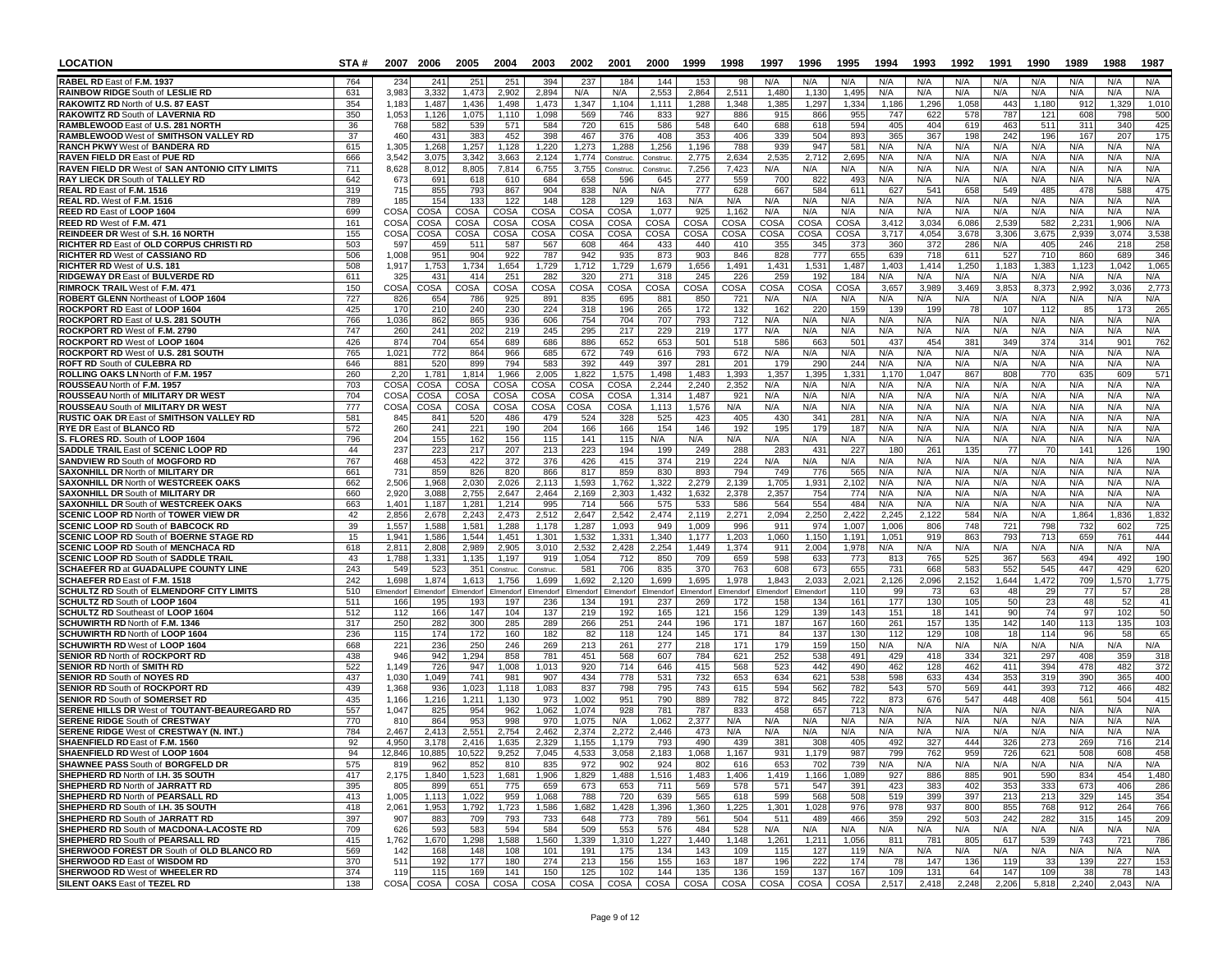| <b>LOCATION</b>                                                                             | STA#       |                | 2007 2006                  | 2005             | 2004               | 2003             | 2002              | 2001               | 2000              | 1999               | 1998              | 1997               | 1996               | 1995           | 1994           | 1993         | 1992            | 1991         | 1990         | 1989         | 1988         | 1987         |
|---------------------------------------------------------------------------------------------|------------|----------------|----------------------------|------------------|--------------------|------------------|-------------------|--------------------|-------------------|--------------------|-------------------|--------------------|--------------------|----------------|----------------|--------------|-----------------|--------------|--------------|--------------|--------------|--------------|
| RABEL RD East of F.M. 1937                                                                  | 764        | 234            | 241                        | 251              | 251                | 394              | 237               | 184                | 144               | 153                | 98                | N/A                | N/A                | N/A            | N/A            | N/A          | N/A             | N/A          | N/A          | N/A          | N/A          | N/A          |
| <b>RAINBOW RIDGE South of LESLIE RD</b>                                                     | 631        | 3,983          | 3,332                      | 1,473            | 2,902              | 2,894            | N/A               | N/A                | 2,553             | 2,864              | 2,511             | 1,480              | 1,130              | 1,495          | N/A            | N/A          | N/A             | N/A          | N/A          | N/A          | N/A          | N/A          |
| RAKOWITZ RD North of U.S. 87 EAST                                                           | 354        | 1,183          | 1,487                      | 1,436            | 1,498              | 1,473            | 1,347             | 1,104              | 1,111             | 1,288              | 1,348             | 1,385              | 1,297              | 1,334          | 1,186          | 1,296        | 1,058           | 443          | 1,180        | 912          | 1,329        | 1,010        |
| RAKOWITZ RD South of LAVERNIA RD<br>RAMBLEWOOD East of U.S. 281 NORTH                       | 350<br>36  | 1,053<br>768   | 1,126<br>582               | 1,075<br>539     | 1.110<br>571       | 1,098<br>584     | 569<br>720        | 746<br>615         | 833<br>586        | 927<br>548         | 886<br>640        | 915<br>688         | 866<br>618         | 955<br>594     | 747<br>405     | 622<br>404   | 578<br>619      | 787<br>463   | 121<br>511   | 608<br>311   | 798<br>340   | 500<br>425   |
| <b>RAMBLEWOOD West of SMITHSON VALLEY RD</b>                                                | 37         | 460            | 431                        | 383              | 452                | 398              | 467               | 376                | 408               | 353                | 406               | 339                | 504                | 893            | 365            | 367          | 198             | 242          | 196          | 167          | 207          | 175          |
| <b>RANCH PKWY West of BANDERA RD</b>                                                        | 615        | 1,305          | 1,268                      | 1,257            | 1,128              | 1,220            | 1,273             | 1,288              | 1,256             | 1.196              | 788               | 939                | 947                | 581            | N/A            | N/A          | N/A             | N/A          | N/A          | N/A          | N/A          | N/A          |
| <b>RAVEN FIELD DR East of PUE RD</b>                                                        | 666        | 3,542          | 3,075                      | 3.342            | 3,663              | 2,124            | 1,774             | Construc.          | Construc          | 2,775              | 2,634             | 2,535              | 2,712              | 2,695          | N/A            | N/A          | N/A             | N/A          | N/A          | N/A          | N/A          | N/A          |
| RAVEN FIELD DR West of SAN ANTONIO CITY LIMITS                                              | 711        | 8,628          | 8,012                      | 8,805            | 7,814              | 6,755            | 3,755             | Construc.          | Construc.         | 7,256              | 7,423             | N/A                | N/A                | N/A            | N/A            | N/A          | N/A             | N/A          | N/A          | N/A          | N/A          | N/A          |
| RAY LIECK DR South of TALLEY RD                                                             | 642        | 673            | 691                        | 618              | 610                | 684              | 658               | 596                | 645               | 277                | 559               | 700                | 822                | 493            | N/A            | N/A          | N/A             | N/A          | N/A          | N/A          | N/A          | N/A          |
| REAL RD East of F.M. 1516<br>REAL RD. West of F.M. 1516                                     | 319<br>789 | 715<br>185     | 855<br>154                 | 793<br>133       | 867<br>122         | 904<br>148       | 838<br>128        | N/A<br>129         | N/A<br>163        | 777<br>N/A         | 628<br>N/A        | 667<br>N/A         | 584<br>N/A         | 611<br>N/A     | 62<br>N/A      | 541<br>N/A   | 65<br>N/A       | 549<br>N/A   | 485<br>N/A   | 478<br>N/A   | 588<br>N/A   | 475<br>N/A   |
| REED RD East of LOOP 1604                                                                   | 699        | COSA           | COSA                       | COSA             | COSA               | COSA             | COSA              | COSA               | 1,077             | 925                | 1.162             | N/A                | N/A                | N/A            | N/A            | N/A          | N/A             | N/A          | N/A          | N/A          | N/A          | N/A          |
| REED RD West of F.M. 471                                                                    | 161        | COSA           | COSA                       | <b>COSA</b>      | COSA               | <b>COSA</b>      | COSA              | COSA               | COSA              | COSA               | COSA              | COSA               | <b>COSA</b>        | COSA           | 3,41           | 3,034        | 6,08            | 2,53         | 582          | 2,23         | 1,906        | N/A          |
| REINDEER DR West of S.H. 16 NORTH                                                           | 155        | COSA           | COSA                       | COSA             | COSA               | COSA             | COSA              | COSA               | COSA              | COSA               | COSA              | COSA               | COSA               | COSA           | 3,717          | 4,054        | 3,678           | 3,306        | 3,675        | 2,939        | 3,074        | 3,538        |
| RICHTER RD East of OLD CORPUS CHRISTI RD                                                    | 503        | 597            | 459                        | 511              | 587                | 567              | 608               | 464                | 433               | 440                | 410               | 355                | 345                | 373            | 360            | 372          | 286             | N/A          | 405          | 246          | 218          | 258          |
| <b>RICHTER RD West of CASSIANO RD</b><br>RICHTER RD West of U.S. 181                        | 506<br>508 | 1,008<br>1,917 | 951<br>1,753               | 904<br>1,734     | 922<br>1,654       | 787<br>1,729     | 942<br>1,712      | 935<br>1,729       | 873<br>1,679      | 903<br>1,656       | 846<br>1,491      | 828<br>1,431       | 777<br>1,531       | 655<br>1,487   | 639<br>1.403   | 718<br>1,414 | 611<br>1,250    | 527<br>1,183 | 710<br>1,383 | 860<br>1,123 | 689<br>1,042 | 346<br>1,065 |
| <b>RIDGEWAY DR East of BULVERDE RD</b>                                                      | 611        | 325            | 431                        | 414              | 251                | 282              | 320               | 271                | 318               | 245                | 226               | 259                | 192                | 184            | N/A            | N/A          | N/A             | N/A          | N/A          | N/A          | N/A          | N/A          |
| RIMROCK TRAIL West of F.M. 471                                                              | 150        | COSA           | COSA                       | COSA             | COSA               | COSA             | COSA              | COSA               | COSA              | COSA               | COSA              | COSA               | COSA               | COSA           | 3,657          | 3,989        | 3,469           | 3,85         | 8,373        | 2,992        | 3,036        | 2,773        |
| ROBERT GLENN Northeast of LOOP 1604                                                         | 727        | 826            | 654                        | 786              | 925                | 891              | 835               | 695                | 881               | 850                | 721               | N/A                | N/A                | N/A            | N/A            | N/A          | N/A             | N/A          | N/A          | N/A          | N/A          | N/A          |
| ROCKPORT RD East of LOOP 1604                                                               | 425        | 170            | 210                        | 240              | 230                | 224              | 318               | 196                | 265               | 172                | 132               | 162                | 220                | 159            | 139            | 199          | 78              | 107          | 112          | 85           | 173          | 265          |
| ROCKPORT RD East of U.S. 281 SOUTH<br>ROCKPORT RD West of F.M. 2790                         | 766<br>747 | 1,036          | 862                        | 865              | 936                | 606              | 754               | 704                | 707               | 793                | 712               | N/A<br>N/A         | N/A                | N/A            | N/A            | N/A<br>N/A   | N/A<br>N/A      | N/A          | N/A          | N/A<br>N/A   | N/A<br>N/A   | N/A          |
| ROCKPORT RD West of LOOP 1604                                                               | 426        | 260<br>874     | 241<br>704                 | 202<br>654       | 219<br>689         | 245<br>686       | 295<br>886        | 217<br>652         | 229<br>653        | 219<br>501         | 177<br>518        | 586                | N/A<br>663         | N/A<br>501     | N/A<br>437     | 454          | 38 <sup>2</sup> | N/A<br>349   | N/A<br>374   | 314          | $90^{\circ}$ | N/A<br>762   |
| ROCKPORT RD West of U.S. 281 SOUTH                                                          | 765        | 1,021          | 772                        | 864              | 966                | 685              | 672               | 749                | 616               | 793                | 672               | N/A                | N/A                | N/A            | N/A            | N/A          | N/A             | N/A          | N/A          | N/A          | N/A          | N/A          |
| <b>ROFT RD South of CULEBRA RD</b>                                                          | 646        | 881            | 520                        | 899              | 794                | 583              | 392               | 449                | 397               | 281                | 201               | 179                | 290                | 244            | N/A            | N/A          | N/A             | N/A          | N/A          | N/A          | N/A          | N/A          |
| ROLLING OAKS LN North of F.M. 1957                                                          | 260        | 2,20           | 1,78                       | 1,814            | 1,966              | 2,005            | 1,822             | 1,575              | 1,498             | 1,483              | 1,393             | 1,357              | 1,395              | 1,331          | 1,170          | 1,047        | 867             | 808          | 770          | 635          | 60           | 571          |
| ROUSSEAU North of F.M. 1957<br><b>ROUSSEAU North of MILITARY DR WEST</b>                    | 703<br>704 | COSA           | COSA                       | COSA             | COSA               | COSA             | COSA<br>COSA      | COSA               | 2,244             | 2.240<br>1,487     | 2,352             | N/A                | N/A<br>N/A         | N/A<br>N/A     | N/A<br>N/A     | N/A<br>N/A   | N/A             | N/A<br>N/A   | N/A          | N/A          | N/A          | N/A          |
| ROUSSEAU South of MILITARY DR WEST                                                          | 777        | COSA<br>COSA   | COSA<br>COSA               | COSA<br>COSA     | COSA<br>COSA       | COSA<br>COSA     | COSA              | COSA<br>COSA       | 1,314<br>1,113    | 1,576              | 921<br>N/A        | N/A<br>N/A         | N/A                | N/A            | N/A            | N/A          | N/A<br>N/A      | N/A          | N/A<br>N/A   | N/A<br>N/A   | N/A<br>N/A   | N/A<br>N/A   |
| RUSTIC OAK DR East of SMITHSON VALLEY RD                                                    | 581        | 845            | 841                        | 520              | 486                | 479              | 524               | 328                | 525               | 423                | 405               | 430                | 341                | 281            | N/A            | N/A          | N/A             | N/A          | N/A          | N/A          | N/A          | N/A          |
| <b>RYE DR East of BLANCO RD</b>                                                             | 572        | 260            | 241                        | 221              | 190                | 204              | 166               | 166                | 154               | 146                | 192               | 195                | 179                | 187            | N/A            | N/A          | N/A             | N/A          | N/A          | N/A          | N/A          | N/A          |
| S. FLORES RD. South of LOOP 1604                                                            | 796        | 204            | 155                        | 162              | 156                | 115              | 141               | 115                | N/A               | N/A                | N/A               | N/A                | N/A                | N/A            | N/A            | N/A          | N/A             | N/A          | N/A          | N/A          | N/A          | N/A          |
| <b>SADDLE TRAIL East of SCENIC LOOP RD</b>                                                  | 44         | 237            | 223                        | 217              | 207                | 213              | 223               | 194                | 199               | 249                | 288               | 283                | 431                | 227            | 180            | 261          | 135             | 77           |              | 141          | 12(          | 190          |
| <b>SANDVIEW RD South of MOGFORD RD</b><br>SAXONHILL DR North of MILITARY DR                 | 767<br>661 | 468<br>731     | 453<br>859                 | 422<br>826       | 372<br>820         | 376<br>866       | 426<br>817        | 415<br>859         | 374<br>830        | 219<br>893         | 224<br>794        | N/A<br>749         | N/A<br>776         | N/A<br>565     | N/A<br>N/A     | N/A<br>N/A   | N/A<br>N/A      | N/A<br>N/A   | N/A<br>N/A   | N/A<br>N/A   | N/A<br>N/A   | N/A<br>N/A   |
| <b>SAXONHILL DR North of WESTCREEK OAKS</b>                                                 | 662        | 2,506          | 1.968                      | 2.030            | 2,026              | 2,113            | 1,593             | 1.762              | 1,322             | 2,279              | 2,139             | 1.705              | 1,931              | 2,102          | N/A            | N/A          | N/A             | N/A          | N/A          | N/A          | N/A          | N/A          |
| <b>SAXONHILL DR South of MILITARY DR</b>                                                    | 660        | 2,920          | 3,088                      | 2,755            | 2,647              | 2,464            | 2,169             | 2,303              | 1,432             | 1,632              | 2,378             | 2,357              | 754                | 774            | N/A            | N/A          | N/A             | N/A          | N/A          | N/A          | N/A          | N/A          |
| SAXONHILL DR South of WESTCREEK OAKS                                                        | 663        | 1,401          | 1,187                      | 1,281            | 1,214              | 995              | 714               | 566                | 575               | 533                | 586               | 564                | 554                | 484            | N/A            | N/A          | N/A             | N/A          | N/A          | N/A          | N/A          | N/A          |
| <b>SCENIC LOOP RD North of TOWER VIEW DR</b>                                                | 42         | 2,856          | 2,678                      | 2,243            | 2,473              | 2,512            | 2,647             | 2,542              | 2,474             | 2,119              | 2,271             | 2,094              | 2,250              | 2,42;          | 2,24           | 2,122        | 584             | N/A          | N/A          | 1,864        | 1,836        | 1,832        |
| <b>SCENIC LOOP RD South of BABCOCK RD</b><br><b>SCENIC LOOP RD South of BOERNE STAGE RD</b> | 39<br>15   | 1,557<br>1,941 | 1,588<br>1,586             | 1,581<br>1,544   | 1,288<br>1,451     | 1,178<br>1,301   | 1,287<br>1,532    | 1,093<br>1,331     | 949<br>1,340      | 1,009<br>1,177     | 996<br>1,203      | 911<br>1,060       | 974<br>1,150       | 1,007<br>1,191 | 1,006<br>1,05' | 806<br>919   | 748<br>863      | 721<br>793   | 798<br>713   | 732<br>659   | 602<br>761   | 725<br>444   |
| <b>SCENIC LOOP RD South of MENCHACA RD</b>                                                  | 618        | 2,811          | 2,808                      | 2.989            | 2,905              | 3,010            | 2,532             | 2,428              | 2,254             | 1,449              | 1,374             | 911                | 2,004              | 1,978          | N/A            | N/A          | N/A             | N/A          | N/A          | N/A          | N/A          | N/A          |
| <b>SCENIC LOOP RD South of SADDLE TRAIL</b>                                                 | 43         | 1,788          | 1,331                      | 1,135            | 1,197              | 919              | 1,054             | 712                | 850               | 709                | 659               | 598                | 633                | 773            | 813            | 765          | 525             | 367          | 563          | 494          | 492          | 190          |
| SCHAEFER RD at GUADALUPE COUNTY LINE                                                        | 243        | 549            | 523                        | 351              | Construc           | Construc.        | 581               | 706                | 835               | 370                | 763               | 608                | 673                | 655            | 731            | 668          | 583             | 552          | 545          | 447          | 429          | 620          |
| SCHAEFER RD East of F.M. 1518<br>SCHULTZ RD South of ELMENDORF CITY LIMITS                  | 242<br>510 | 1,698          | 1,874                      | 1,613            | 1,756<br>Elmendorf | 1,699            | 1,692<br>Imendorf | 2,120<br>Elmendorf | 1,699<br>Imendorf | 1,695<br>Elmendorf | 1,978<br>Imendorf | 1,843<br>Elmendorf | 2,033<br>Elmendorf | 2,021<br>110   | 2,126<br>99    | 2,096<br>73  | 2,152<br>63     | 1,644<br>48  | 1,472<br>29  | 709<br>77    | 1,570<br>57  | 1,775<br>28  |
| SCHULTZ RD South of LOOP 1604                                                               | 511        | 166            | Elmendorf Elmendorf<br>195 | Elmendorf<br>193 | 197                | Elmendorf<br>236 | 134               | 191                | 237               | 269                | 172               | 158                | 134                | 161            | 177            | 130          | 105             | 50           | 23           | 48           | 52           | 41           |
| <b>SCHULTZ RD Southeast of LOOP 1604</b>                                                    | 512        | 112            | 166                        | 147              | 104                | 137              | 219               | 192                | 165               | 121                | 156               | 129                | 139                | 143            | 151            | 18           | 141             | 90           | 74           | 97           | 102          | 50           |
| SCHUWIRTH RD North of F.M. 1346                                                             | 317        | 250            | 282                        | 300              | 285                | 289              | 266               | 251                | 244               | 196                | 171               | 187                | 167                | 160            | 261            | 157          | 135             | 142          | 140          | 113          | 135          | 103          |
| SCHUWIRTH RD North of LOOP 1604                                                             | 236        | 115            | 174                        | 172              | 160                | 182              | 82                | 118                | 124               | 145                | 171               | 84                 | 137                | 130            | 112            | 129          | 108             | 18           | 114          | 96           | 58           | 65           |
| SCHUWIRTH RD West of LOOP 1604<br><b>SENIOR RD North of ROCKPORT RD</b>                     | 668<br>438 | 221<br>946     | 236<br>942                 | 250<br>1,294     | 246<br>858         | 269<br>781       | 213<br>451        | 261<br>568         | 277<br>607        | 218<br>784         | 171<br>621        | 179<br>252         | 159<br>538         | 150<br>491     | N/A<br>429     | N/A<br>418   | N/A<br>334      | N/A<br>321   | N/A<br>297   | N/A<br>408   | N/A<br>359   | N/A<br>318   |
| <b>SENIOR RD North of SMITH RD</b>                                                          | 522        | 1,149          | 726                        | 947              | 1,008              | 1,013            | 920               | 714                | 646               | 415                | 568               | 523                | 442                | 490            | 462            | 128          | 462             | 411          | 394          | 478          | 482          | 372          |
| <b>SENIOR RD South of NOYES RD</b>                                                          | 437        | 1,030          | 1,049                      | 741              | 981                | 907              | 434               | 778                | 531               | 732                | 653               | 634                | 621                | 538            | 598            | 633          | 434             | 353          | 319          | 390          | 365          | 400          |
| <b>SENIOR RD South of ROCKPORT RD</b>                                                       | 439        | 1,368          | 936                        | 1,023            | 1.118              | 1,083            | 837               | 798                | 795               | 743                | 615               | 594                | 562                | 782            | 543            | 570          | 569             | 441          | 393          | 712          | 466          | 482          |
| <b>SENIOR RD South of SOMERSET RD</b>                                                       | 435        | 1,166          | 1,216                      | 1,211            | 1,130              | 973              | 1,002             | 951                | 790               | 889                | 782               | 872                | 845                | 722            | 873            | 676          | 547             | 448          | 408          | 561          | 504          | 415          |
| SERENE HILLS DR West of TOUTANT-BEAUREGARD RD<br><b>SERENE RIDGE South of CRESTWAY</b>      | 557<br>770 | 1,047<br>810   | 825<br>864                 | 954<br>953       | 962<br>998         | 1,062<br>970     | 1,074<br>1.075    | 928<br>N/A         | 781<br>1,062      | 787<br>2.377       | 833<br>N/A        | 458<br>N/A         | 657<br>N/A         | 713<br>N/A     | N/A<br>N/A     | N/A<br>N/A   | N/A<br>N/A      | N/A<br>N/A   | N/A<br>N/A   | N/A<br>N/A   | N/A<br>N/A   | N/A<br>N/A   |
| <b>SERENE RIDGE West of CRESTWAY (N. INT.)</b>                                              | 784        | 2,467          | 2,413                      | 2,551            | 2,754              | 2,462            | 2,374             | 2,272              | 2,446             | 473                | N/A               | N/A                | N/A                | N/A            | N/A            | N/A          | N/A             | N/A          | N/A          | N/A          | N/A          | N/A          |
| SHAENFIELD RD East of F.M. 1560                                                             | 92         | 4.950          | 3,178                      | 2,416            | 1,635              | 2,329            | 1,155             | 1,179              | 793               | 490                | 439               | 381                | 308                | 405            | 492            | 327          | 444             | 326          | 273          | 269          | 716          | 214          |
| <b>SHAENFIELD RD West of LOOP 1604</b>                                                      | 94         | 12,846         | 10,885                     | 10,522           | 9,252              | 7,045            | 4,533             | 3,058              | 2,183             | 80U, P             | 1,167             | 931                | 1,179              | 987            | - 199          | 762          | 959             | 726          | 621          | 508          | <b>bU</b>    | 458          |
| SHAWNEE PASS South of BORGFELD DR                                                           | 575        | 819            | 962                        | 852              | 810                | 835              | 972               | 902                | 924               | 802                | 616               | 653                | 702                | 739            | N/A            | N/A          | N/A             | N/A          | N/A          | N/A          | N/A          | N/A          |
| SHEPHERD RD North of I.H. 35 SOUTH<br>SHEPHERD RD North of JARRATT RD                       | 417<br>395 | 2,175<br>805   | 1,840<br>899               | 1,523<br>651     | 1,681<br>775       | 1,906<br>659     | 1,829<br>673      | 1,488<br>653       | 1,516<br>711      | 1,483<br>569       | 1,406<br>578      | 1,419<br>571       | 1,166<br>547       | 1,089<br>391   | 927<br>423     | 886<br>383   | 885<br>402      | 901<br>353   | 590<br>333   | 834<br>673   | 454<br>406   | 1,480<br>286 |
| SHEPHERD RD North of PEARSALL RD                                                            | 413        | 1,005          | 1,113                      | 1,022            | 959                | 1,068            | 788               | 720                | 639               | 565                | 618               | 599                | 568                | 508            | 519            | 399          | 397             | 213          | 213          | 329          | 145          | 354          |
| SHEPHERD RD South of I.H. 35 SOUTH                                                          | 418        | 2,061          | 1,953                      | 1,792            | 1,723              | 1,586            | 1,682             | 1,428              | 1,396             | 1,360              | 1,225             | 1,301              | 1,028              | 976            | 978            | 937          | 800             | 855          | 768          | 912          | 264          | 766          |
| SHEPHERD RD South of JARRATT RD                                                             | 397        | 907            | 883                        | 709              | 793                | 733              | 648               | 773                | 789               | 561                | 504               | 511                | 489                | 466            | 359            | 292          | 503             | 242          | 282          | 315          | 145          | 209          |
| SHEPHERD RD South of MACDONA-LACOSTE RD                                                     | 709        | 626            | 593                        | 583              | 594                | 584              | 509               | 553                | 576               | 484                | 528               | N/A                | N/A                | N/A            | N/A            | N/A          | N/A             | N/A          | N/A          | N/A          | N/A          | N/A          |
| SHEPHERD RD South of PEARSALL RD<br>SHERWOOD FOREST DR South of OLD BLANCO RD               | 415<br>569 | 1,762<br>142   | 1,670<br>168               | 1,298<br>148     | 1,588<br>108       | 1,560<br>101     | 1,339<br>191      | 1,310<br>175       | 1,227<br>134      | 1,440<br>143       | 1,148<br>109      | 1,261              | 1,211<br>127       | 1,056<br>119   | 811<br>N/A     | 781<br>N/A   | 805<br>N/A      | 617<br>N/A   | 539<br>N/A   | 743<br>N/A   | 721<br>N/A   | 786<br>N/A   |
| SHERWOOD RD East of WISDOM RD                                                               | 370        | 511            | 192                        | 177              | 180                | 274              | 213               | 156                | 155               | 163                | 187               | 115<br>196         | 222                | 174            | 78             | 147          | 136             | 119          | 33           | 139          | 227          | 153          |
| <b>SHERWOOD RD West of WHEELER RD</b>                                                       | 374        | 119            | 115                        | 169              | 141                | 150              | 125               | 102                | 144               | 135                | 136               | 159                | 137                | 167            | 109            | 131          | 64              | 147          | 109          | 38           | 78           | 143          |
| <b>SILENT OAKS East of TEZEL RD</b>                                                         | 138        |                | COSA COSA                  | COSA             | COSA               | COSA             |                   | COSA COSA          | COSA              | COSA               | COSA              |                    | COSA COSA          | COSA           | 2,517          | 2,418        | 2,248           | 2,206        | 5,818        | 2,240        | 2,043        | N/A          |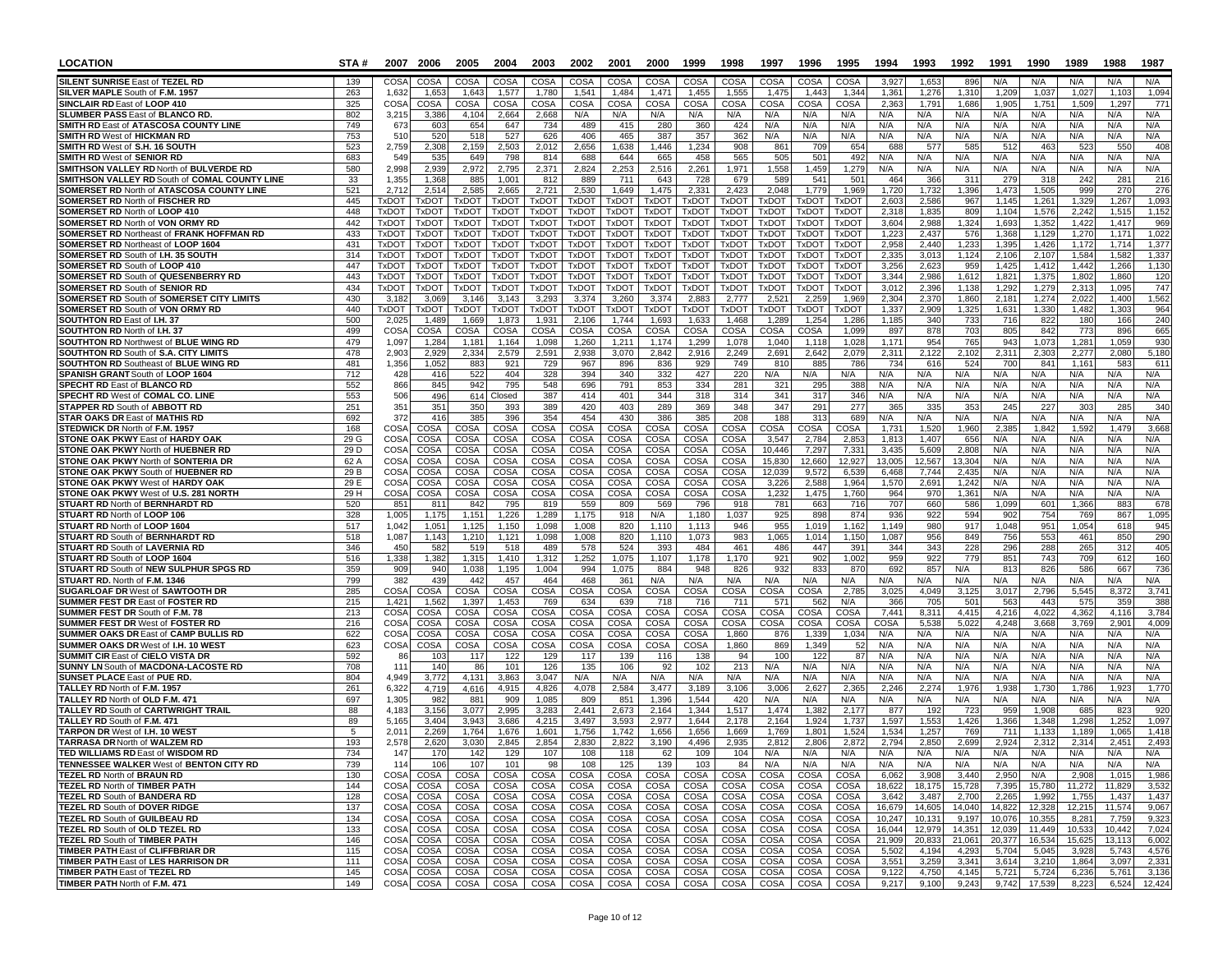| <b>LOCATION</b>                                                                             | STA#         |                              | 2007 2006                    | 2005                  | 2004                         | 2003                         | 2002                         | 2001                         | 2000                         | 1999                         | 1998                         | 1997                  | 1996                         | 1995                         | 1994             | 1993             | 1992             | 1991             | 1990             | 1989             | 1988             | 1987           |
|---------------------------------------------------------------------------------------------|--------------|------------------------------|------------------------------|-----------------------|------------------------------|------------------------------|------------------------------|------------------------------|------------------------------|------------------------------|------------------------------|-----------------------|------------------------------|------------------------------|------------------|------------------|------------------|------------------|------------------|------------------|------------------|----------------|
| <b>SILENT SUNRISE East of TEZEL RD</b>                                                      | 139          | COSA                         | COSA                         | COSA                  | COSA                         | COSA                         | COSA                         | COSA                         | COSA                         | COSA                         | COSA                         | COSA                  | COSA                         | COSA                         | 3.927            | 1.65             | 896              | N/A              | N/A              | N/A              | N/A              | N/A            |
| SILVER MAPLE South of F.M. 1957                                                             | 263          | 1,632                        | 1,653                        | 1,643                 | 1,577                        | 1,780                        | 1,541                        | 1,484                        | 1,471                        | 1,455                        | 1,555                        | 1,475                 | 1,44                         | 1,344                        | 1,361            | 1,276            | 1,310            | 1,209            | 1,037            | 1,027            | 1,103            | 1,094          |
| SINCLAIR RD East of LOOP 410<br><b>SLUMBER PASS East of BLANCO RD</b>                       | 325<br>802   | COSA<br>3,215                | COSA<br>3,386                | COSA<br>4.104         | COSA<br>2,664                | COSA<br>2,668                | COSA<br>N/A                  | <b>COSA</b><br>N/A           | COSA<br>N/A                  | COSA<br>N/A                  | COSA<br>N/A                  | COSA<br>N/A           | COSA<br>N/A                  | COSA<br>N/A                  | 2,363<br>N/A     | 1,79<br>N/A      | 1,686<br>N/A     | 1.905<br>N/A     | 1,751<br>N/A     | 1,509<br>N/A     | 1,297<br>N/A     | 771<br>N/A     |
| SMITH RD East of ATASCOSA COUNTY LINE                                                       | 749          | 673                          | 603                          | 654                   | 647                          | 734                          | 489                          | 415                          | 280                          | 360                          | 424                          | N/A                   | N/A                          | N/A                          | N/A              | N/A              | N/A              | N/A              | N/A              | N/A              | N/A              | N/A            |
| <b>SMITH RD West of HICKMAN RD</b>                                                          | 753          | 510                          | 520                          | 518                   | 527                          | 626                          | 406                          | 465                          | 387                          | 357                          | 362                          | N/A                   | N/A                          | N/A                          | N/A              | N/A              | N/A              | N/A              | N/A              | N/A              | N/A              | N/A            |
| SMITH RD West of S.H. 16 SOUTH                                                              | 523          | 2,759                        | 2,308                        | 2,159                 | 2,503                        | 2,012                        | 2,656                        | 1,638                        | 1,446                        | 1,234                        | 908                          | 861                   | 709                          | 654                          | 688              | 57               | 585              | 51               | 463              | 523              | 550              | 408            |
| <b>SMITH RD West of SENIOR RD</b><br><b>SMITHSON VALLEY RD North of BULVERDE RD</b>         | 683          | 549                          | 535                          | 649                   | 798                          | 814                          | 688                          | 644                          | 665                          | 458                          | 565                          | 505                   | 501                          | 492                          | N/A              | N/A              | N/A              | N/A<br>N/A       | N/A              | N/A<br>N/A       | N/A              | N/A            |
| SMITHSON VALLEY RD South of COMAL COUNTY LINE                                               | 580<br>33    | 2,998<br>1,355               | 2,939<br>1,368               | 2,972<br>885          | 2,795<br>1,001               | 2,371<br>812                 | 2,824<br>889                 | 2,253<br>711                 | 2,516<br>643                 | 2,261<br>728                 | 1,971<br>679                 | 1,558<br>589          | 1,459<br>541                 | 1,279<br>501                 | N/A<br>464       | N/A<br>366       | N/A<br>311       | 279              | N/A<br>318       | 242              | N/A<br>281       | N/A<br>216     |
| <b>SOMERSET RD North of ATASCOSA COUNTY LINE</b>                                            | 521          | 2,712                        | 2,514                        | 2,585                 | 2,665                        | 2,721                        | 2,530                        | 1,649                        | 1,475                        | 2,331                        | 2,423                        | 2,048                 | 1,779                        | 1,969                        | 1,720            | 1,732            | 1,396            | 1,473            | 1,505            | 999              | 270              | 276            |
| <b>SOMERSET RD North of FISCHER RD</b>                                                      | 445          | <b>TXDOT</b>                 | <b>TxDOT</b>                 | TxDOT                 | <b>TxDOT</b>                 | <b>TxDOT</b>                 | <b>TxDOT</b>                 | <b>TxDOT</b>                 | TxDOT                        | <b>TxDOT</b>                 | TxDOT                        | TxDOT                 | <b>TxDOT</b>                 | <b>TxDOT</b>                 | 2.603            | 2,58             | 967              | 1.145            | 1,261            | 1,329            | 1,267            | 1,093          |
| SOMERSET RD North of LOOP 410                                                               | 448          | <b>TxDOT</b>                 | <b>TxDOT</b>                 | <b>TxDOT</b>          | <b>TxDOT</b>                 | <b>TxDOT</b>                 | <b>TxDOT</b>                 | <b>TxDOT</b>                 | <b>TxDOT</b>                 | <b>TxDOT</b>                 | <b>TxDOT</b>                 | <b>TxDOT</b>          | <b>TxDOT</b>                 | <b>TxDOT</b>                 | 2,318            | 1,835            | 809              | 1,104            | 1,576            | 2,242            | 1,515            | 1,152          |
| <b>SOMERSET RD North of VON ORMY RD</b><br><b>SOMERSET RD Northeast of FRANK HOFFMAN RD</b> | 442<br>433   | <b>TxDOT</b><br><b>TxDOT</b> | <b>TxDOT</b><br><b>TxDOT</b> | <b>TxDOT</b><br>TxDOT | <b>TxDOT</b><br><b>TxDOT</b> | <b>TxDOT</b><br><b>TxDOT</b> | <b>TxDOT</b><br><b>TxDOT</b> | <b>TxDOT</b><br><b>TxDOT</b> | <b>TxDOT</b><br><b>TxDOT</b> | <b>TxDOT</b><br><b>TxDOT</b> | <b>TxDOT</b><br><b>TxDOT</b> | TxDOT<br><b>TxDOT</b> | <b>TxDOT</b><br><b>TxDOT</b> | <b>TxDOT</b><br><b>TxDOT</b> | 3,604<br>1,223   | 2,988<br>2.437   | 1,324<br>576     | 1,693<br>1,368   | 1,352<br>1,129   | 1,422<br>1,270   | 1.417<br>1,171   | 969<br>1,022   |
| SOMERSET RD Northeast of LOOP 1604                                                          | 431          | <b>TxDOT</b>                 | <b>TxDOT</b>                 | TxDOT                 | <b>TxDOT</b>                 | <b>TxDOT</b>                 | <b>TxDOT</b>                 | TxDOT                        | <b>TxDOT</b>                 | <b>TxDOT</b>                 | <b>TxDOT</b>                 | TxDOT                 | <b>TxDOT</b>                 | <b>TxDOT</b>                 | 2,958            | 2,440            | 1,233            | 1,395            | 1,426            | 1,172            | 1,714            | 1,377          |
| SOMERSET RD South of I.H. 35 SOUTH                                                          | 314          | <b>TxDOT</b>                 | <b>TxDOT</b>                 | <b>TxDOT</b>          | <b>TxDOT</b>                 | <b>TxDOT</b>                 | <b>TxDOT</b>                 | <b>TxDOT</b>                 | <b>TxDOT</b>                 | <b>TxDOT</b>                 | <b>TxDOT</b>                 | TxDOT                 | <b>TxDOT</b>                 | <b>TxDOT</b>                 | 2,335            | 3,013            | 1,124            | 2,106            | 2,107            | 1,584            | 1,582            | 1,337          |
| <b>SOMERSET RD South of LOOP 410</b>                                                        | 447          | <b>TxDOT</b>                 | <b>TxDOT</b>                 | TxDOT                 | <b>TxDOT</b>                 | <b>TxDOT</b>                 | TxDOT                        | <b>TxDOT</b>                 | <b>TxDOT</b>                 | <b>TxDOT</b>                 | <b>TxDOT</b>                 | TxDOT                 | <b>TxDOT</b>                 | <b>TxDOT</b>                 | 3,256            | 2,623            | 959              | 1,425            | 1,412            | 1,442            | 1,266            | 1,130          |
| SOMERSET RD South of QUESENBERRY RD                                                         | 443          | <b>TxDOT</b>                 | <b>TxDOT</b>                 | <b>TxDOT</b>          | <b>TxDOT</b>                 | <b>TxDOT</b>                 | <b>TxDOT</b>                 | <b>TxDOT</b>                 | <b>TxDOT</b>                 | <b>TxDOT</b>                 | <b>TxDOT</b>                 | <b>TxDOT</b>          | <b>TxDOT</b>                 | <b>TxDOT</b>                 | 3,344            | 2,986            | 1,612            | 1,821            | 1,375            | 1,802            | 1,860            | 120            |
| <b>SOMERSET RD South of SENIOR RD</b><br><b>SOMERSET RD South of SOMERSET CITY LIMITS</b>   | 434<br>430   | <b>TxDOT</b><br>3,182        | <b>TxDOT</b><br>3,069        | <b>TxDOT</b><br>3,146 | <b>TxDOT</b><br>3,143        | <b>TxDOT</b><br>3,293        | <b>TxDOT</b><br>3,374        | <b>TxDOT</b><br>3,260        | <b>TxDOT</b><br>3,374        | <b>TxDOT</b><br>2,883        | <b>TxDOT</b><br>2,777        | TxDOT<br>2,52'        | <b>TxDOT</b><br>2,25         | <b>TxDOT</b><br>1,969        | 3,01<br>2,304    | 2,396<br>2,370   | 1.138<br>1,860   | 1,292<br>2,181   | 1,279<br>1,274   | 2,313<br>2,022   | 1.095<br>1,400   | 747<br>1,562   |
| <b>SOMERSET RD South of VON ORMY RD</b>                                                     | 440          | <b>TxDOT</b>                 | <b>TxDOT</b>                 | TxDOT                 | TxDO <sub>1</sub>            | <b>TxDOT</b>                 | <b>TxDOT</b>                 | <b>TxDOT</b>                 | <b>TxDOT</b>                 | <b>TxDOT</b>                 | TxDOT                        | <b>TxDOT</b>          | <b>TxDOT</b>                 | <b>TxDOT</b>                 | 1,337            | 2,909            | 1,325            | 1,631            | 1,330            | 1,482            | 1,303            | 964            |
| <b>SOUTHTON RD East of I.H. 37</b>                                                          | 500          | 2,025                        | 1.489                        | 1,669                 | 1.873                        | 1,931                        | 2,106                        | 1.744                        | 1,693                        | 1,633                        | 1.468                        | 1,289                 | 1,254                        | 1,286                        | 1,185            | 340              | 733              | 716              | 822              | 180              | 166              | 240            |
| SOUTHTON RD North of I.H. 37                                                                | 499          | COSA                         | COSA                         | COSA                  | COSA                         | COSA                         | COSA                         | COSA                         | COSA                         | COSA                         | COSA                         | COSA                  | COSA                         | 1,099                        | 897              | 878              | 703              | 805              | 842              | 773              | 896              | 665            |
| SOUTHTON RD Northwest of BLUE WING RD<br><b>SOUTHTON RD South of S.A. CITY LIMITS</b>       | 479<br>478   | 1,097<br>2,903               | 1,284<br>2,929               | 1,181<br>2,334        | 1,164<br>2,579               | 1,098<br>2,591               | 1,260<br>2,938               | 1,211<br>3.070               | 1,174<br>2,842               | 1,299<br>2,916               | 1,078<br>2,249               | 1,040<br>2,691        | 1,118<br>2,642               | 1,028<br>2,079               | 1,171<br>2,31    | 954              | 765<br>2.102     | 943<br>2,311     | 1,073<br>2,303   | 1,281<br>2,277   | 1,059<br>2,080   | 930<br>5,180   |
| <b>SOUTHTON RD Southeast of BLUE WING RD</b>                                                | 481          | 1,356                        | 1,052                        | 883                   | 921                          | 729                          | 967                          | 896                          | 836                          | 929                          | 749                          | 810                   | 885                          | 786                          | 734              | 2,122<br>616     | 524              | 700              | 841              | 1,16             | 583              | 611            |
| SPANISH GRANT South of LOOP 1604                                                            | 712          | 428                          | 416                          | 522                   | 404                          | 328                          | 394                          | 340                          | 332                          | 427                          | 220                          | N/A                   | N/A                          | N/A                          | N/A              | N/A              | N/A              | N/A              | N/A              | N/A              | N/A              | N/A            |
| <b>SPECHT RD East of BLANCO RD</b>                                                          | 552          | 866                          | 845                          | 942                   | 795                          | 548                          | 696                          | 791                          | 853                          | 334                          | 281                          | 321                   | 295                          | 388                          | N/A              | N/A              | N/A              | N/A              | N/A              | N/A              | N/A              | N/A            |
| <b>SPECHT RD West of COMAL CO. LINE</b>                                                     | 553          | 506                          | 496                          | 614                   | Closed                       | 387                          | 414                          | 401                          | 344                          | 318                          | 314                          | 341                   | 317                          | 346                          | N/A              | N/A              | N/A              | N/A              | N/A              | N/A              | N/A              | N/A            |
| STAPPER RD South of ABBOTT RD<br><b>STAR OAKS DR East of MATHIS RD</b>                      | 251<br>692   | 351<br>372                   | 351<br>416                   | 350<br>385            | 393<br>396                   | 389<br>354                   | 420<br>454                   | 403<br>430                   | 289<br>386                   | 369<br>385                   | 348<br>208                   | 347<br>188            | 291<br>313                   | 277<br>689                   | 36<br>N/A        | 33<br>N/A        | 353<br>N/A       | 245<br>N/A       | 227<br>N/A       | 30<br>N/A        | 28<br>N/A        | 340<br>N/A     |
| STEDWICK DR North of F.M. 1957                                                              | 168          | COSA                         | COSA                         | COSA                  | <b>COSA</b>                  | COSA                         | COSA                         | COSA                         | COSA                         | COSA                         | COSA                         | COSA                  | COSA                         | COSA                         | 1,73             | 1,520            | 1,960            | 2,385            | 1,842            | 1,592            | 1,479            | 3,668          |
| <b>STONE OAK PKWY East of HARDY OAK</b>                                                     | 29 G         | COSA                         | COSA                         | COSA                  | COSA                         | COSA                         | COSA                         | <b>COSA</b>                  | COSA                         | COSA                         | COSA                         | 3,547                 | 2,784                        | 2,85                         | 1,81             | 1,407            | 656              | N/A              | N/A              | N/A              | N/A              | N/A            |
| <b>STONE OAK PKWY North of HUEBNER RD</b>                                                   | 29D          | COSA                         | COSA                         | COSA                  | COSA                         | COSA                         | COSA                         | <b>COSA</b>                  | COSA                         | COSA                         | COSA                         | 10,446                | 7,297                        | 7,33                         | 3,435            | 5,609            | 2,808            | N/A              | N/A              | N/A              | N/A              | N/A            |
| STONE OAK PKWY North of SONTERIA DR                                                         | 62 A         | COSA                         | COSA                         | COSA                  | COSA                         | COSA                         | COSA                         | <b>COSA</b>                  | COSA                         | COSA                         | COSA                         | 15,830                | 12,660                       | 12,927                       | 13,005           | 12,567           | 13,304           | N/A              | N/A              | N/A              | N/A              | N/A            |
| <b>STONE OAK PKWY South of HUEBNER RD</b><br><b>STONE OAK PKWY West of HARDY OAK</b>        | 29 B<br>29 E | CO <sub>SA</sub><br>COS/     | COSA<br>COSA                 | COSA<br>COSA          | COSA<br>COSA                 | COSA<br>COSA                 | COSA<br>COSA                 | COSA<br>COSA                 | COSA<br>COSA                 | COSA<br>COSA                 | COSA<br>COSA                 | 12,039<br>3,226       | 9,572<br>2,588               | 6.539<br>1,964               | 6.468<br>1,570   | 7.744<br>2,691   | 2.435<br>1.242   | N/A<br>N/A       | N/A<br>N/A       | N/A<br>N/A       | N/A<br>N/A       | N/A<br>N/A     |
| STONE OAK PKWY West of U.S. 281 NORTH                                                       | 29 H         | COSA                         | COSA                         | COSA                  | COSA                         | COSA                         | COSA                         | COSA                         | COSA                         | COSA                         | COSA                         | 1,232                 | 1,475                        | 1,760                        | 964              | 97C              | 1,361            | N/A              | N/A              | N/A              | N/A              | N/A            |
| STUART RD North of BERNHARDT RD                                                             | 520          | 851                          | 811                          | 842                   | 795                          | 819                          | 559                          | 809                          | 569                          | 796                          | 918                          | 781                   | 663                          | 716                          | 707              | 660              | 586              | 1,099            | 601              | 1,366            | 88               | 678            |
| STUART RD North of LOOP 106                                                                 | 328          | 1,005                        | 1,175                        | 1,151                 | 1,226                        | 1,289                        | 1,175                        | 918                          | N/A                          | 1,180                        | 1,037                        | 925                   | 898                          | 874                          | 936              | 922              | 594              | 902              | 754              | 769              | 867              | 1,095          |
| STUART RD North of LOOP 1604<br><b>STUART RD South of BERNHARDT RD</b>                      | 517<br>518   | 1,042<br>1,087               | 1,051<br>1,143               | 1,125<br>1,210        | 1,150<br>1,121               | 1,098<br>1,098               | 1,008<br>1,008               | 820<br>820                   | 1,110<br>1,110               | 1,113<br>1,073               | 946<br>983                   | 955<br>1,065          | 1,019<br>1,014               | 1,162<br>1,150               | 1,149<br>1,087   | 980<br>956       | 917<br>849       | 1,048<br>756     | 951<br>553       | 1,054<br>461     | 618<br>850       | 945<br>290     |
| <b>STUART RD South of LAVERNIA RD</b>                                                       | 346          | 450                          | 582                          | 519                   | 518                          | 489                          | 578                          | 524                          | 393                          | 484                          | 461                          | 486                   | 447                          | 391                          | 344              | 343              | 228              | 296              | 288              | 265              | 312              | 405            |
| STUART RD South of LOOP 1604                                                                | 516          | 1,338                        | 1,382                        | 1,315                 | 1,410                        | 1,312                        | 1,252                        | 1.075                        | 1,107                        | 1.178                        | 1,170                        | 921                   | 902                          | 1,002                        | 959              | 922              | 779              | 851              | 743              | 709              | 612              | 160            |
| STUART RD South of NEW SULPHUR SPGS RD                                                      | 359          | 909                          | 940                          | 1,038                 | 1,195                        | 1,004                        | 994                          | 1,075                        | 884                          | 948                          | 826                          | 932                   | 833                          | 870                          | 692              | 857              | N/A              | 813              | 826              | 586              | 667              | 736            |
| STUART RD. North of F.M. 1346                                                               | 799          | 382                          | 439                          | 442                   | 457                          | 464                          | 468                          | 361                          | N/A                          | N/A                          | N/A                          | N/A                   | N/A                          | N/A                          | N/A              | N/A              | N/A              | N/A              | N/A              | N/A              | N/A              | N/A            |
| <b>SUGARLOAF DR West of SAWTOOTH DR</b><br><b>SUMMER FEST DR East of FOSTER RD</b>          | 285<br>215   | COSA<br>1,421                | COSA<br>1,562                | COSA<br>1,397         | COSA<br>1,453                | COSA<br>769                  | COSA<br>634                  | <b>COSA</b><br>639           | COSA<br>718                  | COSA<br>716                  | COSA<br>711                  | COSA<br>571           | COSA<br>562                  | 2,78<br>N/A                  | 3,025<br>366     | 4,049<br>705     | 3,125<br>501     | 3,017<br>563     | 2,796<br>443     | 5,545<br>575     | 8,372<br>359     | 3,741<br>388   |
| SUMMER FEST DR South of F.M. 78                                                             | 213          | COSA                         | COSA                         | COSA                  | COSA                         | COSA                         | COSA                         | COSA                         | COSA                         | COSA                         | COSA                         | COSA                  | COSA                         | COSA                         | 7,441            | 8,31'            | 4,415            | 4,216            | 4,02             | 4,362            | 4,116            | 3,784          |
| <b>SUMMER FEST DR West of FOSTER RD</b>                                                     | 216          | COSA                         | COSA                         | COSA                  | COSA                         | COSA                         | COSA                         | COSA                         | COSA                         | COSA                         | COSA                         | COSA                  | COSA                         | COSA                         | COSA             | 5,53             | 5,022            | 4.248            | 3.668            | 3.769            | 2.90'            | 4,009          |
| <b>SUMMER OAKS DR East of CAMP BULLIS RD</b>                                                | 622          | COSA                         | COSA                         | COSA                  | COSA                         | <b>COSA</b>                  | COSA                         | COSA                         | COSA                         | COSA                         | 1,860                        | 876                   | 1,339                        | 1,034                        | N/A              | N/A              | N/A              | N/A              | N/A              | N/A              | N/A              | N/A            |
| SUMMER OAKS DR West of I.H. 10 WEST<br><b>SUMMIT CIR East of CIELO VISTA DR</b>             | 623<br>592   | COSA<br>80                   | COSA<br>103                  | COSA<br>117           | COSA<br>122                  | COSA<br>129                  | COSA<br>117                  | COSA<br>139                  | COSA<br>116                  | COSA<br>138                  | 1,860<br>94                  | 869<br>100            | 1,349<br>122                 | .5<br>87                     | N/A<br>N/A       | N/A<br>N/A       | N/A<br>N/A       | N/A<br>N/A       | N/A<br>N/A       | N/A<br>N/A       | N/A<br>N/A       | N/A<br>N/A     |
| <b>SUNNY LN South of MACDONA-LACOSTE RD</b>                                                 | 708          | 111                          | 140                          | 86                    | 101                          | 126                          | 135                          | 106                          | 92                           | 102                          | 213                          | N/A                   | N/A                          | N/A                          | N/A              | N/A              | N/A              | N/A              | N/A              | N/A              | N/A              | N/A            |
| SUNSET PLACE East of PUE RD.                                                                | 804          | 4,949                        | 3,772                        | 4,131                 | 3,863                        | 3,047                        | N/A                          | N/A                          | N/A                          | N/A                          | N/A                          | N/A                   | N/A                          | N/A                          | N/A              | N/A              | N/A              | N/A              | N/A              | N/A              | N/A              | N/A            |
| TALLEY RD North of F.M. 1957                                                                | 261          | 6,322                        | 4.719                        | 4.616                 | 4,915                        | 4,826                        | 4,078                        | 2,584                        | 3,477                        | 3,189                        | 3,106                        | 3,006                 | 2,627                        | 2,36                         | 2,246            | 2,274            | 1,976            | 1,93             | 1.730            | 1,786            | 1.92             | 1,770          |
| TALLEY RD North of OLD F.M. 471<br><b>TALLEY RD South of CARTWRIGHT TRAIL</b>               | 697<br>88    | 1,305<br>4,183               | 982<br>3,156                 | 881<br>3,077          | 909<br>2,995                 | 1,085<br>3,283               | 809<br>2,441                 | 851<br>2,673                 | 1,396<br>2,164               | 1,544<br>1,344               | 420<br>1,517                 | N/A<br>1,474          | N/A<br>1,382                 | N/A<br>2,17                  | N/A<br>877       | N/A<br>192       | N/A<br>723       | N/A<br>959       | N/A<br>1,908     | N/A<br>685       | N/A<br>823       | N/A            |
| TALLEY RD South of F.M. 471                                                                 | 89           | 5,165                        | 3,404                        | 3,943                 | 3,686                        | 4,215                        | 3,497                        | 3,593                        | 2,977                        | 1,644                        | 2,178                        | 2,164                 | 1,924                        | 1,737                        | 1,597            | 1,553            | 1,426            | 1,366            | 1,348            | 1,298            | 1,252            | 920<br>1,097   |
| <b>TARPON DR West of I.H. 10 WEST</b>                                                       | 5            | 2,01'                        | 2,269                        | 1,764                 | 1,676                        | 1,601                        | 1,756                        | 1,742                        | 1,656                        | 1,656                        | 1,669                        | 1,769                 | 1,801                        | 1,524                        | 1,534            | 1,257            | 769              | 711              | 1,133            | 1,189            | 1.065            | 1,418          |
| <b>TARRASA DR North of WALZEM RD</b>                                                        | 193          | 2,578                        | 2,620                        | 3,030                 | 2.845                        | 2,854                        | 2.830                        | 2.822                        | 3,190                        | 4,496                        | 2,935                        | 2.812                 | 2,806                        | 2.872                        | 2,794            | 2.850            | 2.699            | 2.924            | 2,312            | 2,314            | 2.451            | 2,493          |
| TED WILLIAMS RD East of WISDOM RD                                                           | 734          | 147                          | 17 U                         | 142                   | 129                          | 107                          | 108                          | 118                          | 62                           | ା ଠାଏ                        | 104                          | N/A                   | N/A                          | N/A                          | <b>N/A</b>       | <b>N/A</b>       | <b>N/A</b>       | N/A              | N/A              | N/A              | N/A              | N/A            |
| TENNESSEE WALKER West of BENTON CITY RD<br><b>TEZEL RD North of BRAUN RD</b>                | 739<br>130   | 114<br>COSA                  | 106<br>COSA                  | 107<br>COSA           | 101<br>COSA                  | 98<br>COSA                   | 108<br>COSA                  | 125<br>COSA                  | 139<br>COSA                  | 103<br>COSA                  | 84<br>COSA                   | N/A<br>COSA           | N/A<br>COSA                  | N/A<br>COSA                  | N/A              | N/A<br>3,908     | N/A<br>3,440     | N/A<br>2,950     | N/A<br>N/A       | N/A<br>2,908     | N/A<br>1,015     | N/A<br>1,986   |
| <b>TEZEL RD North of TIMBER PATH</b>                                                        | 144          | COSA                         | COSA                         | COSA                  | COSA                         | COSA                         | COSA                         | COSA                         | COSA                         | COSA                         | COSA                         | COSA                  | COSA                         | COSA                         | 6,062<br>18,622  | 18,175           | 15,728           | 7,395            | 15,780           | 11,272           | 11,829           | 3,532          |
| TEZEL RD South of BANDERA RD                                                                | 128          | COSA                         | COSA                         | COSA                  | COSA                         | COSA                         | COSA                         | COSA                         | COSA                         | COSA                         | COSA                         | COSA                  | COSA                         | COSA                         | 3,642            | 3,487            | 2,700            | 2,265            | 1,992            | 1,755            | 1,437            | 1,437          |
| TEZEL RD South of DOVER RIDGE                                                               | 137          | COSA                         | COSA                         | COSA                  | COSA                         | COSA                         | COSA                         | COSA                         | COSA                         | COSA                         | COSA                         | COSA                  | COSA                         | COSA                         | 16,679           | 14,605           | 14,040           | 14,822           | 12,328           | 12,215           | 11,574           | 9,067          |
| TEZEL RD South of GUILBEAU RD                                                               | 134          | COSA                         | COSA                         | COSA                  | COSA                         | COSA                         | COSA                         | COSA                         | COSA                         | COSA                         | COSA                         | COSA                  | COSA                         | COSA                         | 10,247           | 10,131           | 9,197            | 10,076           | 10,355           | 8,281            | 7,759            | 9,323          |
| TEZEL RD South of OLD TEZEL RD<br><b>TEZEL RD South of TIMBER PATH</b>                      | 133<br>146   | <b>COSA</b><br>COSA          | COSA<br>COSA                 | COSA<br>COSA          | COSA<br>COSA                 | COSA<br>COSA                 | COSA<br>COSA                 | COSA<br>COSA                 | COSA<br>COSA                 | COSA<br>COSA                 | COSA<br>COSA                 | COSA<br>COSA          | COSA<br>COSA                 | COSA<br>COSA                 | 16,044<br>21,909 | 12,979<br>20,833 | 14,351<br>21,061 | 12,039<br>20,377 | 11,449<br>16,534 | 10,533<br>15,625 | 10,442<br>13,113 | 7,024<br>6,002 |
| TIMBER PATH East of CLIFFBRIAR DR                                                           | 115          | COSA                         | COSA                         | COSA                  | COSA                         | COSA                         | COSA                         | COSA                         | COSA                         | COSA                         | COSA                         | COSA                  | COSA                         | COSA                         | 5,502            | 4,194            | 4,293            | 5,704            | 5,045            | 3,928            | 5,743            | 4,576          |
| <b>TIMBER PATH East of LES HARRISON DR</b>                                                  | 111          | COSA                         | COSA                         | COSA                  | COSA                         | COSA                         | COSA                         | COSA                         | COSA                         | COSA                         | COSA                         | COSA                  | COSA                         | COSA                         | 3,551            | 3,259            | 3,341            | 3,614            | 3,210            | 1,864            | 3,097            | 2,331          |
| <b>TIMBER PATH East of TEZEL RD</b>                                                         | 145          | COSA                         | COSA                         | COSA                  | COSA                         | COSA                         | COSA                         | COSA                         | COSA                         | COSA                         | COSA                         | COSA                  | COSA                         | COSA                         | 9,122            | 4,750            | 4,145            | 5,721            | 5,724            | 6,236            | 5,761            | 3,136          |
| TIMBER PATH North of F.M. 471                                                               | 149          | COSA                         | COSA                         | COSA                  | COSA                         | COSA                         | COSA                         | COSA                         | COSA                         | COSA                         | COSA                         | COSA                  |                              | COSA COSA                    | 9,217            | 9,100            | 9,243            | 9,742            | 17,539           | 8,223            | 6,524            | 12,424         |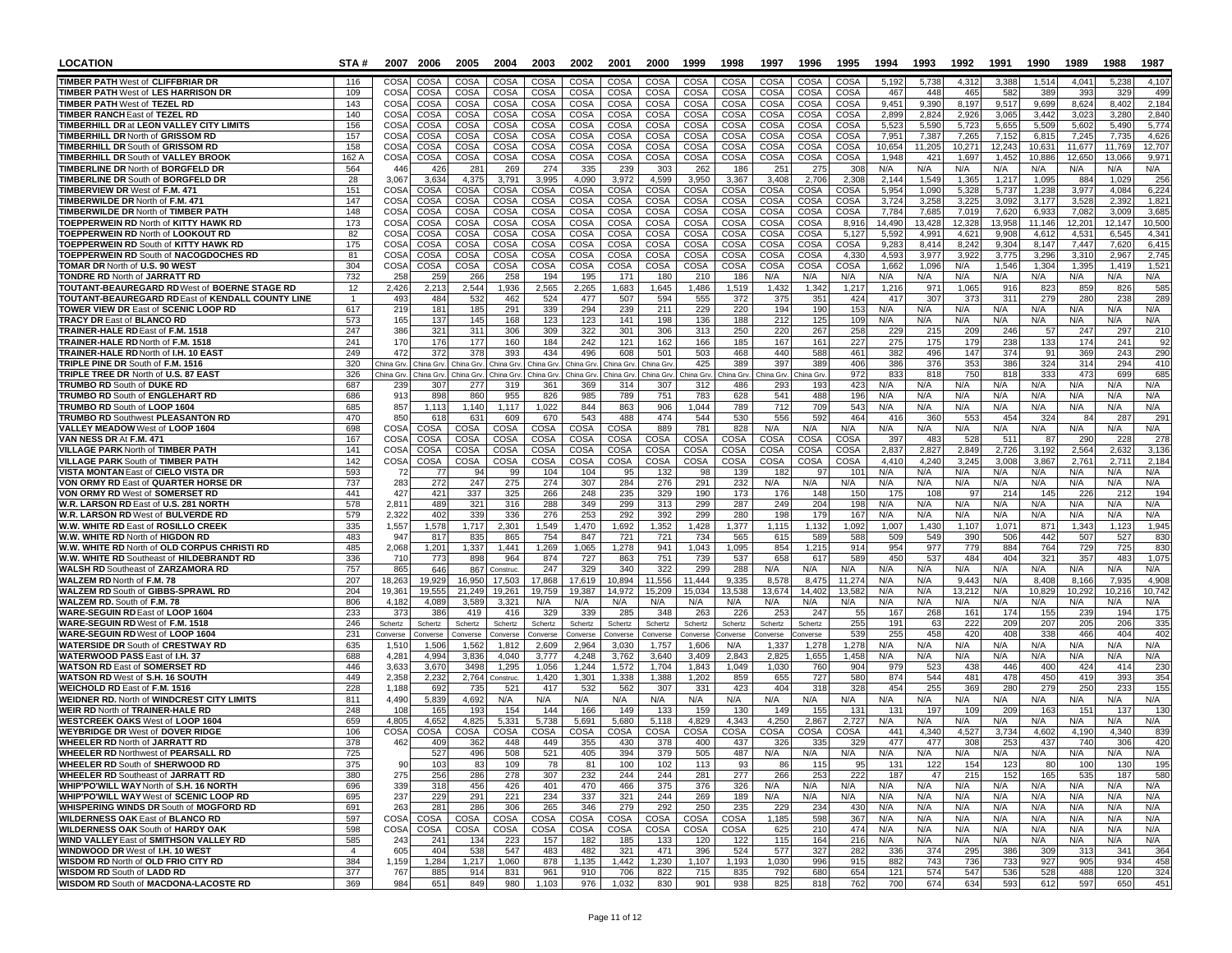| <b>LOCATION</b>                                                                         | STA#           |                            | 2007 2006             | 2005                    | 2004                           | 2003                    | 2002                  | 2001                       | 2000                   | 1999              | 1998             | 1997            | 1996                       | 1995                | 1994           | 1993           | 1992           | 1991           | 1990           | 1989           | 1988           | 1987            |
|-----------------------------------------------------------------------------------------|----------------|----------------------------|-----------------------|-------------------------|--------------------------------|-------------------------|-----------------------|----------------------------|------------------------|-------------------|------------------|-----------------|----------------------------|---------------------|----------------|----------------|----------------|----------------|----------------|----------------|----------------|-----------------|
| <b>TIMBER PATH West of CLIFFBRIAR DR</b>                                                | 116            | CO <sub>S</sub>            | COSA                  | COSA                    | COSA                           | COSA                    | COSA                  | <b>COSA</b>                | COSA                   | COSA              | COSA             | COSA            | COSA                       | COSA                | 5,192          | 5,738          | 4.312          | 3,388          | 1,514          | 4.041          | 5,238          | 4,107           |
| <b>TIMBER PATH West of LES HARRISON DR</b>                                              | 109            | COS/                       | COSA                  | COSA                    | COSA                           | COSA                    | <b>COSA</b>           | COSA                       | COSA                   | COSA              | COSA             | <b>COSA</b>     | COSA                       | COSA                | 467            | 448            | 465            | 582            | 389            | 393            | 329            | 499             |
| <b>TIMBER PATH West of TEZEL RD</b><br><b>TIMBER RANCH East of TEZEL RD</b>             | 143<br>140     | COS/<br>COS/               | COSA<br>COSA          | COSA<br>COSA            | COSA<br>COSA                   | COSA<br>COSA            | <b>COSA</b><br>COSA   | COSA<br>COSA               | COSA<br>COSA           | COSA<br>COSA      | COSA<br>COSA     | COSA<br>COSA    | COSA<br>COSA               | COSA<br>COSA        | 9,451<br>2,899 | 9,390<br>2,824 | 8,197<br>2,926 | 9,517<br>3,065 | 9,699<br>3.442 | 8,624<br>3,023 | 8,402<br>3,280 | 2,184<br>2,840  |
| <b>TIMBERHILL DR at LEON VALLEY CITY LIMITS</b>                                         | 156            | COS/                       | COSA                  | COSA                    | COSA                           | <b>COSA</b>             | <b>COSA</b>           | COSA                       | COSA                   | COSA              | COSA             | COSA            | COSA                       | COSA                | 5,523          | 5,590          | 5,723          | 5,655          | 5,509          | 5,602          | 5,490          | 5,774           |
| <b>TIMBERHILL DR North of GRISSOM RD</b>                                                | 157            | COS/                       | COSA                  | COSA                    | COSA                           | COSA                    | <b>COSA</b>           | COSA                       | COSA                   | COSA              | COSA             | COSA            | COSA                       | COSA                | 7,951          | 7,387          | 7,265          | 7,152          | 6,81           | 7,245          | 7,735          | 4,626           |
| <b>TIMBERHILL DR South of GRISSOM RD</b>                                                | 158            | COS/                       | COSA                  | COSA<br>COSA            | COSA                           | COSA                    | COSA                  | COSA<br>COSA               | COSA                   | COSA<br>COSA      | COSA<br>COSA     | COSA<br>COSA    | COSA<br>COSA               | <b>COSA</b><br>COSA | 10,654         | 11,205         | 10,271         | 12,243         | 10,631         | 11,677         | 11.769         | 12,707<br>9,971 |
| <b>TIMBERHILL DR South of VALLEY BROOK</b><br><b>TIMBERLINE DR North of BORGFELD DR</b> | 162 A<br>564   | COSA<br>446                | COSA<br>426           | 281                     | COSA<br>269                    | COSA<br>274             | COSA<br>335           | 239                        | COSA<br>303            | 262               | 186              | 25'             | 275                        | 308                 | 1,948<br>N/A   | 421<br>N/A     | 1,697<br>N/A   | 1,452<br>N/A   | 10,886<br>N/A  | 12,650<br>N/A  | 13,066<br>N/A  | N/A             |
| <b>TIMBERLINE DR South of BORGFELD DR</b>                                               | 28             | 3,067                      | 3,63                  | 4,375                   | 3,791                          | 3,995                   | 4,090                 | 3,972                      | 4,599                  | 3,950             | 3,367            | 3,408           | 2,706                      | 2,30                | 2,144          | 1,549          | 1,365          | 1,217          | 1,095          | 884            | 1,029          | 256             |
| <b>TIMBERVIEW DR West of F.M. 471</b>                                                   | 151            | COSA                       | COSA                  | COSA                    | COSA                           | COSA                    | COSA                  | COSA                       | COSA                   | COSA              | COSA             | COSA            | COSA                       | COSA                | 5,954          | 1,090          | 5,328          | 5,737          | 1,238          | 3,977          | 4,084          | 6,224           |
| TIMBERWILDE DR North of F.M. 471<br>TIMBERWILDE DR North of TIMBER PATH                 | 147<br>148     | <b>COSA</b>                | COSA<br>COSA          | COSA<br>COSA            | COSA<br>COSA                   | COSA<br>COSA            | COSA<br>COSA          | COSA<br>COSA               | COSA<br>COSA           | COSA<br>COSA      | COSA<br>COSA     | COSA<br>COSA    | <b>COSA</b><br>COSA        | COSA<br>COSA        | 3,724<br>7,784 | 3,258<br>7,685 | 3,225<br>7,019 | 3.092<br>7,620 | 3,177<br>6,933 | 3.528<br>7,082 | 2.392<br>3,009 | 1,821<br>3,685  |
| TOEPPERWEIN RD North of KITTY HAWK RD                                                   | 173            | COS/<br>COS/               | COSA                  | COSA                    | COSA                           | COSA                    | COSA                  | <b>COSA</b>                | COSA                   | COSA              | COSA             | COSA            | COSA                       | 8,916               | 14,490         | 13,428         | 12,328         | 13,958         | 11,146         | 12,201         | 12.147         | 10,500          |
| <b>TOEPPERWEIN RD North of LOOKOUT RD</b>                                               | 82             | COSA                       | COSA                  | COSA                    | COSA                           | COSA                    | COSA                  | <b>COSA</b>                | COSA                   | COSA              | COSA             | COSA            | COSA                       | 5,127               | 5,592          | 4,991          | 4.621          | 9.908          | 4.612          | 4,531          | 6.545          | 4,341           |
| TOEPPERWEIN RD South of KITTY HAWK RD                                                   | 175            | COS/                       | COSA                  | COSA                    | COSA                           | COSA                    | COSA                  | COSA                       | COSA                   | COSA              | COSA             | COSA            | COSA                       | COSA                | 9,283          | 8,414          | 8,242          | 9,304          | 8,147          | 7,447          | 7,620          | 6,415           |
| TOEPPERWEIN RD South of NACOGDOCHES RD<br><b>TOMAR DR North of U.S. 90 WEST</b>         | 81<br>304      | COS/<br>COS/               | COSA<br>COSA          | COSA<br>COSA            | COSA<br>COSA                   | COSA<br>COSA            | COSA<br>COSA          | <b>COSA</b><br><b>COSA</b> | COSA<br>COSA           | COSA<br>COSA      | COSA<br>COSA     | COSA<br>COSA    | <b>COSA</b><br>COSA        | 4,33<br>COSA        | 4,593<br>1,662 | 3,977<br>1,096 | 3,922<br>N/A   | 3,775<br>1,546 | 3,296<br>1,304 | 3,310<br>1,395 | 2,967<br>1,419 | 2,745<br>1,521  |
| <b>TONDRE RD North of JARRATT RD</b>                                                    | 732            | 258                        | 259                   | 266                     | 258                            | 194                     | 195                   | 171                        | 180                    | 210               | 186              | N/A             | N/A                        | N/A                 | N/A            | N/A            | N/A            | N/A            | N/A            | N/A            | N/A            | N/A             |
| TOUTANT-BEAUREGARD RD West of BOERNE STAGE RD                                           | 12             | 2,426                      | 2,213                 | 2,544                   | 1,936                          | 2,565                   | 2,265                 | 1,683                      | 1,645                  | 1,486             | 1,519            | 1,432           | 1,342                      | 1,217               | 1,216          | 971            | 1,065          | 916            | 823            | 859            | 826            | 585             |
| TOUTANT-BEAUREGARD RD East of KENDALL COUNTY LINE                                       |                | 493                        | 484                   | 532                     | 462                            | 524                     | 477                   | 507                        | 594                    | 555               | 372              | 375             | 351                        | 424                 | 417            | 307            | 373            | 311            | 279            | 280            | 238            | 289             |
| TOWER VIEW DR East of SCENIC LOOP RD<br><b>TRACY DR East of BLANCO RD</b>               | 617<br>573     | 219<br>165                 | 181<br>137            | 185<br>145              | 291<br>168                     | 339<br>123              | 294<br>123            | 239<br>141                 | 211<br>198             | 229<br>136        | 220<br>188       | 194<br>212      | 190<br>125                 | 153<br>109          | N/A<br>N/A     | N/A<br>N/A     | N/A<br>N/A     | N/A<br>N/A     | N/A<br>N/A     | N/A<br>N/A     | N/A<br>N/A     | N/A<br>N/A      |
| TRAINER-HALE RD East of F.M. 1518                                                       | 247            | 386                        | 321                   | 311                     | 306                            | 309                     | 322                   | 301                        | 306                    | 313               | 250              | 220             | 267                        | 258                 | 229            | 215            | 209            | 246            | 57             | 247            | 297            | 210             |
| TRAINER-HALE RD North of F.M. 1518                                                      | 241            | 170                        | 176                   | 177                     | 160                            | 184                     | 242                   | 121                        | 162                    | 166               | 185              | 167             | 161                        | 227                 | 275            | 175            | 179            | 238            | 133            | 174            | 241            | 92              |
| TRAINER-HALE RD North of I.H. 10 EAST                                                   | 249            | 472                        | 372                   | 378                     | 393                            | 434                     | 496                   | 608                        | 501                    | 503               | 468              | 440             | 588                        | 461                 | 382            | 496            | 147            | 374            | 91             | 369            | 243            | 290             |
| TRIPLE PINE DR South of F.M. 1516<br>TRIPLE TREE DR North of U.S. 87 EAST               | 320<br>326     | China Grv<br>China Grv     | hina Grv<br>hina Grv. | China Grv<br>China Grv. | <b>China</b> Gry<br>China Grv. | China Grv<br>China Grv. | China Gr<br>China Grv | China Grv<br>China Grv.    | China Gry<br>China Grv | 425<br>China Grv. | 389<br>hina Grv. | 397<br>ina Grv. | 389<br>China Grv           | 406<br>972          | 386<br>833     | 376<br>818     | 353<br>750     | 386<br>818     | 324<br>333     | 314<br>473     | 294<br>699     | 410<br>685      |
| TRUMBO RD South of DUKE RD                                                              | 687            | 239                        | 307                   | 277                     | 319                            | 361                     | 369                   | 314                        | 307                    | 312               | 486              | 293             | 193                        | 423                 | N/A            | N/A            | N/A            | N/A            | N/A            | N/A            | N/A            | N/A             |
| <b>TRUMBO RD South of ENGLEHART RD</b>                                                  | 686            | 913                        | 898                   | 860                     | 955                            | 826                     | 985                   | 789                        | 751                    | 783               | 628              | 541             | 488                        | 196                 | N/A            | N/A            | N/A            | N/A            | N/A            | N/A            | N/A            | N/A             |
| TRUMBO RD South of LOOP 1604                                                            | 685            | 857                        | 1.113                 | 1,140                   | 1,117                          | 1,022                   | 844                   | 863                        | 906                    | 1.044             | 789              | 712             | 709                        | 543                 | N/A            | N/A            | N/A            | N/A            | N/A            | N/A            | N/A            | N/A             |
| <b>TRUMBO RD Southwest PLEASANTON RD</b><br>VALLEY MEADOW West of LOOP 1604             | 470<br>698     | 850<br>COSA                | 618<br>COSA           | 631<br>COSA             | 609<br>COSA                    | 670<br>COSA             | 543<br>COSA           | 488<br>COSA                | 474<br>889             | 544<br>781        | 530<br>828       | 556<br>N/A      | 592<br>N/A                 | 464<br>N/A          | 416<br>N/A     | 360<br>N/A     | 553<br>N/A     | 454<br>N/A     | 324<br>N/A     | 84<br>N/A      | 287<br>N/A     | 291<br>N/A      |
| VAN NESS DR At F.M. 471                                                                 | 167            | <b>COSA</b>                | COSA                  | COSA                    | COSA                           | COSA                    | <b>COSA</b>           | <b>COSA</b>                | <b>COSA</b>            | COSA              | COSA             | COSA            | COSA                       | COSA                | 397            | 483            | 528            | 511            | 87             | 290            | 228            | 278             |
| <b>VILLAGE PARK North of TIMBER PATH</b>                                                | 141            | COS/                       | COSA                  | COSA                    | COSA                           | COSA                    | COSA                  | <b>COSA</b>                | COSA                   | COSA              | COSA             | COSA            | <b>COSA</b>                | COSA                | 2,837          | 2,827          | 2,849          | 2,726          | 3,192          | 2,564          | 2,632          | 3,136           |
| <b>VILLAGE PARK South of TIMBER PATH</b>                                                | 142<br>593     | <b>COSA</b>                | COSA                  | COSA<br>94              | COSA                           | COSA                    | COSA                  | <b>COSA</b>                | COSA                   | COSA              | COSA             | COSA            | COSA                       | COSA                | 4,410          | 4,240<br>N/A   | 3,245          | 3,008<br>N/A   | 3,867          | 2,761          | 2,71'          | 2,184           |
| VISTA MONTAN East of CIELO VISTA DR<br>VON ORMY RD East of QUARTER HORSE DR             | 737            | -72<br>283                 | 77<br>272             | 247                     | 99<br>275                      | 104<br>274              | 104<br>307            | 95<br>284                  | 132<br>276             | 98<br>291         | 139<br>232       | 182<br>N/A      | 97<br>N/A                  | 101<br>N/A          | N/A<br>N/A     | N/A            | N/A<br>N/A     | N/A            | N/A<br>N/A     | N/A<br>N/A     | N/A<br>N/A     | N/A<br>N/A      |
| VON ORMY RD West of SOMERSET RD                                                         | 441            | 427                        | 421                   | 337                     | 325                            | 266                     | 248                   | 235                        | 329                    | 190               | 173              | 176             | 148                        | 150                 | 175            | 108            | 97             | 214            | 145            | 226            | 212            | 194             |
| W.R. LARSON RD East of U.S. 281 NORTH                                                   | 578            | 2,811                      | 489                   | 321                     | 316                            | 288                     | 349                   | 299                        | 313                    | 299               | 287              | 249             | 204                        | 198                 | N/A            | N/A            | N/A            | N/A            | N/A            | N/A            | N/A            | N/A             |
| W.R. LARSON RD West of BULVERDE RD<br>W.W. WHITE RD East of ROSILLO CREEK               | 579<br>335     | 2,322<br>1,557             | 402<br>1,578          | 339<br>1.717            | 336<br>2,301                   | 276<br>1,549            | 253<br>1,470          | 292<br>.692                | 392<br>1,352           | 299<br>1,428      | 280<br>1,377     | 198<br>1,115    | 179<br>1,132               | 167<br>1,092        | N/A<br>1,007   | N/A<br>1,430   | N/A<br>1,107   | N/A<br>1,071   | N/A<br>871     | N/A<br>1,343   | N/A<br>1,123   | N/A<br>1,945    |
| W.W. WHITE RD North of HIGDON RD                                                        | 483            | 94                         | 817                   | 835                     | 865                            | 754                     | 847                   | 721                        | 721                    | 734               | 565              | 615             | 589                        | 588                 | 509            | 549            | 390            | 506            | 442            | 507            | 527            | 830             |
| W.W. WHITE RD North of OLD CORPUS CHRISTI RD                                            | 485            | 2,068                      | 1,201                 | 1,337                   | 1,441                          | 1,269                   | 1,065                 | 1,278                      | 941                    | 1,043             | 1,095            | 854             | 1,215                      | 914                 | 954            | 977            | 779            | 884            | 764            | <b>729</b>     | 725            | 830             |
| W.W. WHITE RD Southeast of HILDEBRANDT RD                                               | 336            | 710                        | 773                   | 898                     | 964                            | 874                     | 727                   | 863                        | 751                    | 739               | 537              | 658             | 617                        | 589                 | 450            | 537            | 484            | 404            | 321            | 357            | 483            | 1,075           |
| <b>WALSH RD Southeast of ZARZAMORA RD</b><br>WALZEM RD North of F.M. 78                 | 757<br>207     | 865<br>18,263              | 646<br>19,929         | 867<br>16,950           | Construc<br>17,503             | 247<br>17,868           | 329<br>17,619         | 340<br>10,894              | 322<br>11,556          | 299<br>11,444     | 288<br>9,335     | N/A<br>8,578    | N/A<br>8,475               | N/A<br>11,274       | N/A<br>N/A     | N/A<br>N/A     | N/A<br>9,443   | N/A<br>N/A     | N/A<br>8,408   | N/A<br>8,166   | N/A<br>7,935   | N/A<br>4,908    |
| WALZEM RD South of GIBBS-SPRAWL RD                                                      | 204            | 19,361                     | 19,555                | 21,249                  | 19.261                         | 19.759                  | 19.387                | 14,972                     | 15,209                 | 15,034            | 13,538           | 13,674          | 14,402                     | 13,582              | N/A            | N/A            | 13,21          | N/A            | 10.829         | 10,292         | 10.216         | 10.742          |
| WALZEM RD. South of F.M. 78                                                             | 806            | 4,182                      | 4,089                 | 3,589                   | 3,321                          | N/A                     | N/A                   | N/A                        | N/A                    | N/A               | N/A              | N/A             | N/A                        | N/A                 | N/A            | N/A            | N/A            | N/A            | N/A            | N/A            | N/A            | N/A             |
| WARE-SEGUIN RD East of LOOP 1604<br>WARE-SEGUIN RD West of F.M. 1518                    | 233<br>246     | 37 <sup>′</sup><br>Schertz | 386<br>Schertz        | 419<br>Schertz          | 416<br>Schertz                 | 329<br>Schertz          | 339<br>Schertz        | 285<br>Schertz             | 348<br>Schertz         | 263<br>Schertz    | 226<br>Schertz   | 253<br>Schertz  | 24 <sub>1</sub><br>Schertz | 55<br>255           | 167<br>191     | 268<br>63      | 16'<br>222     | 174<br>209     | 155<br>207     | 239<br>205     | 194<br>206     | 175<br>335      |
| WARE-SEGUIN RD West of LOOP 1604                                                        | 231            | Converse                   | onverse               | Converse                | onverse                        | Converse                | Converse              | Converse                   | Converse               | Converse          | onverse          | nverse          | onverse                    | 539                 | 255            | 458            | 420            | 408            | 338            | 466            | 404            | 402             |
| <b>WATERSIDE DR South of CRESTWAY RD</b>                                                | 635            | 1,510                      | 1,506                 | 1,562                   | 1,812                          | 2,609                   | 2,964                 | 3,030                      | 1,757                  | 1,606             | N/A              | 1,337           | 1,278                      | 1,278               | N/A            | N/A            | N/A            | N/A            | N/A            | N/A            | N/A            | N/A             |
| WATERWOOD PASS East of I.H. 37                                                          | 688            | 4,28'                      | 4.994                 | 3.836                   | 4.040                          | 3.777                   | 4.248                 | 3.762                      | 3,640                  | 3.409             | 2.843            | 2,825           | 1,655                      | 1,458               | N/A            | N/A            | N/A            | N/A            | N/A            | N/A            | N/A            | N/A             |
| <b>WATSON RD East of SOMERSET RD</b><br>WATSON RD West of S.H. 16 SOUTH                 | 446<br>449     | 3,633<br>2,358             | 3,670<br>2,232        | 3498<br>2,764           | 1,295<br>Construc.             | 1,056<br>1,420          | 1,244<br>1,301        | 1,572<br>1,338             | 1,704<br>1,388         | 1,843<br>1,202    | 1,049<br>859     | 1,030<br>655    | 760<br>727                 | 904<br>580          | 979<br>874     | 523<br>544     | 438<br>481     | 446<br>478     | 400<br>450     | 424<br>419     | 414<br>393     | 230<br>354      |
| <b>WEICHOLD RD East of F.M. 1516</b>                                                    | 228            | 1,188                      | 692                   | 735                     | 521                            | 417                     | 532                   | 562                        | 307                    | 331               | 423              | 404             | 318                        | 328                 | 454            | 255            | 369            | 280            | 279            | 25C            | 233            | 155             |
| <b>WEIDNER RD. North of WINDCREST CITY LIMITS</b>                                       | 811            | 4,490                      | 5,839                 | 4,692                   | N/A                            | N/A                     | N/A                   | N/A                        | N/A                    | N/A               | N/A              | N/A             | N/A                        | N/A                 | N/A            | N/A            | N/A            | N/A            | N/A            | N/A            | N/A            | N/A             |
| <b>WEIR RD North of TRAINER-HALE RD</b><br><b>WESTCREEK OAKS West of LOOP 1604</b>      | 248<br>659     | 108<br>4,805               | 165<br>4,652          | 193<br>4,825            | 154<br>5,331                   | 144<br>5,738            | 166<br>5,691          | 149<br>5,680               | 133<br>5,118           | 159<br>4,829      | 130<br>4,343     | 149<br>4,250    | 155<br>2,867               | 131<br>2,72         | 131<br>N/A     | 197<br>N/A     | 109<br>N/A     | 209<br>N/A     | 163<br>N/A     | 151<br>N/A     | 137<br>N/A     | 130<br>N/A      |
| <b>WEYBRIDGE DR West of DOVER RIDGE</b>                                                 | 106            | COSA                       | COSA                  | COSA                    | COSA                           | <b>COSA</b>             | COSA                  | COSA                       | COSA                   | COSA              | COSA             | COSA            | COSA                       | COSA                | 441            | 4,340          | 4,527          | 3,734          | 4,602          | 4,190          | 4,340          | 839             |
| <b>WHEELER RD North of JARRATT RD</b>                                                   | 378            | 462                        | 409                   | 362                     | 448                            | 449                     | 355                   | 430                        | 378                    | 400               | 437              | 326             | 335                        | 329                 | 477            | 477            | 308            | 253            | 437            | 740            | 306            | 420             |
| <b>WHEELER RD Northwest of PEARSALL RD</b>                                              | 725            |                            | 527                   | 496                     | 508                            | 521                     | 405                   | 394                        | 379                    | 505               | 487              | N/A             | N/A                        | N/A                 | N/A            | N/A            | <b>N/A</b>     | N/A            | <b>N/A</b>     | N/A            | N/A            | N/A             |
| <b>WHEELER RD South of SHERWOOD RD</b><br><b>WHEELER RD Southeast of JARRATT RD</b>     | 375<br>380     | 90<br>275                  | 103<br>256            | 83<br>286               | 109<br>278                     | 78<br>307               | 81<br>232             | 100<br>244                 | 102<br>244             | 113<br>281        | 93<br>277        | 86<br>266       | 115<br>253                 | 95<br>222           | 131<br>187     | 122<br>47      | 154<br>215     | 123<br>152     | 80<br>165      | 100<br>535     | 130<br>187     | 195<br>580      |
| WHIP'PO'WILL WAY North of S.H. 16 NORTH                                                 | 696            | 339                        | 318                   | 456                     | 426                            | 401                     | 470                   | 466                        | 375                    | 376               | 326              | N/A             | N/A                        | N/A                 | N/A            | N/A            | N/A            | N/A            | N/A            | N/A            | N/A            | N/A             |
| WHIP'PO'WILL WAY West of SCENIC LOOP RD                                                 | 695            | 237                        | 229                   | 291                     | 221                            | 234                     | 337                   | 321                        | 244                    | 269               | 189              | N/A             | N/A                        | N/A                 | N/A            | N/A            | N/A            | N/A            | N/A            | N/A            | N/A            | N/A             |
| <b>WHISPERING WINDS DR South of MOGFORD RD</b>                                          | 691            | 263                        | 281                   | 286                     | 306                            | 265                     | 346                   | 279                        | 292                    | 250               | 235              | 229             | 234                        | 430                 | N/A            | N/A            | N/A            | N/A            | N/A            | N/A            | N/A            | N/A             |
| <b>WILDERNESS OAK East of BLANCO RD</b><br><b>WILDERNESS OAK South of HARDY OAK</b>     | 597<br>598     | COSA<br>COSA               | COSA<br>COSA          | COSA<br>COSA            | COSA<br>COSA                   | COSA<br>COSA            | COSA<br>COSA          | COSA<br>COSA               | COSA<br>COSA           | COSA<br>COSA      | COSA<br>COSA     | 1,185<br>625    | 598<br>210                 | 367<br>474          | N/A<br>N/A     | N/A<br>N/A     | N/A<br>N/A     | N/A<br>N/A     | N/A<br>N/A     | N/A<br>N/A     | N/A<br>N/A     | N/A<br>N/A      |
| WIND VALLEY East of SMITHSON VALLEY RD                                                  | 585            | 243                        | 241                   | 134                     | 223                            | 157                     | 182                   | 185                        | 133                    | 120               | 122              | 115             | 164                        | 216                 | N/A            | N/A            | N/A            | N/A            | N/A            | N/A            | N/A            | N/A             |
| WINDWOOD DR West of I.H. 10 WEST                                                        | $\overline{4}$ | 605                        | 404                   | 538                     | 547                            | 483                     | 482                   | 321                        | 471                    | 396               | 524              | 577             | 327                        | 282                 | 336            | 374            | 295            | 386            | 309            | 313            | 341            | 364             |
| WISDOM RD North of OLD FRIO CITY RD<br><b>WISDOM RD South of LADD RD</b>                | 384<br>377     | 1,159<br>767               | 1,284<br>885          | 1,217<br>914            | 1,060<br>831                   | 878<br>961              | 1,135<br>910          | 1,442<br>706               | 1,230<br>822           | 1,107<br>715      | 1,193<br>835     | 1,030<br>792    | 996<br>680                 | 915<br>654          | 882<br>121     | 743<br>574     | 736<br>547     | 733<br>536     | 927<br>528     | 905<br>488     | 934<br>120     | 458<br>324      |
| WISDOM RD South of MACDONA-LACOSTE RD                                                   | 369            | 984                        | 651                   | 849                     | 980                            | 1,103                   | 976                   | 1,032                      | 830                    | 901               | 938              | 825             | 818                        | 762                 | 700            | 674            | 634            | 593            | 612            | 597            | 650            | 451             |
|                                                                                         |                |                            |                       |                         |                                |                         |                       |                            |                        |                   |                  |                 |                            |                     |                |                |                |                |                |                |                |                 |